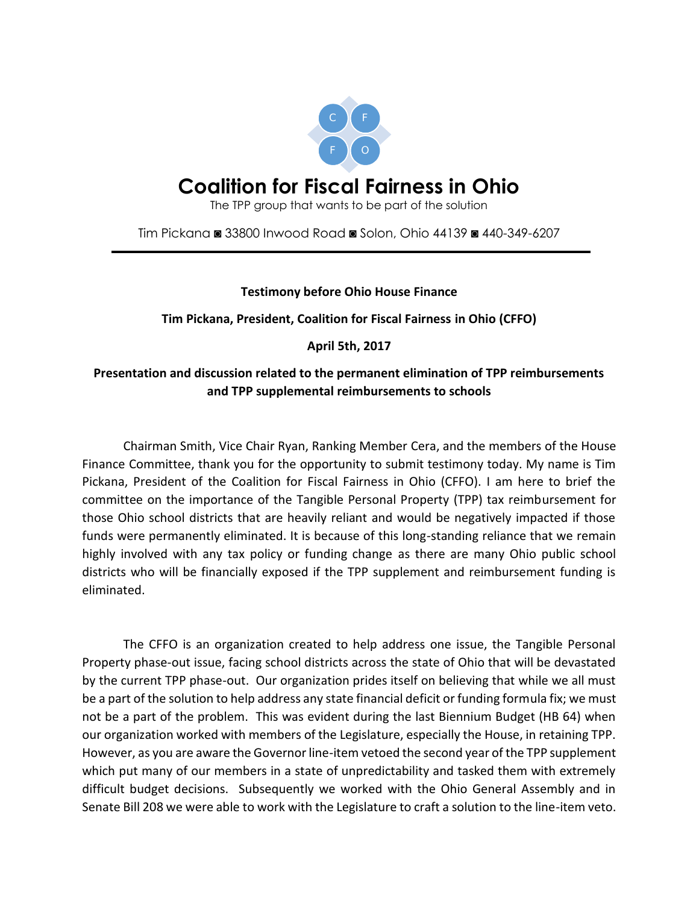

# **Coalition for Fiscal Fairness in Ohio**

The TPP group that wants to be part of the solution

Tim Pickana ◙ 33800 Inwood Road ◙ Solon, Ohio 44139 ◙ 440-349-6207

#### **Testimony before Ohio House Finance**

**Tim Pickana, President, Coalition for Fiscal Fairness in Ohio (CFFO)**

### **April 5th, 2017**

## **Presentation and discussion related to the permanent elimination of TPP reimbursements and TPP supplemental reimbursements to schools**

Chairman Smith, Vice Chair Ryan, Ranking Member Cera, and the members of the House Finance Committee, thank you for the opportunity to submit testimony today. My name is Tim Pickana, President of the Coalition for Fiscal Fairness in Ohio (CFFO). I am here to brief the committee on the importance of the Tangible Personal Property (TPP) tax reimbursement for those Ohio school districts that are heavily reliant and would be negatively impacted if those funds were permanently eliminated. It is because of this long-standing reliance that we remain highly involved with any tax policy or funding change as there are many Ohio public school districts who will be financially exposed if the TPP supplement and reimbursement funding is eliminated.

The CFFO is an organization created to help address one issue, the Tangible Personal Property phase-out issue, facing school districts across the state of Ohio that will be devastated by the current TPP phase-out. Our organization prides itself on believing that while we all must be a part of the solution to help address any state financial deficit or funding formula fix; we must not be a part of the problem. This was evident during the last Biennium Budget (HB 64) when our organization worked with members of the Legislature, especially the House, in retaining TPP. However, as you are aware the Governor line-item vetoed the second year of the TPP supplement which put many of our members in a state of unpredictability and tasked them with extremely difficult budget decisions. Subsequently we worked with the Ohio General Assembly and in Senate Bill 208 we were able to work with the Legislature to craft a solution to the line-item veto.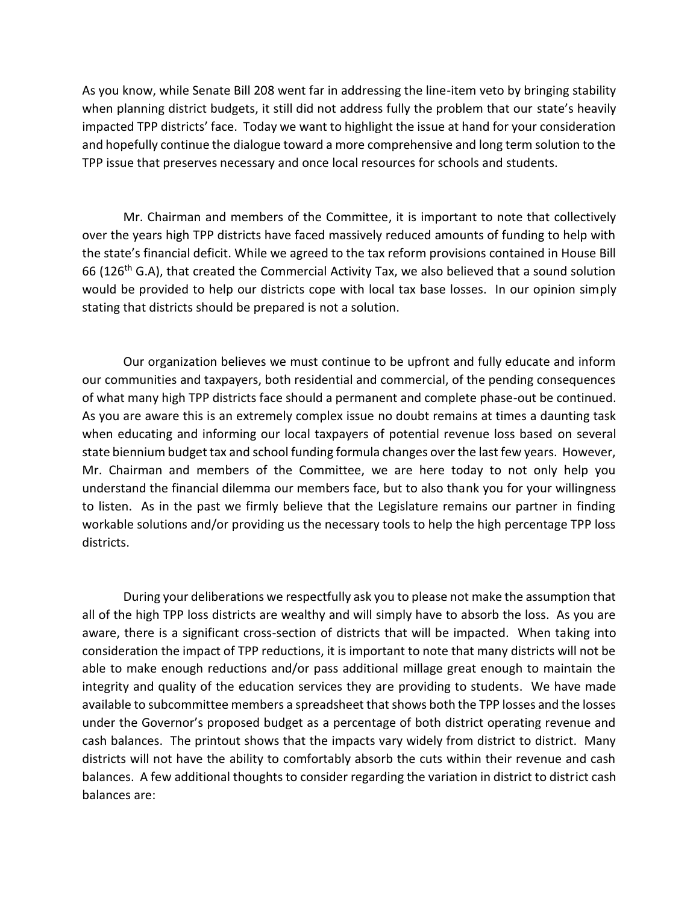As you know, while Senate Bill 208 went far in addressing the line-item veto by bringing stability when planning district budgets, it still did not address fully the problem that our state's heavily impacted TPP districts' face. Today we want to highlight the issue at hand for your consideration and hopefully continue the dialogue toward a more comprehensive and long term solution to the TPP issue that preserves necessary and once local resources for schools and students.

Mr. Chairman and members of the Committee, it is important to note that collectively over the years high TPP districts have faced massively reduced amounts of funding to help with the state's financial deficit. While we agreed to the tax reform provisions contained in House Bill 66 (126th G.A), that created the Commercial Activity Tax, we also believed that a sound solution would be provided to help our districts cope with local tax base losses. In our opinion simply stating that districts should be prepared is not a solution.

Our organization believes we must continue to be upfront and fully educate and inform our communities and taxpayers, both residential and commercial, of the pending consequences of what many high TPP districts face should a permanent and complete phase-out be continued. As you are aware this is an extremely complex issue no doubt remains at times a daunting task when educating and informing our local taxpayers of potential revenue loss based on several state biennium budget tax and school funding formula changes over the last few years. However, Mr. Chairman and members of the Committee, we are here today to not only help you understand the financial dilemma our members face, but to also thank you for your willingness to listen. As in the past we firmly believe that the Legislature remains our partner in finding workable solutions and/or providing us the necessary tools to help the high percentage TPP loss districts.

During your deliberations we respectfully ask you to please not make the assumption that all of the high TPP loss districts are wealthy and will simply have to absorb the loss. As you are aware, there is a significant cross-section of districts that will be impacted. When taking into consideration the impact of TPP reductions, it is important to note that many districts will not be able to make enough reductions and/or pass additional millage great enough to maintain the integrity and quality of the education services they are providing to students. We have made available to subcommittee members a spreadsheet that shows both the TPP losses and the losses under the Governor's proposed budget as a percentage of both district operating revenue and cash balances. The printout shows that the impacts vary widely from district to district. Many districts will not have the ability to comfortably absorb the cuts within their revenue and cash balances. A few additional thoughts to consider regarding the variation in district to district cash balances are: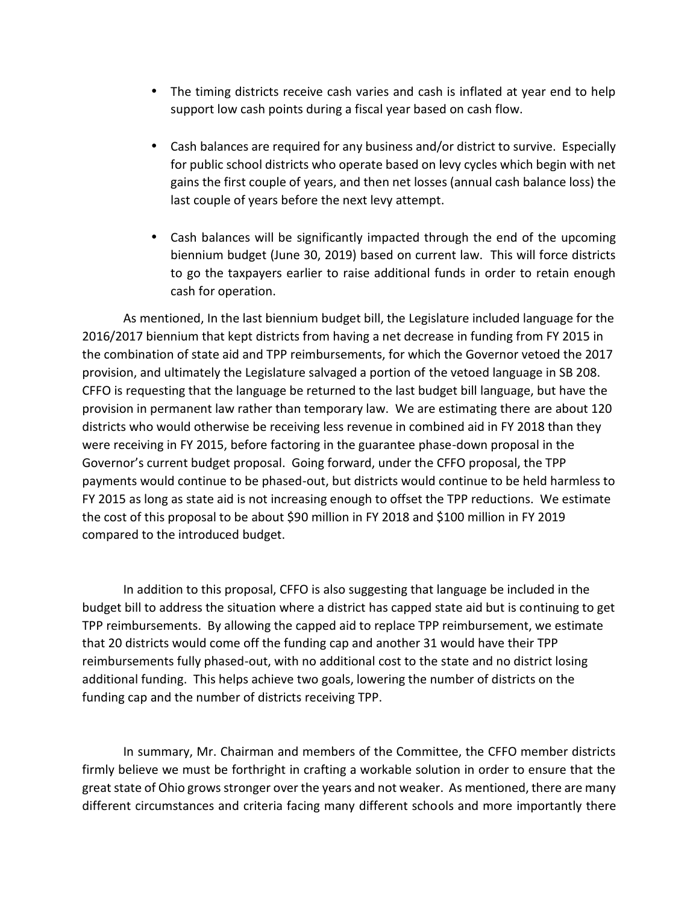- The timing districts receive cash varies and cash is inflated at year end to help support low cash points during a fiscal year based on cash flow.
- Cash balances are required for any business and/or district to survive. Especially for public school districts who operate based on levy cycles which begin with net gains the first couple of years, and then net losses (annual cash balance loss) the last couple of years before the next levy attempt.
- Cash balances will be significantly impacted through the end of the upcoming biennium budget (June 30, 2019) based on current law. This will force districts to go the taxpayers earlier to raise additional funds in order to retain enough cash for operation.

As mentioned, In the last biennium budget bill, the Legislature included language for the 2016/2017 biennium that kept districts from having a net decrease in funding from FY 2015 in the combination of state aid and TPP reimbursements, for which the Governor vetoed the 2017 provision, and ultimately the Legislature salvaged a portion of the vetoed language in SB 208. CFFO is requesting that the language be returned to the last budget bill language, but have the provision in permanent law rather than temporary law. We are estimating there are about 120 districts who would otherwise be receiving less revenue in combined aid in FY 2018 than they were receiving in FY 2015, before factoring in the guarantee phase-down proposal in the Governor's current budget proposal. Going forward, under the CFFO proposal, the TPP payments would continue to be phased-out, but districts would continue to be held harmless to FY 2015 as long as state aid is not increasing enough to offset the TPP reductions. We estimate the cost of this proposal to be about \$90 million in FY 2018 and \$100 million in FY 2019 compared to the introduced budget.

In addition to this proposal, CFFO is also suggesting that language be included in the budget bill to address the situation where a district has capped state aid but is continuing to get TPP reimbursements. By allowing the capped aid to replace TPP reimbursement, we estimate that 20 districts would come off the funding cap and another 31 would have their TPP reimbursements fully phased-out, with no additional cost to the state and no district losing additional funding. This helps achieve two goals, lowering the number of districts on the funding cap and the number of districts receiving TPP.

In summary, Mr. Chairman and members of the Committee, the CFFO member districts firmly believe we must be forthright in crafting a workable solution in order to ensure that the great state of Ohio grows stronger over the years and not weaker. As mentioned, there are many different circumstances and criteria facing many different schools and more importantly there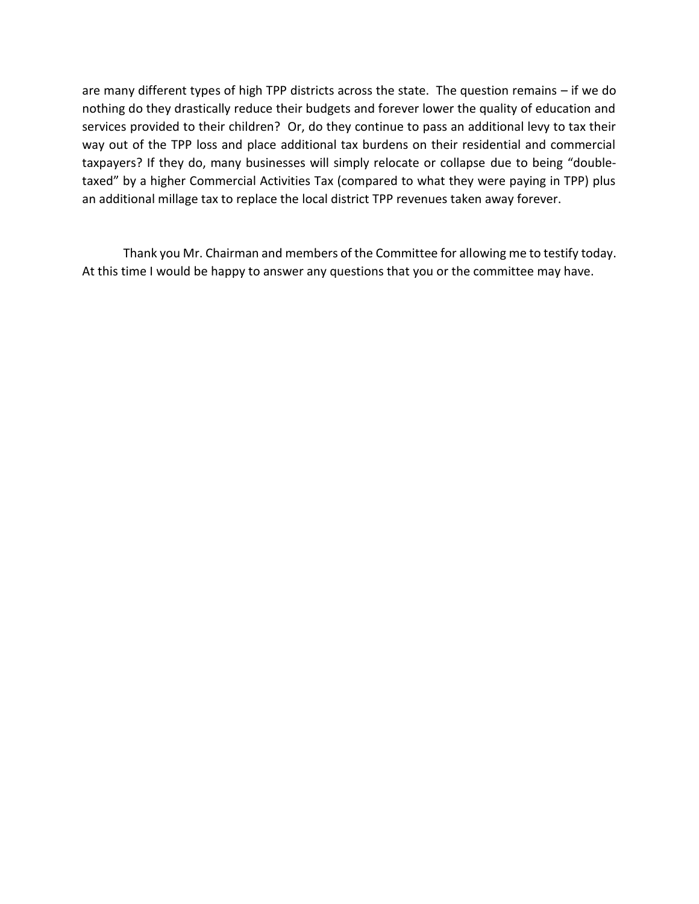are many different types of high TPP districts across the state. The question remains – if we do nothing do they drastically reduce their budgets and forever lower the quality of education and services provided to their children? Or, do they continue to pass an additional levy to tax their way out of the TPP loss and place additional tax burdens on their residential and commercial taxpayers? If they do, many businesses will simply relocate or collapse due to being "double taxed" by a higher Commercial Activities Tax (compared to what they were paying in TPP) plus an additional millage tax to replace the local district TPP revenues taken away forever.

Thank you Mr. Chairman and members of the Committee for allowing me to testify today. At this time I would be happy to answer any questions that you or the committee may have.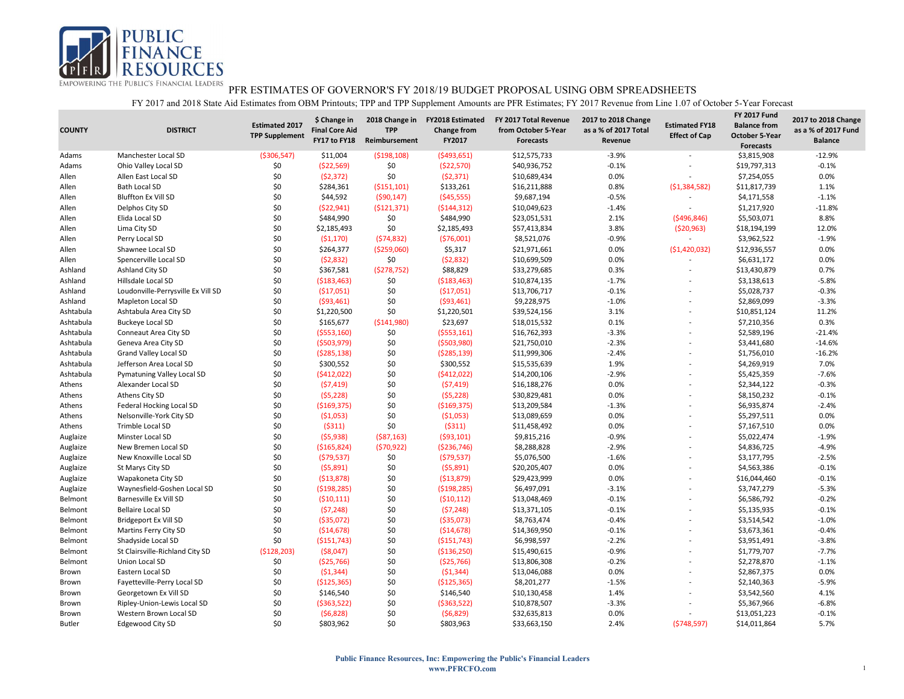

| <b>COUNTY</b> | <b>DISTRICT</b>                    | <b>Estimated 2017</b><br><b>TPP Supplement</b> | \$ Change in<br><b>Final Core Aid</b><br>FY17 to FY18 | 2018 Change in<br><b>TPP</b><br>Reimbursement | <b>FY2018 Estimated</b><br><b>Change from</b><br>FY2017 | FY 2017 Total Revenue<br>from October 5-Year<br><b>Forecasts</b> | 2017 to 2018 Change<br>as a % of 2017 Total<br>Revenue | <b>Estimated FY18</b><br><b>Effect of Cap</b> | <b>FY 2017 Fund</b><br><b>Balance from</b><br><b>October 5-Year</b><br><b>Forecasts</b> | 2017 to 2018 Change<br>as a % of 2017 Fund<br><b>Balance</b> |
|---------------|------------------------------------|------------------------------------------------|-------------------------------------------------------|-----------------------------------------------|---------------------------------------------------------|------------------------------------------------------------------|--------------------------------------------------------|-----------------------------------------------|-----------------------------------------------------------------------------------------|--------------------------------------------------------------|
| Adams         | Manchester Local SD                | ( \$306, 547)                                  | \$11,004                                              | ( \$198, 108)                                 | ( \$493, 651]                                           | \$12,575,733                                                     | $-3.9%$                                                | $\overline{\phantom{a}}$                      | \$3,815,908                                                                             | $-12.9%$                                                     |
| Adams         | Ohio Valley Local SD               | \$0                                            | ( \$22, 569)                                          | \$0                                           | (\$22,570)                                              | \$40,936,752                                                     | $-0.1%$                                                |                                               | \$19,797,313                                                                            | $-0.1%$                                                      |
| Allen         | Allen East Local SD                | \$0                                            | (52, 372)                                             | \$0                                           | (52, 371)                                               | \$10,689,434                                                     | 0.0%                                                   |                                               | \$7,254,055                                                                             | 0.0%                                                         |
| Allen         | <b>Bath Local SD</b>               | \$0                                            | \$284,361                                             | ( \$151, 101)                                 | \$133,261                                               | \$16,211,888                                                     | 0.8%                                                   | ( \$1,384,582)                                | \$11,817,739                                                                            | 1.1%                                                         |
| Allen         | <b>Bluffton Ex Vill SD</b>         | \$0                                            | \$44,592                                              | (590, 147)                                    | ( \$45,555)                                             | \$9,687,194                                                      | $-0.5%$                                                | $\overline{\phantom{a}}$                      | \$4,171,558                                                                             | $-1.1%$                                                      |
| Allen         | Delphos City SD                    | \$0                                            | (522, 941)                                            | ( \$121, 371)                                 | (5144, 312)                                             | \$10,049,623                                                     | $-1.4%$                                                |                                               | \$1,217,920                                                                             | $-11.8%$                                                     |
| Allen         | Elida Local SD                     | \$0                                            | \$484,990                                             | \$0                                           | \$484,990                                               | \$23,051,531                                                     | 2.1%                                                   | ( \$496, 846)                                 | \$5,503,071                                                                             | 8.8%                                                         |
| Allen         | Lima City SD                       | \$0                                            | \$2,185,493                                           | \$0                                           | \$2,185,493                                             | \$57,413,834                                                     | 3.8%                                                   | (520, 963)                                    | \$18,194,199                                                                            | 12.0%                                                        |
| Allen         | Perry Local SD                     | \$0                                            | (51, 170)                                             | (574, 832)                                    | (576,001)                                               | \$8,521,076                                                      | $-0.9%$                                                | $\sim$                                        | \$3,962,522                                                                             | $-1.9%$                                                      |
| Allen         | Shawnee Local SD                   | \$0                                            | \$264,377                                             | ( \$259,060)                                  | \$5,317                                                 | \$21,971,661                                                     | 0.0%                                                   | (\$1,420,032)                                 | \$12,936,557                                                                            | 0.0%                                                         |
| Allen         | Spencerville Local SD              | \$0                                            | (52,832)                                              | \$0                                           | (52, 832)                                               | \$10,699,509                                                     | 0.0%                                                   |                                               | \$6,631,172                                                                             | 0.0%                                                         |
| Ashland       | Ashland City SD                    | \$0                                            | \$367,581                                             | (5278, 752)                                   | \$88,829                                                | \$33,279,685                                                     | 0.3%                                                   |                                               | \$13,430,879                                                                            | 0.7%                                                         |
| Ashland       | Hillsdale Local SD                 | \$0                                            | ( \$183,463)                                          | \$0                                           | ( \$183,463)                                            | \$10,874,135                                                     | $-1.7%$                                                | $\overline{a}$                                | \$3,138,613                                                                             | $-5.8%$                                                      |
| Ashland       | Loudonville-Perrysville Ex Vill SD | \$0                                            | ( \$17,051)                                           | \$0                                           | ( \$17,051)                                             | \$13,706,717                                                     | $-0.1%$                                                |                                               | \$5,028,737                                                                             | $-0.3%$                                                      |
| Ashland       | Mapleton Local SD                  | \$0                                            | ( \$93,461)                                           | \$0                                           | ( \$93,461)                                             | \$9,228,975                                                      | $-1.0%$                                                |                                               | \$2,869,099                                                                             | $-3.3%$                                                      |
| Ashtabula     | Ashtabula Area City SD             | \$0                                            | \$1,220,500                                           | \$0                                           | \$1,220,501                                             | \$39,524,156                                                     | 3.1%                                                   |                                               | \$10,851,124                                                                            | 11.2%                                                        |
| Ashtabula     | <b>Buckeye Local SD</b>            | \$0                                            | \$165,677                                             | ( \$141, 980)                                 | \$23,697                                                | \$18,015,532                                                     | 0.1%                                                   | ÷                                             | \$7,210,356                                                                             | 0.3%                                                         |
| Ashtabula     | Conneaut Area City SD              | \$0                                            | ( \$553, 160)                                         | \$0                                           | ( \$553, 161)                                           | \$16,762,393                                                     | $-3.3%$                                                |                                               | \$2,589,196                                                                             | $-21.4%$                                                     |
| Ashtabula     | Geneva Area City SD                | \$0                                            | (5503, 979)                                           | \$0                                           | ( \$503, 980)                                           | \$21,750,010                                                     | $-2.3%$                                                | $\overline{a}$                                | \$3,441,680                                                                             | $-14.6%$                                                     |
| Ashtabula     | Grand Valley Local SD              | \$0                                            | (5285, 138)                                           | \$0                                           | ( \$285, 139)                                           | \$11,999,306                                                     | $-2.4%$                                                |                                               | \$1,756,010                                                                             | $-16.2%$                                                     |
| Ashtabula     | Jefferson Area Local SD            | \$0                                            | \$300,552                                             | \$0                                           | \$300,552                                               | \$15,535,639                                                     | 1.9%                                                   | ÷                                             | \$4,269,919                                                                             | 7.0%                                                         |
| Ashtabula     | Pymatuning Valley Local SD         | \$0                                            | (5412,022)                                            | \$0                                           | (5412, 022)                                             | \$14,200,106                                                     | $-2.9%$                                                |                                               | \$5,425,359                                                                             | $-7.6%$                                                      |
| Athens        | Alexander Local SD                 | \$0                                            | (57, 419)                                             | \$0                                           | (57, 419)                                               | \$16,188,276                                                     | 0.0%                                                   | $\overline{a}$                                | \$2,344,122                                                                             | $-0.3%$                                                      |
| Athens        | Athens City SD                     | \$0                                            | (55, 228)                                             | \$0                                           | (55, 228)                                               | \$30,829,481                                                     | 0.0%                                                   |                                               | \$8,150,232                                                                             | $-0.1%$                                                      |
| Athens        | Federal Hocking Local SD           | \$0                                            | ( \$169, 375)                                         | \$0                                           | ( \$169, 375)                                           | \$13,209,584                                                     | $-1.3%$                                                |                                               | \$6,935,874                                                                             | $-2.4%$                                                      |
| Athens        | Nelsonville-York City SD           | \$0                                            | (51,053)                                              | \$0                                           | ( \$1,053)                                              | \$13,089,659                                                     | 0.0%                                                   |                                               | \$5,297,511                                                                             | 0.0%                                                         |
| Athens        | Trimble Local SD                   | \$0                                            | (5311)                                                | \$0                                           | (5311)                                                  | \$11,458,492                                                     | 0.0%                                                   | $\overline{a}$                                | \$7,167,510                                                                             | 0.0%                                                         |
| Auglaize      | Minster Local SD                   | \$0                                            | (55,938)                                              | ( \$87,163)                                   | ( \$93, 101)                                            | \$9,815,216                                                      | $-0.9%$                                                |                                               | \$5,022,474                                                                             | $-1.9%$                                                      |
| Auglaize      | New Bremen Local SD                | \$0                                            | ( \$165, 824]                                         | (570, 922)                                    | ( \$236, 746)                                           | \$8,288,828                                                      | $-2.9%$                                                | $\overline{a}$                                | \$4,836,725                                                                             | $-4.9%$                                                      |
| Auglaize      | New Knoxville Local SD             | \$0                                            | (579, 537)                                            | \$0                                           | (579, 537)                                              | \$5,076,500                                                      | $-1.6%$                                                |                                               | \$3,177,795                                                                             | $-2.5%$                                                      |
| Auglaize      | St Marys City SD                   | \$0                                            | (55,891)                                              | \$0                                           | (55,891)                                                | \$20,205,407                                                     | 0.0%                                                   | $\overline{a}$                                | \$4,563,386                                                                             | $-0.1%$                                                      |
| Auglaize      | Wapakoneta City SD                 | \$0                                            | ( \$13,878)                                           | \$0                                           | ( \$13,879)                                             | \$29,423,999                                                     | 0.0%                                                   |                                               | \$16,044,460                                                                            | $-0.1%$                                                      |
| Auglaize      | Waynesfield-Goshen Local SD        | \$0                                            | ( \$198, 285)                                         | \$0                                           | ( \$198, 285)                                           | \$6,497,091                                                      | $-3.1%$                                                | ÷                                             | \$3,747,279                                                                             | $-5.3%$                                                      |
| Belmont       | Barnesville Ex Vill SD             | \$0                                            | (510, 111)                                            | \$0                                           | (510, 112)                                              | \$13,048,469                                                     | $-0.1%$                                                | $\overline{a}$                                | \$6,586,792                                                                             | $-0.2%$                                                      |
| Belmont       | <b>Bellaire Local SD</b>           | \$0                                            | (57, 248)                                             | \$0                                           | (57, 248)                                               | \$13,371,105                                                     | $-0.1%$                                                | ÷                                             | \$5,135,935                                                                             | $-0.1%$                                                      |
| Belmont       | <b>Bridgeport Ex Vill SD</b>       | \$0                                            | ( \$35,072)                                           | \$0                                           | ( \$35,073)                                             | \$8,763,474                                                      | $-0.4%$                                                |                                               | \$3,514,542                                                                             | $-1.0%$                                                      |
| Belmont       | Martins Ferry City SD              | \$0                                            | ( \$14,678)                                           | \$0                                           | ( \$14,678)                                             | \$14,369,950                                                     | $-0.1%$                                                | $\overline{a}$                                | \$3,673,361                                                                             | $-0.4%$                                                      |
| Belmont       | Shadyside Local SD                 | \$0                                            | ( \$151, 743)                                         | \$0                                           | ( \$151, 743)                                           | \$6,998,597                                                      | $-2.2%$                                                | $\overline{a}$                                | \$3,951,491                                                                             | $-3.8%$                                                      |
| Belmont       | St Clairsville-Richland City SD    | (\$128,203)                                    | ( \$8,047)                                            | \$0                                           | ( \$136, 250)                                           | \$15,490,615                                                     | $-0.9%$                                                | ÷                                             | \$1,779,707                                                                             | $-7.7%$                                                      |
| Belmont       | Union Local SD                     | \$0                                            | ( \$25,766)                                           | \$0                                           | ( \$25,766)                                             | \$13,806,308                                                     | $-0.2%$                                                |                                               | \$2,278,870                                                                             | $-1.1%$                                                      |
| Brown         | Eastern Local SD                   | \$0                                            | (51, 344)                                             | \$0                                           | (51, 344)                                               | \$13,046,088                                                     | 0.0%                                                   | L,                                            | \$2,867,375                                                                             | 0.0%                                                         |
| Brown         | Fayetteville-Perry Local SD        | \$0                                            | ( \$125, 365)                                         | \$0                                           | (\$125,365)                                             | \$8,201,277                                                      | $-1.5%$                                                |                                               | \$2,140,363                                                                             | $-5.9%$                                                      |
| Brown         | Georgetown Ex Vill SD              | \$0                                            | \$146,540                                             | \$0                                           | \$146,540                                               | \$10,130,458                                                     | 1.4%                                                   | ÷                                             | \$3,542,560                                                                             | 4.1%                                                         |
| Brown         | Ripley-Union-Lewis Local SD        | \$0                                            | ( \$363, 522)                                         | \$0                                           | ( \$363, 522)                                           | \$10,878,507                                                     | $-3.3%$                                                |                                               | \$5,367,966                                                                             | $-6.8%$                                                      |
| Brown         | Western Brown Local SD             | \$0                                            | (56, 828)                                             | \$0                                           | (56, 829)                                               | \$32,635,813                                                     | 0.0%                                                   |                                               | \$13,051,223                                                                            | $-0.1%$                                                      |
| <b>Butler</b> | <b>Edgewood City SD</b>            | \$0                                            | \$803,962                                             | \$0                                           | \$803,963                                               | \$33,663,150                                                     | 2.4%                                                   | (5748, 597)                                   | \$14,011,864                                                                            | 5.7%                                                         |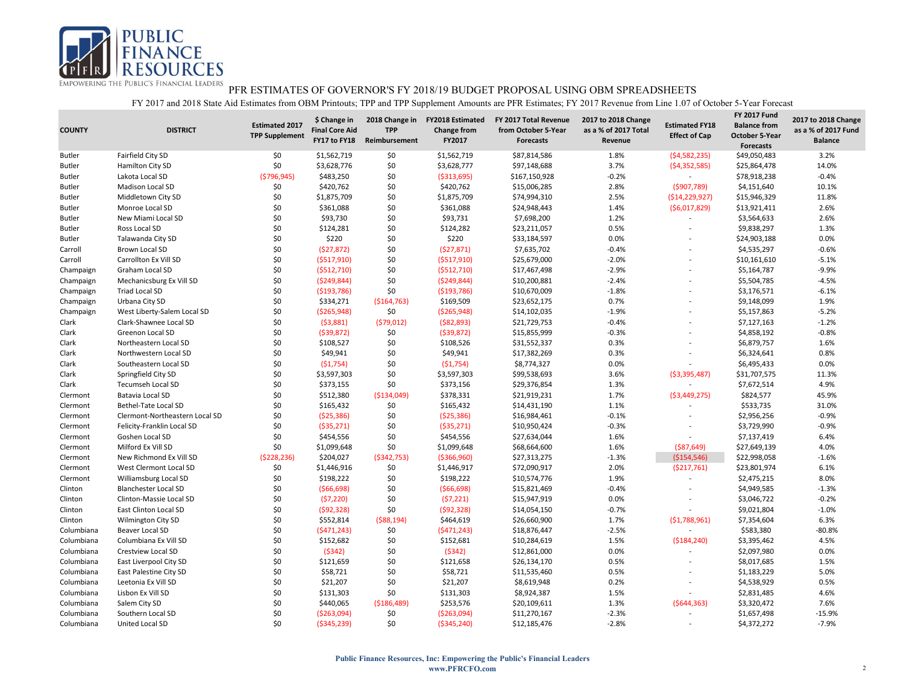

| <b>COUNTY</b> | <b>DISTRICT</b>                | <b>Estimated 2017</b><br><b>TPP Supplement</b> | \$ Change in<br><b>Final Core Aid</b><br>FY17 to FY18 | 2018 Change in<br><b>TPP</b><br>Reimbursement | <b>FY2018 Estimated</b><br><b>Change from</b><br>FY2017 | FY 2017 Total Revenue<br>from October 5-Year<br><b>Forecasts</b> | 2017 to 2018 Change<br>as a % of 2017 Total<br>Revenue | <b>Estimated FY18</b><br><b>Effect of Cap</b> | <b>FY 2017 Fund</b><br><b>Balance from</b><br><b>October 5-Year</b><br><b>Forecasts</b> | 2017 to 2018 Change<br>as a % of 2017 Fund<br><b>Balance</b> |
|---------------|--------------------------------|------------------------------------------------|-------------------------------------------------------|-----------------------------------------------|---------------------------------------------------------|------------------------------------------------------------------|--------------------------------------------------------|-----------------------------------------------|-----------------------------------------------------------------------------------------|--------------------------------------------------------------|
| <b>Butler</b> | Fairfield City SD              | \$0                                            | \$1,562,719                                           | \$0                                           | \$1,562,719                                             | \$87,814,586                                                     | 1.8%                                                   | (54, 582, 235)                                | \$49,050,483                                                                            | 3.2%                                                         |
| <b>Butler</b> | Hamilton City SD               | \$0                                            | \$3,628,776                                           | \$0                                           | \$3,628,777                                             | \$97,148,688                                                     | 3.7%                                                   | (54, 352, 585)                                | \$25,864,478                                                                            | 14.0%                                                        |
| <b>Butler</b> | Lakota Local SD                | ( \$796, 945)                                  | \$483,250                                             | \$0                                           | ( \$313, 695)                                           | \$167,150,928                                                    | $-0.2%$                                                |                                               | \$78,918,238                                                                            | $-0.4%$                                                      |
| <b>Butler</b> | Madison Local SD               | \$0                                            | \$420,762                                             | \$0                                           | \$420,762                                               | \$15,006,285                                                     | 2.8%                                                   | (5907,789)                                    | \$4,151,640                                                                             | 10.1%                                                        |
| <b>Butler</b> | Middletown City SD             | \$0                                            | \$1,875,709                                           | \$0                                           | \$1,875,709                                             | \$74,994,310                                                     | 2.5%                                                   | ( \$14, 229, 927)                             | \$15,946,329                                                                            | 11.8%                                                        |
| <b>Butler</b> | Monroe Local SD                | \$0                                            | \$361,088                                             | \$0                                           | \$361,088                                               | \$24,948,443                                                     | 1.4%                                                   | (56,017,829)                                  | \$13,921,411                                                                            | 2.6%                                                         |
| <b>Butler</b> | New Miami Local SD             | \$0                                            | \$93,730                                              | \$0                                           | \$93,731                                                | \$7,698,200                                                      | 1.2%                                                   |                                               | \$3,564,633                                                                             | 2.6%                                                         |
| <b>Butler</b> | Ross Local SD                  | \$0                                            | \$124,281                                             | \$0                                           | \$124,282                                               | \$23,211,057                                                     | 0.5%                                                   |                                               | \$9,838,297                                                                             | 1.3%                                                         |
| <b>Butler</b> | Talawanda City SD              | \$0                                            | \$220                                                 | \$0                                           | \$220                                                   | \$33,184,597                                                     | 0.0%                                                   |                                               | \$24,903,188                                                                            | 0.0%                                                         |
| Carroll       | <b>Brown Local SD</b>          | \$0                                            | (527, 872)                                            | \$0                                           | (527, 871)                                              | \$7,635,702                                                      | $-0.4%$                                                |                                               | \$4,535,297                                                                             | $-0.6%$                                                      |
| Carroll       | Carrollton Ex Vill SD          | \$0                                            | (5517, 910)                                           | \$0                                           | ( \$517, 910)                                           | \$25,679,000                                                     | $-2.0%$                                                |                                               | \$10,161,610                                                                            | $-5.1%$                                                      |
| Champaign     | Graham Local SD                | \$0                                            | (5512,710)                                            | \$0                                           | ( \$512, 710)                                           | \$17,467,498                                                     | $-2.9%$                                                |                                               | \$5,164,787                                                                             | $-9.9%$                                                      |
| Champaign     | Mechanicsburg Ex Vill SD       | \$0                                            | (5249, 844)                                           | \$0                                           | ( \$249, 844)                                           | \$10,200,881                                                     | $-2.4%$                                                |                                               | \$5,504,785                                                                             | $-4.5%$                                                      |
| Champaign     | <b>Triad Local SD</b>          | \$0                                            | ( \$193, 786)                                         | \$0                                           | ( \$193, 786)                                           | \$10,670,009                                                     | $-1.8%$                                                |                                               | \$3,176,571                                                                             | $-6.1%$                                                      |
| Champaign     | Urbana City SD                 | \$0                                            | \$334,271                                             | ( \$164, 763)                                 | \$169,509                                               | \$23,652,175                                                     | 0.7%                                                   |                                               | \$9,148,099                                                                             | 1.9%                                                         |
| Champaign     | West Liberty-Salem Local SD    | \$0                                            | ( \$265, 948)                                         | \$0                                           | ( \$265, 948)                                           | \$14,102,035                                                     | $-1.9%$                                                |                                               | \$5,157,863                                                                             | $-5.2%$                                                      |
| Clark         | Clark-Shawnee Local SD         | \$0                                            | (53,881)                                              | (579, 012)                                    | ( \$82, 893)                                            | \$21,729,753                                                     | $-0.4%$                                                |                                               | \$7,127,163                                                                             | $-1.2%$                                                      |
| Clark         | Greenon Local SD               | \$0                                            | (539, 872)                                            | \$0                                           | (539, 872)                                              | \$15,855,999                                                     | $-0.3%$                                                |                                               | \$4,858,192                                                                             | $-0.8%$                                                      |
| Clark         | Northeastern Local SD          | \$0                                            | \$108,527                                             | \$0                                           | \$108,526                                               | \$31,552,337                                                     | 0.3%                                                   |                                               | \$6,879,757                                                                             | 1.6%                                                         |
| Clark         | Northwestern Local SD          | \$0                                            | \$49,941                                              | \$0                                           | \$49,941                                                | \$17,382,269                                                     | 0.3%                                                   |                                               | \$6,324,641                                                                             | 0.8%                                                         |
| Clark         | Southeastern Local SD          | \$0                                            | (51,754)                                              | \$0                                           | (51, 754)                                               | \$8,774,327                                                      | 0.0%                                                   |                                               | \$6,495,433                                                                             | 0.0%                                                         |
| Clark         | Springfield City SD            | \$0                                            | \$3,597,303                                           | \$0                                           | \$3,597,303                                             | \$99,538,693                                                     | 3.6%                                                   | ( \$3,395,487)                                | \$31,707,575                                                                            | 11.3%                                                        |
| Clark         | <b>Tecumseh Local SD</b>       | \$0                                            | \$373,155                                             | \$0                                           | \$373,156                                               | \$29,376,854                                                     | 1.3%                                                   |                                               | \$7,672,514                                                                             | 4.9%                                                         |
| Clermont      | Batavia Local SD               | \$0                                            | \$512,380                                             | ( \$134,049)                                  | \$378,331                                               | \$21,919,231                                                     | 1.7%                                                   | ( \$3,449,275)                                | \$824,577                                                                               | 45.9%                                                        |
| Clermont      | Bethel-Tate Local SD           | \$0                                            | \$165,432                                             | \$0                                           | \$165,432                                               | \$14,431,190                                                     | 1.1%                                                   |                                               | \$533,735                                                                               | 31.0%                                                        |
| Clermont      | Clermont-Northeastern Local SD | \$0                                            | ( \$25, 386)                                          | \$0                                           | (525, 386)                                              | \$16,984,461                                                     | $-0.1%$                                                |                                               | \$2,956,256                                                                             | $-0.9%$                                                      |
| Clermont      | Felicity-Franklin Local SD     | \$0                                            | ( \$35, 271)                                          | \$0                                           | ( \$35,271)                                             | \$10,950,424                                                     | $-0.3%$                                                |                                               | \$3,729,990                                                                             | $-0.9%$                                                      |
| Clermont      | Goshen Local SD                | \$0                                            | \$454,556                                             | \$0                                           | \$454,556                                               | \$27,634,044                                                     | 1.6%                                                   |                                               | \$7,137,419                                                                             | 6.4%                                                         |
| Clermont      | Milford Ex Vill SD             | \$0                                            | \$1,099,648                                           | \$0                                           | \$1,099,648                                             | \$68,664,600                                                     | 1.6%                                                   | ( \$87, 649)                                  | \$27,649,139                                                                            | 4.0%                                                         |
| Clermont      | New Richmond Ex Vill SD        | (5228, 236)                                    | \$204,027                                             | ( \$342, 753)                                 | ( \$366, 960)                                           | \$27,313,275                                                     | $-1.3%$                                                | ( \$154, 546)                                 | \$22,998,058                                                                            | $-1.6%$                                                      |
| Clermont      | West Clermont Local SD         | \$0                                            | \$1,446,916                                           | \$0                                           | \$1,446,917                                             | \$72,090,917                                                     | 2.0%                                                   | (5217,761)                                    | \$23,801,974                                                                            | 6.1%                                                         |
| Clermont      | Williamsburg Local SD          | \$0                                            | \$198,222                                             | \$0                                           | \$198,222                                               | \$10,574,776                                                     | 1.9%                                                   |                                               | \$2,475,215                                                                             | 8.0%                                                         |
| Clinton       | <b>Blanchester Local SD</b>    | \$0                                            | ( \$66, 698)                                          | \$0                                           | ( \$66, 698)                                            | \$15,821,469                                                     | $-0.4%$                                                |                                               | \$4,949,585                                                                             | $-1.3%$                                                      |
| Clinton       | Clinton-Massie Local SD        | \$0                                            | (57, 220)                                             | \$0                                           | (57, 221)                                               | \$15,947,919                                                     | 0.0%                                                   |                                               | \$3,046,722                                                                             | $-0.2%$                                                      |
| Clinton       | <b>East Clinton Local SD</b>   | \$0                                            | (592, 328)                                            | \$0                                           | (592, 328)                                              | \$14,054,150                                                     | $-0.7%$                                                |                                               | \$9,021,804                                                                             | $-1.0%$                                                      |
| Clinton       | <b>Wilmington City SD</b>      | \$0                                            | \$552,814                                             | ( \$88,194)                                   | \$464,619                                               | \$26,660,900                                                     | 1.7%                                                   | (51,788,961)                                  | \$7,354,604                                                                             | 6.3%                                                         |
| Columbiana    | <b>Beaver Local SD</b>         | \$0                                            | (5471, 243)                                           | \$0                                           | (5471, 243)                                             | \$18,876,447                                                     | $-2.5%$                                                | $\sim$                                        | \$583,380                                                                               | $-80.8%$                                                     |
| Columbiana    | Columbiana Ex Vill SD          | \$0                                            | \$152,682                                             | \$0                                           | \$152,681                                               | \$10,284,619                                                     | 1.5%                                                   | ( \$184, 240)                                 | \$3,395,462                                                                             | 4.5%                                                         |
| Columbiana    | Crestview Local SD             | \$0                                            | (5342)                                                | \$0                                           | (5342)                                                  | \$12,861,000                                                     | 0.0%                                                   |                                               | \$2,097,980                                                                             | 0.0%                                                         |
| Columbiana    | East Liverpool City SD         | \$0                                            | \$121,659                                             | \$0                                           | \$121,658                                               | \$26,134,170                                                     | 0.5%                                                   |                                               | \$8,017,685                                                                             | 1.5%                                                         |
|               |                                |                                                | \$58,721                                              | \$0                                           |                                                         |                                                                  |                                                        |                                               |                                                                                         | 5.0%                                                         |
| Columbiana    | <b>East Palestine City SD</b>  | \$0                                            |                                                       |                                               | \$58,721                                                | \$11,535,460                                                     | 0.5%                                                   |                                               | \$1,183,229                                                                             |                                                              |
| Columbiana    | Leetonia Ex Vill SD            | \$0                                            | \$21,207                                              | \$0                                           | \$21,207                                                | \$8,619,948                                                      | 0.2%                                                   |                                               | \$4,538,929                                                                             | 0.5%                                                         |
| Columbiana    | Lisbon Ex Vill SD              | \$0                                            | \$131,303                                             | \$0                                           | \$131,303                                               | \$8,924,387                                                      | 1.5%                                                   |                                               | \$2,831,485                                                                             | 4.6%                                                         |
| Columbiana    | Salem City SD                  | \$0                                            | \$440,065                                             | ( \$186,489)                                  | \$253,576                                               | \$20,109,611                                                     | 1.3%                                                   | (5644, 363)                                   | \$3,320,472                                                                             | 7.6%                                                         |
| Columbiana    | Southern Local SD              | \$0                                            | ( \$263,094)                                          | \$0                                           | ( \$263,094)                                            | \$11,270,167                                                     | $-2.3%$                                                |                                               | \$1,657,498                                                                             | $-15.9%$                                                     |
| Columbiana    | United Local SD                | \$0                                            | ( \$345, 239)                                         | \$0                                           | ( \$345, 240)                                           | \$12,185,476                                                     | $-2.8%$                                                |                                               | \$4,372,272                                                                             | $-7.9%$                                                      |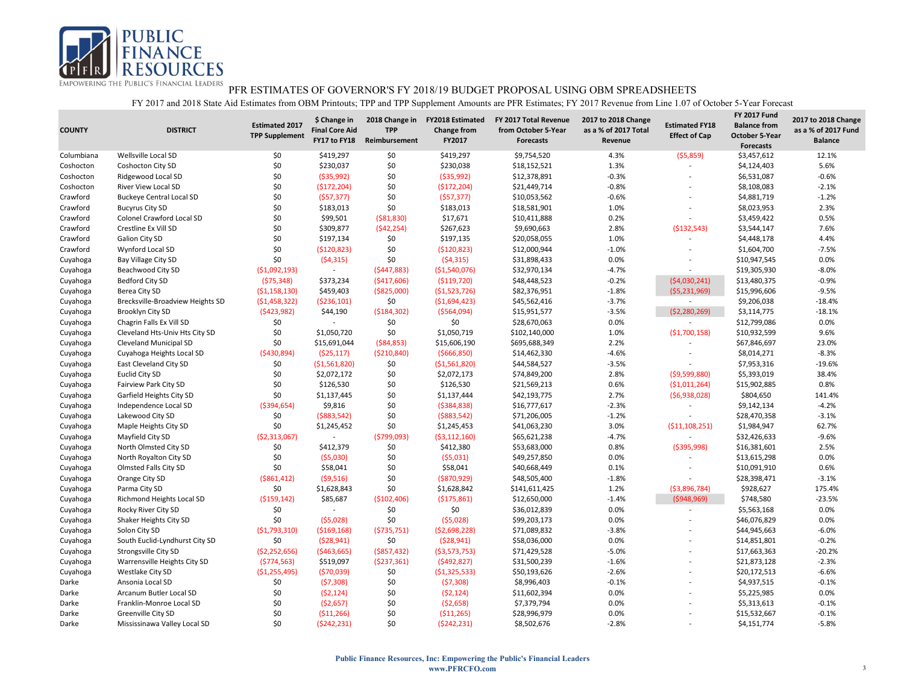

| <b>COUNTY</b> | <b>DISTRICT</b>                                      | <b>Estimated 2017</b><br><b>TPP Supplement</b> | \$ Change in<br><b>Final Core Aid</b><br>FY17 to FY18 | 2018 Change in<br><b>TPP</b><br>Reimbursement | <b>FY2018 Estimated</b><br><b>Change from</b><br>FY2017 | FY 2017 Total Revenue<br>from October 5-Year<br><b>Forecasts</b> | 2017 to 2018 Change<br>as a % of 2017 Total<br>Revenue | <b>Estimated FY18</b><br><b>Effect of Cap</b> | <b>FY 2017 Fund</b><br><b>Balance from</b><br><b>October 5-Year</b><br><b>Forecasts</b> | 2017 to 2018 Change<br>as a % of 2017 Fund<br><b>Balance</b> |
|---------------|------------------------------------------------------|------------------------------------------------|-------------------------------------------------------|-----------------------------------------------|---------------------------------------------------------|------------------------------------------------------------------|--------------------------------------------------------|-----------------------------------------------|-----------------------------------------------------------------------------------------|--------------------------------------------------------------|
| Columbiana    | Wellsville Local SD                                  | \$0                                            | \$419,297                                             | \$0                                           | \$419,297                                               | \$9,754,520                                                      | 4.3%                                                   | (55,859)                                      | \$3,457,612                                                                             | 12.1%                                                        |
| Coshocton     | Coshocton City SD                                    | \$0                                            | \$230,037                                             | \$0                                           | \$230,038                                               | \$18,152,521                                                     | 1.3%                                                   |                                               | \$4,124,403                                                                             | 5.6%                                                         |
| Coshocton     | Ridgewood Local SD                                   | \$0                                            | ( \$35, 992)                                          | \$0                                           | ( \$35, 992)                                            | \$12,378,891                                                     | $-0.3%$                                                | $\overline{\phantom{a}}$                      | \$6,531,087                                                                             | $-0.6%$                                                      |
| Coshocton     | <b>River View Local SD</b>                           | \$0                                            | (\$172,204)                                           | \$0                                           | (\$172,204)                                             | \$21,449,714                                                     | $-0.8%$                                                |                                               | \$8,108,083                                                                             | $-2.1%$                                                      |
| Crawford      | <b>Buckeye Central Local SD</b>                      | \$0                                            | (557, 377)                                            | \$0                                           | (557, 377)                                              | \$10,053,562                                                     | $-0.6%$                                                | $\overline{a}$                                | \$4,881,719                                                                             | $-1.2%$                                                      |
| Crawford      | <b>Bucyrus City SD</b>                               | \$0                                            | \$183,013                                             | \$0                                           | \$183,013                                               | \$18,581,901                                                     | 1.0%                                                   | $\overline{\phantom{a}}$                      | \$8,023,953                                                                             | 2.3%                                                         |
| Crawford      | Colonel Crawford Local SD                            | \$0                                            | \$99,501                                              | ( \$81, 830)                                  | \$17,671                                                | \$10,411,888                                                     | 0.2%                                                   | $\overline{a}$                                | \$3,459,422                                                                             | 0.5%                                                         |
| Crawford      | Crestline Ex Vill SD                                 | \$0                                            | \$309,877                                             | (\$42,254)                                    | \$267,623                                               | \$9,690,663                                                      | 2.8%                                                   | ( \$132, 543)                                 | \$3,544,147                                                                             | 7.6%                                                         |
| Crawford      | Galion City SD                                       | \$0                                            | \$197,134                                             | \$0                                           | \$197,135                                               | \$20,058,055                                                     | 1.0%                                                   |                                               | \$4,448,178                                                                             | 4.4%                                                         |
| Crawford      | Wynford Local SD                                     | \$0                                            | (5120, 823)                                           | \$0                                           | ( \$120, 823)                                           | \$12,000,944                                                     | $-1.0%$                                                |                                               | \$1,604,700                                                                             | $-7.5%$                                                      |
| Cuyahoga      | Bay Village City SD                                  | \$0                                            | (54,315)                                              | \$0                                           | (54, 315)                                               | \$31,898,433                                                     | 0.0%                                                   | $\overline{a}$                                | \$10,947,545                                                                            | 0.0%                                                         |
| Cuyahoga      | Beachwood City SD                                    | ( \$1,092,193)                                 | $\sim$                                                | (5447,883)                                    | ( \$1,540,076)                                          | \$32,970,134                                                     | $-4.7%$                                                | $\overline{\phantom{a}}$                      | \$19,305,930                                                                            | $-8.0%$                                                      |
| Cuyahoga      | Bedford City SD                                      | (575, 348)                                     | \$373,234                                             | ( \$417,606)                                  | ( \$119, 720)                                           | \$48,448,523                                                     | $-0.2%$                                                | (54,030,241)                                  | \$13,480,375                                                                            | $-0.9%$                                                      |
| Cuyahoga      | Berea City SD                                        | ( \$1,158,130)                                 | \$459,403                                             | $($ \$825,000)                                | (51,523,726)                                            | \$82,376,951                                                     | $-1.8%$                                                | (55, 231, 969)                                | \$15,996,606                                                                            | $-9.5%$                                                      |
| Cuyahoga      | Brecksville-Broadview Heights SD                     | (51, 458, 322)                                 | ( \$236, 101)                                         | \$0                                           | ( \$1,694,423)                                          | \$45,562,416                                                     | $-3.7%$                                                |                                               | \$9,206,038                                                                             | $-18.4%$                                                     |
| Cuyahoga      | Brooklyn City SD                                     | (5423,982)                                     | \$44,190                                              | ( \$184, 302)                                 | ( \$564,094)                                            | \$15,951,577                                                     | $-3.5%$                                                | (52, 280, 269)                                | \$3,114,775                                                                             | $-18.1%$                                                     |
| Cuyahoga      | Chagrin Falls Ex Vill SD                             | \$0                                            |                                                       | \$0                                           | \$0                                                     | \$28,670,063                                                     | 0.0%                                                   |                                               | \$12,799,086                                                                            | 0.0%                                                         |
| Cuyahoga      | Cleveland Hts-Univ Hts City SD                       | \$0                                            | \$1,050,720                                           | \$0                                           | \$1,050,719                                             | \$102,140,000                                                    | 1.0%                                                   | (51,700,158)                                  | \$10,932,599                                                                            | 9.6%                                                         |
| Cuyahoga      | Cleveland Municipal SD                               | \$0                                            | \$15,691,044                                          | ( \$84, 853)                                  | \$15,606,190                                            | \$695,688,349                                                    | 2.2%                                                   |                                               | \$67,846,697                                                                            | 23.0%                                                        |
| Cuyahoga      | Cuyahoga Heights Local SD                            | ( \$430, 894)                                  | ( \$25, 117)                                          | ( \$210, 840)                                 | ( \$666, 850)                                           | \$14,462,330                                                     | $-4.6%$                                                |                                               | \$8,014,271                                                                             | $-8.3%$                                                      |
| Cuyahoga      | East Cleveland City SD                               | \$0                                            | ( \$1,561,820)                                        | \$0                                           | ( \$1,561,820)                                          | \$44,584,527                                                     | $-3.5%$                                                | $\overline{a}$                                | \$7,953,316                                                                             | $-19.6%$                                                     |
| Cuyahoga      | <b>Euclid City SD</b>                                | \$0                                            | \$2,072,172                                           | \$0                                           | \$2,072,173                                             | \$74,849,200                                                     | 2.8%                                                   | (59,599,880)                                  | \$5,393,019                                                                             | 38.4%                                                        |
| Cuyahoga      | Fairview Park City SD                                | \$0                                            | \$126,530                                             | \$0                                           | \$126,530                                               | \$21,569,213                                                     | 0.6%                                                   | (51,011,264)                                  | \$15,902,885                                                                            | 0.8%                                                         |
| Cuyahoga      | Garfield Heights City SD                             | \$0                                            | \$1,137,445                                           | \$0                                           | \$1,137,444                                             | \$42,193,775                                                     | 2.7%                                                   | (56,938,028)                                  | \$804,650                                                                               | 141.4%                                                       |
| Cuyahoga      | Independence Local SD                                | ( \$394, 654)                                  | \$9,816                                               | \$0                                           | ( \$384, 838)                                           | \$16,777,617                                                     | $-2.3%$                                                | $\overline{a}$                                | \$9,142,134                                                                             | $-4.2%$                                                      |
| Cuyahoga      | Lakewood City SD                                     | \$0                                            | ( \$883, 542)                                         | \$0                                           | ( \$883, 542)                                           | \$71,206,005                                                     | $-1.2%$                                                |                                               | \$28,470,358                                                                            | $-3.1%$                                                      |
| Cuyahoga      | Maple Heights City SD                                | \$0                                            | \$1,245,452                                           | \$0                                           | \$1,245,453                                             | \$41,063,230                                                     | 3.0%                                                   | ( \$11,108,251)                               | \$1,984,947                                                                             | 62.7%                                                        |
| Cuyahoga      | Mayfield City SD                                     | ( \$2,313,067)                                 | $\overline{a}$                                        | (5799,093)                                    | ( \$3,112,160)                                          | \$65,621,238                                                     | $-4.7%$                                                |                                               | \$32,426,633                                                                            | $-9.6%$                                                      |
| Cuyahoga      | North Olmsted City SD                                | \$0                                            | \$412,379                                             | \$0                                           | \$412,380                                               | \$53,683,000                                                     | 0.8%                                                   | ( \$395, 998)                                 | \$16,381,601                                                                            | 2.5%                                                         |
| Cuyahoga      | North Royalton City SD                               | \$0                                            | (55,030)                                              | \$0                                           | (55,031)                                                | \$49,257,850                                                     | 0.0%                                                   |                                               | \$13,615,298                                                                            | 0.0%                                                         |
| Cuyahoga      | Olmsted Falls City SD                                | \$0                                            | \$58,041                                              | \$0                                           | \$58,041                                                | \$40,668,449                                                     | 0.1%                                                   | $\overline{\phantom{a}}$                      | \$10,091,910                                                                            | 0.6%                                                         |
| Cuyahoga      | Orange City SD                                       | ( \$861, 412)                                  | (59,516)                                              | \$0                                           | ( \$870, 929)                                           | \$48,505,400                                                     | $-1.8%$                                                |                                               | \$28,398,471                                                                            | $-3.1%$                                                      |
| Cuyahoga      | Parma City SD                                        | \$0                                            | \$1,628,843                                           | \$0                                           | \$1,628,842                                             | \$141,611,425                                                    | 1.2%                                                   | (53,896,784)                                  | \$928,627                                                                               | 175.4%                                                       |
| Cuyahoga      | Richmond Heights Local SD                            | ( \$159, 142)                                  | \$85,687                                              | ( \$102,406)                                  | ( \$175, 861)                                           | \$12,650,000                                                     | $-1.4%$                                                | ( \$948, 969)                                 | \$748,580                                                                               | $-23.5%$                                                     |
| Cuyahoga      | Rocky River City SD                                  | \$0                                            | $\overline{\phantom{a}}$                              | \$0                                           | \$0                                                     | \$36,012,839                                                     | 0.0%                                                   | $\overline{\phantom{a}}$                      | \$5,563,168                                                                             | 0.0%                                                         |
| Cuyahoga      | Shaker Heights City SD                               | \$0                                            | (55,028)                                              | \$0                                           | (55,028)                                                | \$99,203,173                                                     | 0.0%                                                   |                                               | \$46,076,829                                                                            | 0.0%                                                         |
| Cuyahoga      | Solon City SD                                        | ( \$1,793,310)                                 | ( \$169, 168)                                         | (5735,751)                                    | ( \$2,698,228)                                          | \$71,089,832                                                     | $-3.8%$                                                | L,                                            | \$44,945,663                                                                            | $-6.0%$                                                      |
|               |                                                      | \$0                                            | (528, 941)                                            | \$0                                           |                                                         | \$58,036,000                                                     | 0.0%                                                   |                                               |                                                                                         | $-0.2%$                                                      |
| Cuyahoga      | South Euclid-Lyndhurst City SD                       | (\$2,252,656)                                  |                                                       |                                               | (528, 941)                                              | \$71,429,528                                                     | $-5.0%$                                                |                                               | \$14,851,801                                                                            | $-20.2%$                                                     |
| Cuyahoga      | Strongsville City SD<br>Warrensville Heights City SD | (5774, 563)                                    | ( \$463, 665)<br>\$519,097                            | $($ \$857,432)                                | ( \$3,573,753)                                          | \$31,500,239                                                     | $-1.6%$                                                |                                               | \$17,663,363                                                                            | $-2.3%$                                                      |
| Cuyahoga      |                                                      |                                                |                                                       | ( \$237, 361)                                 | (5492, 827)                                             |                                                                  | $-2.6%$                                                |                                               | \$21,873,128                                                                            | $-6.6%$                                                      |
| Cuyahoga      | Westlake City SD                                     | (\$1,255,495)                                  | (570, 039)                                            | \$0                                           | ( \$1,325,533)                                          | \$50,193,626                                                     |                                                        |                                               | \$20,172,513                                                                            |                                                              |
| Darke         | Ansonia Local SD                                     | \$0                                            | (57,308)                                              | \$0                                           | (57,308)                                                | \$8,996,403                                                      | $-0.1%$                                                |                                               | \$4,937,515                                                                             | $-0.1%$                                                      |
| Darke         | Arcanum Butler Local SD                              | \$0                                            | (52, 124)                                             | \$0                                           | (52, 124)                                               | \$11,602,394                                                     | 0.0%                                                   | ÷                                             | \$5,225,985                                                                             | 0.0%                                                         |
| Darke         | Franklin-Monroe Local SD                             | \$0                                            | (52, 657)                                             | \$0                                           | ( \$2,658)                                              | \$7,379,794                                                      | 0.0%                                                   |                                               | \$5,313,613                                                                             | $-0.1%$                                                      |
| Darke         | Greenville City SD                                   | \$0                                            | ( \$11, 266)                                          | \$0                                           | ( \$11,265)                                             | \$28,996,979                                                     | 0.0%                                                   |                                               | \$15,532,667                                                                            | $-0.1%$                                                      |
| Darke         | Mississinawa Valley Local SD                         | \$0                                            | (5242, 231)                                           | \$0                                           | (5242, 231)                                             | \$8,502,676                                                      | $-2.8%$                                                | $\overline{a}$                                | \$4,151,774                                                                             | $-5.8%$                                                      |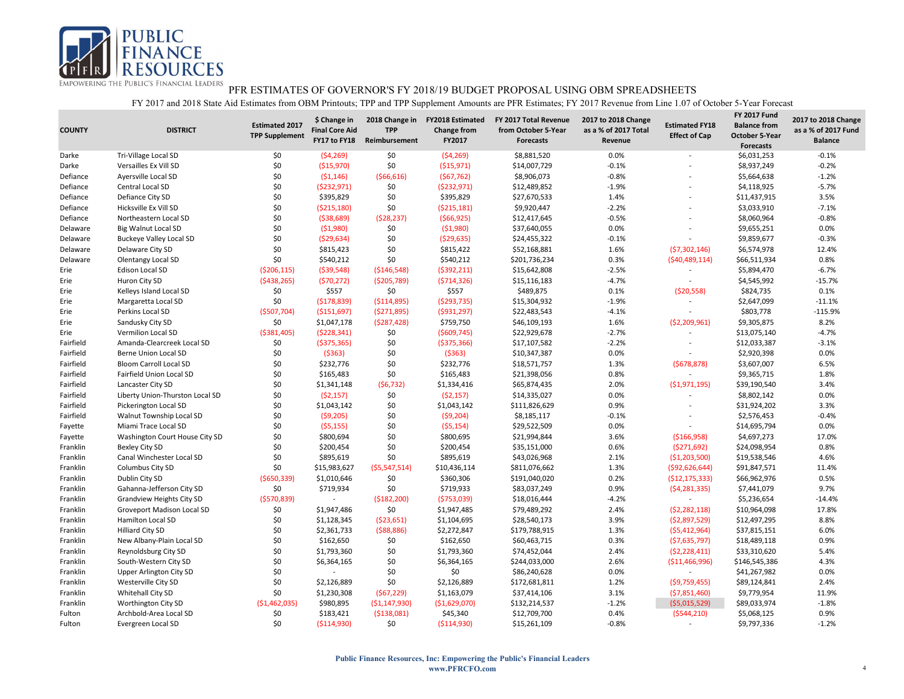

| <b>COUNTY</b> | <b>DISTRICT</b>                 | <b>Estimated 2017</b><br><b>TPP Supplement</b> | \$ Change in<br><b>Final Core Aid</b><br>FY17 to FY18 | 2018 Change in<br><b>TPP</b><br>Reimbursement | <b>FY2018 Estimated</b><br><b>Change from</b><br>FY2017 | FY 2017 Total Revenue<br>from October 5-Year<br><b>Forecasts</b> | 2017 to 2018 Change<br>as a % of 2017 Total<br>Revenue | <b>Estimated FY18</b><br><b>Effect of Cap</b> | <b>FY 2017 Fund</b><br><b>Balance from</b><br><b>October 5-Year</b><br><b>Forecasts</b> | 2017 to 2018 Change<br>as a % of 2017 Fund<br><b>Balance</b> |
|---------------|---------------------------------|------------------------------------------------|-------------------------------------------------------|-----------------------------------------------|---------------------------------------------------------|------------------------------------------------------------------|--------------------------------------------------------|-----------------------------------------------|-----------------------------------------------------------------------------------------|--------------------------------------------------------------|
| Darke         | Tri-Village Local SD            | \$0                                            | (54, 269)                                             | \$0                                           | ( \$4,269)                                              | \$8,881,520                                                      | 0.0%                                                   | $\overline{a}$                                | \$6,031,253                                                                             | $-0.1%$                                                      |
| Darke         | Versailles Ex Vill SD           | \$0                                            | ( \$15,970)                                           | \$0                                           | ( \$15,971)                                             | \$14,007,729                                                     | $-0.1%$                                                |                                               | \$8,937,249                                                                             | $-0.2%$                                                      |
| Defiance      | Ayersville Local SD             | \$0                                            | (51, 146)                                             | ( \$66, 616)                                  | (567, 762)                                              | \$8,906,073                                                      | $-0.8%$                                                | $\overline{\phantom{a}}$                      | \$5,664,638                                                                             | $-1.2%$                                                      |
| Defiance      | Central Local SD                | \$0                                            | (5232,971)                                            | \$0                                           | (5232, 971)                                             | \$12,489,852                                                     | $-1.9%$                                                |                                               | \$4,118,925                                                                             | $-5.7%$                                                      |
| Defiance      | Defiance City SD                | \$0                                            | \$395,829                                             | \$0                                           | \$395,829                                               | \$27,670,533                                                     | 1.4%                                                   | $\overline{a}$                                | \$11,437,915                                                                            | 3.5%                                                         |
| Defiance      | Hicksville Ex Vill SD           | \$0                                            | ( \$215,180)                                          | \$0                                           | ( \$215, 181)                                           | \$9,920,447                                                      | $-2.2%$                                                |                                               | \$3,033,910                                                                             | $-7.1%$                                                      |
| Defiance      | Northeastern Local SD           | \$0                                            | ( \$38,689)                                           | (528, 237)                                    | (566, 925)                                              | \$12,417,645                                                     | $-0.5%$                                                | $\overline{\phantom{a}}$                      | \$8,060,964                                                                             | $-0.8%$                                                      |
| Delaware      | <b>Big Walnut Local SD</b>      | \$0                                            | ( \$1,980)                                            | \$0                                           | (51,980)                                                | \$37,640,055                                                     | 0.0%                                                   |                                               | \$9,655,251                                                                             | 0.0%                                                         |
| Delaware      | <b>Buckeye Valley Local SD</b>  | \$0                                            | ( \$29, 634)                                          | \$0                                           | (529, 635)                                              | \$24,455,322                                                     | $-0.1%$                                                |                                               | \$9,859,677                                                                             | $-0.3%$                                                      |
| Delaware      | Delaware City SD                | \$0                                            | \$815,423                                             | \$0                                           | \$815,422                                               | \$52,168,881                                                     | 1.6%                                                   | (57,302,146)                                  | \$6,574,978                                                                             | 12.4%                                                        |
| Delaware      | <b>Olentangy Local SD</b>       | \$0                                            | \$540,212                                             | \$0                                           | \$540,212                                               | \$201,736,234                                                    | 0.3%                                                   | (540, 489, 114)                               | \$66,511,934                                                                            | 0.8%                                                         |
| Erie          | Edison Local SD                 | ( \$206, 115)                                  | ( \$39,548)                                           | ( \$146, 548)                                 | (5392, 211)                                             | \$15,642,808                                                     | $-2.5%$                                                |                                               | \$5,894,470                                                                             | $-6.7%$                                                      |
| Erie          | Huron City SD                   | ( \$438, 265)                                  | (570, 272)                                            | ( \$205,789)                                  | (5714, 326)                                             | \$15,116,183                                                     | $-4.7%$                                                | $\sim$                                        | \$4,545,992                                                                             | $-15.7%$                                                     |
| Erie          | Kelleys Island Local SD         | \$0                                            | \$557                                                 | \$0                                           | \$557                                                   | \$489,875                                                        | 0.1%                                                   | (520, 558)                                    | \$824,735                                                                               | 0.1%                                                         |
| Erie          | Margaretta Local SD             | \$0                                            | (\$178,839)                                           | ( \$114, 895)                                 | (5293, 735)                                             | \$15,304,932                                                     | $-1.9%$                                                |                                               | \$2,647,099                                                                             | $-11.1%$                                                     |
| Erie          | Perkins Local SD                | ( \$507, 704)                                  | ( \$151,697)                                          | (5271,895)                                    | (5931, 297)                                             | \$22,483,543                                                     | $-4.1%$                                                |                                               | \$803,778                                                                               | $-115.9%$                                                    |
| Erie          | Sandusky City SD                | \$0                                            | \$1,047,178                                           | (5287, 428)                                   | \$759,750                                               | \$46,109,193                                                     | 1.6%                                                   | ( \$2,209,961)                                | \$9,305,875                                                                             | 8.2%                                                         |
| Erie          | Vermilion Local SD              | ( \$381,405)                                   | (5228, 341)                                           | \$0                                           | ( \$609, 745)                                           | \$22,929,678                                                     | $-2.7%$                                                |                                               | \$13,075,140                                                                            | $-4.7%$                                                      |
| Fairfield     | Amanda-Clearcreek Local SD      | \$0                                            | ( \$375, 365)                                         | \$0                                           | ( \$375, 366)                                           | \$17,107,582                                                     | $-2.2%$                                                | $\overline{\phantom{a}}$                      | \$12,033,387                                                                            | $-3.1%$                                                      |
| Fairfield     | <b>Berne Union Local SD</b>     | \$0                                            | ( \$363)                                              | \$0                                           | ( \$363)                                                | \$10,347,387                                                     | 0.0%                                                   |                                               | \$2,920,398                                                                             | 0.0%                                                         |
| Fairfield     | <b>Bloom Carroll Local SD</b>   | \$0                                            | \$232,776                                             | \$0                                           | \$232,776                                               | \$18,571,757                                                     | 1.3%                                                   | (5678, 878)                                   | \$3,607,007                                                                             | 6.5%                                                         |
| Fairfield     | Fairfield Union Local SD        | \$0                                            | \$165,483                                             | \$0                                           | \$165,483                                               | \$21,398,056                                                     | 0.8%                                                   | $\sim$                                        | \$9,365,715                                                                             | 1.8%                                                         |
| Fairfield     | Lancaster City SD               | \$0                                            | \$1,341,148                                           | (56, 732)                                     | \$1,334,416                                             | \$65,874,435                                                     | 2.0%                                                   | ( \$1,971,195)                                | \$39,190,540                                                                            | 3.4%                                                         |
| Fairfield     | Liberty Union-Thurston Local SD | \$0                                            | (52, 157)                                             | \$0                                           | (52, 157)                                               | \$14,335,027                                                     | 0.0%                                                   | $\overline{\phantom{a}}$                      | \$8,802,142                                                                             | 0.0%                                                         |
| Fairfield     | Pickerington Local SD           | \$0                                            | \$1,043,142                                           | \$0                                           | \$1,043,142                                             | \$111,826,629                                                    | 0.9%                                                   | $\overline{\phantom{a}}$                      | \$31,924,202                                                                            | 3.3%                                                         |
| Fairfield     | Walnut Township Local SD        | \$0                                            | (59,205)                                              | \$0                                           | (59,204)                                                | \$8,185,117                                                      | $-0.1%$                                                | $\overline{a}$                                | \$2,576,453                                                                             | $-0.4%$                                                      |
| Fayette       | Miami Trace Local SD            | \$0                                            | (55, 155)                                             | \$0                                           | (55, 154)                                               | \$29,522,509                                                     | 0.0%                                                   | $\overline{a}$                                | \$14,695,794                                                                            | 0.0%                                                         |
| Fayette       | Washington Court House City SD  | \$0                                            | \$800,694                                             | \$0                                           | \$800,695                                               | \$21,994,844                                                     | 3.6%                                                   | ( \$166, 958)                                 | \$4,697,273                                                                             | 17.0%                                                        |
| Franklin      | Bexley City SD                  | \$0                                            | \$200,454                                             | \$0                                           | \$200,454                                               | \$35,151,000                                                     | 0.6%                                                   | (5271, 692)                                   | \$24,098,954                                                                            | 0.8%                                                         |
| Franklin      | Canal Winchester Local SD       | \$0                                            | \$895,619                                             | \$0                                           | \$895,619                                               | \$43,026,968                                                     | 2.1%                                                   | ( \$1,203,500)                                | \$19,538,546                                                                            | 4.6%                                                         |
| Franklin      | Columbus City SD                | \$0                                            | \$15,983,627                                          | (55,547,514)                                  | \$10,436,114                                            | \$811,076,662                                                    | 1.3%                                                   | ( \$92,626,644)                               | \$91,847,571                                                                            | 11.4%                                                        |
| Franklin      | Dublin City SD                  | ( \$650, 339)                                  | \$1,010,646                                           | \$0                                           | \$360,306                                               | \$191,040,020                                                    | 0.2%                                                   | ( \$12, 175, 333)                             | \$66,962,976                                                                            | 0.5%                                                         |
| Franklin      | Gahanna-Jefferson City SD       | \$0                                            | \$719,934                                             | \$0                                           | \$719,933                                               | \$83,037,249                                                     | 0.9%                                                   | (54, 281, 335)                                | \$7,441,079                                                                             | 9.7%                                                         |
| Franklin      | Grandview Heights City SD       | ( \$570, 839)                                  | $\overline{\phantom{a}}$                              | ( \$182, 200)                                 | ( \$753,039)                                            | \$18,016,444                                                     | $-4.2%$                                                | $\sim$                                        | \$5,236,654                                                                             | $-14.4%$                                                     |
| Franklin      | Groveport Madison Local SD      | \$0                                            | \$1,947,486                                           | \$0                                           | \$1,947,485                                             | \$79,489,292                                                     | 2.4%                                                   | (52, 282, 118)                                | \$10,964,098                                                                            | 17.8%                                                        |
| Franklin      | Hamilton Local SD               | \$0                                            | \$1,128,345                                           | (523, 651)                                    | \$1,104,695                                             | \$28,540,173                                                     | 3.9%                                                   | (52,897,529)                                  | \$12,497,295                                                                            | 8.8%                                                         |
| Franklin      | <b>Hilliard City SD</b>         | \$0                                            | \$2,361,733                                           | ( \$88, 886)                                  | \$2,272,847                                             | \$179,788,915                                                    | 1.3%                                                   | (55, 412, 964)                                | \$37,815,151                                                                            | 6.0%                                                         |
| Franklin      | New Albany-Plain Local SD       | \$0                                            | \$162,650                                             | \$0                                           | \$162,650                                               | \$60,463,715                                                     | 0.3%                                                   | (57,635,797)                                  | \$18,489,118                                                                            | 0.9%                                                         |
| Franklin      | Reynoldsburg City SD            | \$0                                            | \$1,793,360                                           | \$0                                           | \$1,793,360                                             | \$74,452,044                                                     | 2.4%                                                   | (52, 228, 411)                                | \$33,310,620                                                                            | 5.4%                                                         |
| Franklin      | South-Western City SD           | \$0                                            | \$6,364,165                                           | \$0                                           | \$6,364,165                                             | \$244,033,000                                                    | 2.6%                                                   | ( \$11,466,996)                               | \$146,545,386                                                                           | 4.3%                                                         |
| Franklin      | <b>Upper Arlington City SD</b>  | \$0                                            |                                                       | \$0                                           | \$0                                                     | \$86,240,628                                                     | 0.0%                                                   | $\overline{a}$                                | \$41,267,982                                                                            | 0.0%                                                         |
| Franklin      | Westerville City SD             | \$0                                            | \$2,126,889                                           | \$0                                           | \$2,126,889                                             | \$172,681,811                                                    | 1.2%                                                   | ( \$9,759,455)                                | \$89,124,841                                                                            | 2.4%                                                         |
| Franklin      | Whitehall City SD               | \$0                                            | \$1,230,308                                           | (567, 229)                                    | \$1,163,079                                             | \$37,414,106                                                     | 3.1%                                                   | ( \$7,851,460)                                | \$9,779,954                                                                             | 11.9%                                                        |
| Franklin      | Worthington City SD             | ( \$1,462,035)                                 | \$980,895                                             | ( \$1,147,930)                                | ( \$1,629,070)                                          | \$132,214,537                                                    | $-1.2%$                                                | ( \$5,015,529)                                | \$89,033,974                                                                            | $-1.8%$                                                      |
| Fulton        | Archbold-Area Local SD          | \$0                                            | \$183,421                                             | ( \$138,081)                                  | \$45,340                                                | \$12,709,700                                                     | 0.4%                                                   | (5544, 210)                                   | \$5,068,125                                                                             | 0.9%                                                         |
| Fulton        | Evergreen Local SD              | \$0                                            | ( \$114, 930)                                         | \$0                                           | ( \$114, 930]                                           | \$15,261,109                                                     | $-0.8%$                                                |                                               | \$9,797,336                                                                             | $-1.2%$                                                      |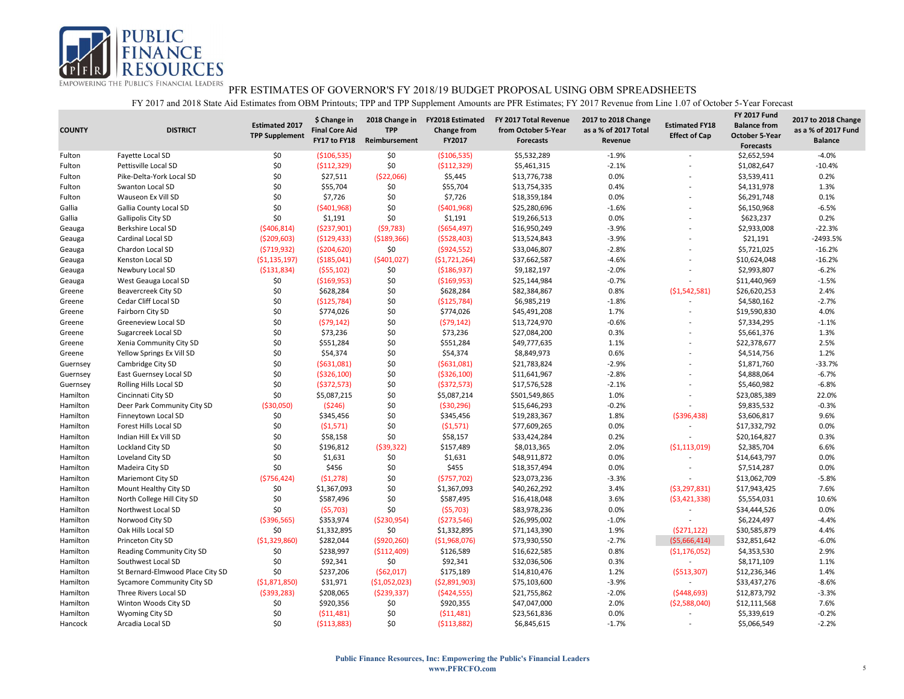

| <b>COUNTY</b> | <b>DISTRICT</b>                  | <b>Estimated 2017</b><br><b>TPP Supplement</b> | \$ Change in<br><b>Final Core Aid</b><br>FY17 to FY18 | 2018 Change in<br><b>TPP</b><br>Reimbursement | <b>FY2018 Estimated</b><br><b>Change from</b><br>FY2017 | FY 2017 Total Revenue<br>from October 5-Year<br>Forecasts | 2017 to 2018 Change<br>as a % of 2017 Total<br>Revenue | <b>Estimated FY18</b><br><b>Effect of Cap</b> | <b>FY 2017 Fund</b><br><b>Balance from</b><br><b>October 5-Year</b><br><b>Forecasts</b> | 2017 to 2018 Change<br>as a % of 2017 Fund<br><b>Balance</b> |
|---------------|----------------------------------|------------------------------------------------|-------------------------------------------------------|-----------------------------------------------|---------------------------------------------------------|-----------------------------------------------------------|--------------------------------------------------------|-----------------------------------------------|-----------------------------------------------------------------------------------------|--------------------------------------------------------------|
| Fulton        | Fayette Local SD                 | \$0                                            | ( \$106, 535)                                         | \$0                                           | ( \$106, 535)                                           | \$5,532,289                                               | $-1.9%$                                                |                                               | \$2,652,594                                                                             | $-4.0%$                                                      |
| Fulton        | Pettisville Local SD             | \$0                                            | ( \$112, 329)                                         | \$0                                           | ( \$112, 329]                                           | \$5,461,315                                               | $-2.1%$                                                |                                               | \$1,082,647                                                                             | $-10.4%$                                                     |
| Fulton        | Pike-Delta-York Local SD         | \$0                                            | \$27,511                                              | ( \$22,066)                                   | \$5,445                                                 | \$13,776,738                                              | 0.0%                                                   |                                               | \$3,539,411                                                                             | 0.2%                                                         |
| Fulton        | <b>Swanton Local SD</b>          | \$0                                            | \$55,704                                              | \$0                                           | \$55,704                                                | \$13,754,335                                              | 0.4%                                                   |                                               | \$4,131,978                                                                             | 1.3%                                                         |
| Fulton        | Wauseon Ex Vill SD               | \$0                                            | \$7,726                                               | \$0                                           | \$7,726                                                 | \$18,359,184                                              | 0.0%                                                   | ÷                                             | \$6,291,748                                                                             | 0.1%                                                         |
| Gallia        | Gallia County Local SD           | \$0                                            | ( \$401, 968)                                         | \$0                                           | ( \$401, 968)                                           | \$25,280,696                                              | $-1.6%$                                                |                                               | \$6,150,968                                                                             | $-6.5%$                                                      |
| Gallia        | Gallipolis City SD               | \$0                                            | \$1,191                                               | \$0                                           | \$1,191                                                 | \$19,266,513                                              | 0.0%                                                   | $\overline{a}$                                | \$623,237                                                                               | 0.2%                                                         |
| Geauga        | Berkshire Local SD               | ( \$406, 814)                                  | ( \$237,901)                                          | (59, 783)                                     | ( \$654, 497)                                           | \$16,950,249                                              | $-3.9%$                                                |                                               | \$2,933,008                                                                             | $-22.3%$                                                     |
| Geauga        | Cardinal Local SD                | ( \$209, 603)                                  | ( \$129, 433)                                         | ( \$189, 366)                                 | ( \$528,403)                                            | \$13,524,843                                              | $-3.9%$                                                |                                               | \$21,191                                                                                | $-2493.5%$                                                   |
| Geauga        | Chardon Local SD                 | (5719, 932)                                    | ( \$204, 620)                                         | \$0                                           | ( \$924, 552)                                           | \$33,046,807                                              | $-2.8%$                                                |                                               | \$5,721,025                                                                             | $-16.2%$                                                     |
| Geauga        | Kenston Local SD                 | ( \$1,135,197)                                 | ( \$185,041)                                          | (5401, 027)                                   | (51,721,264)                                            | \$37,662,587                                              | $-4.6%$                                                | $\overline{a}$                                | \$10,624,048                                                                            | $-16.2%$                                                     |
| Geauga        | Newbury Local SD                 | ( \$131, 834)                                  | (555, 102)                                            | \$0                                           | ( \$186, 937)                                           | \$9,182,197                                               | $-2.0%$                                                |                                               | \$2,993,807                                                                             | $-6.2%$                                                      |
| Geauga        | West Geauga Local SD             | \$0                                            | ( \$169, 953)                                         | \$0                                           | ( \$169, 953)                                           | \$25,144,984                                              | $-0.7%$                                                | $\overline{a}$                                | \$11,440,969                                                                            | $-1.5%$                                                      |
| Greene        | Beavercreek City SD              | \$0                                            | \$628,284                                             | \$0                                           | \$628,284                                               | \$82,384,867                                              | 0.8%                                                   | (51, 542, 581)                                | \$26,620,253                                                                            | 2.4%                                                         |
| Greene        | Cedar Cliff Local SD             | \$0                                            | (\$125,784)                                           | \$0                                           | (\$125,784)                                             | \$6,985,219                                               | $-1.8%$                                                |                                               | \$4,580,162                                                                             | $-2.7%$                                                      |
| Greene        | Fairborn City SD                 | \$0                                            | \$774,026                                             | \$0                                           | \$774,026                                               | \$45,491,208                                              | 1.7%                                                   |                                               | \$19,590,830                                                                            | 4.0%                                                         |
| Greene        | Greeneview Local SD              | \$0                                            | (579, 142)                                            | \$0                                           | (579, 142)                                              | \$13,724,970                                              | $-0.6%$                                                | $\overline{a}$                                | \$7,334,295                                                                             | $-1.1%$                                                      |
| Greene        | Sugarcreek Local SD              | \$0                                            | \$73,236                                              | \$0                                           | \$73,236                                                | \$27,084,200                                              | 0.3%                                                   |                                               | \$5,661,376                                                                             | 1.3%                                                         |
| Greene        | Xenia Community City SD          | \$0                                            | \$551,284                                             | \$0                                           | \$551,284                                               | \$49,777,635                                              | 1.1%                                                   |                                               | \$22,378,677                                                                            | 2.5%                                                         |
| Greene        | Yellow Springs Ex Vill SD        | \$0                                            | \$54,374                                              | \$0                                           | \$54,374                                                | \$8,849,973                                               | 0.6%                                                   |                                               | \$4,514,756                                                                             | 1.2%                                                         |
| Guernsey      | Cambridge City SD                | \$0                                            | ( \$631,081)                                          | \$0                                           | ( \$631,081)                                            | \$21,783,824                                              | $-2.9%$                                                | L,                                            | \$1,871,760                                                                             | $-33.7%$                                                     |
| Guernsey      | East Guernsey Local SD           | \$0                                            | ( \$326, 100)                                         | \$0                                           | ( \$326, 100)                                           | \$11,641,967                                              | $-2.8%$                                                |                                               | \$4,888,064                                                                             | $-6.7%$                                                      |
| Guernsey      | Rolling Hills Local SD           | \$0                                            | ( \$372, 573)                                         | \$0                                           | ( \$372, 573)                                           | \$17,576,528                                              | $-2.1%$                                                | ÷                                             | \$5,460,982                                                                             | $-6.8%$                                                      |
| Hamilton      | Cincinnati City SD               | \$0                                            | \$5,087,215                                           | \$0                                           | \$5,087,214                                             | \$501,549,865                                             | 1.0%                                                   |                                               | \$23,085,389                                                                            | 22.0%                                                        |
| Hamilton      | Deer Park Community City SD      | ( \$30,050)                                    | (5246)                                                | \$0                                           | ( \$30, 296)                                            | \$15,646,293                                              | $-0.2%$                                                | $\overline{\phantom{a}}$                      | \$9,835,532                                                                             | $-0.3%$                                                      |
| Hamilton      | Finneytown Local SD              | \$0                                            | \$345,456                                             | \$0                                           | \$345,456                                               | \$19,283,367                                              | 1.8%                                                   | ( \$396, 438)                                 | \$3,606,817                                                                             | 9.6%                                                         |
| Hamilton      | Forest Hills Local SD            | \$0                                            | (51,571)                                              | \$0                                           | (51,571)                                                | \$77,609,265                                              | 0.0%                                                   |                                               | \$17,332,792                                                                            | 0.0%                                                         |
| Hamilton      | Indian Hill Ex Vill SD           | \$0                                            | \$58,158                                              | \$0                                           | \$58,157                                                | \$33,424,284                                              | 0.2%                                                   | $\overline{a}$                                | \$20,164,827                                                                            | 0.3%                                                         |
| Hamilton      | Lockland City SD                 | \$0                                            | \$196,812                                             | (539, 322)                                    | \$157,489                                               | \$8,013,365                                               | 2.0%                                                   | (51, 113, 019)                                | \$2,385,704                                                                             | 6.6%                                                         |
| Hamilton      | Loveland City SD                 | \$0                                            | \$1,631                                               | \$0                                           | \$1,631                                                 | \$48,911,872                                              | 0.0%                                                   |                                               | \$14,643,797                                                                            | 0.0%                                                         |
| Hamilton      | Madeira City SD                  | \$0                                            | \$456                                                 | \$0                                           | \$455                                                   | \$18,357,494                                              | 0.0%                                                   | $\overline{\phantom{a}}$                      | \$7,514,287                                                                             | 0.0%                                                         |
| Hamilton      | Mariemont City SD                | ( \$756, 424)                                  | (51, 278)                                             | \$0                                           | (\$757,702)                                             | \$23,073,236                                              | $-3.3%$                                                |                                               | \$13,062,709                                                                            | $-5.8%$                                                      |
| Hamilton      | Mount Healthy City SD            | \$0                                            | \$1,367,093                                           | \$0                                           | \$1,367,093                                             | \$40,262,292                                              | 3.4%                                                   | (53, 297, 831)                                | \$17,943,425                                                                            | 7.6%                                                         |
| Hamilton      | North College Hill City SD       | \$0                                            | \$587,496                                             | \$0                                           | \$587,495                                               | \$16,418,048                                              | 3.6%                                                   | ( \$3,421,338)                                | \$5,554,031                                                                             | 10.6%                                                        |
| Hamilton      | Northwest Local SD               | \$0                                            | (55,703)                                              | \$0                                           | (55,703)                                                | \$83,978,236                                              | 0.0%                                                   | $\overline{\phantom{a}}$                      | \$34,444,526                                                                            | 0.0%                                                         |
| Hamilton      | Norwood City SD                  | ( \$396, 565)                                  | \$353,974                                             | ( \$230, 954)                                 | (\$273,546)                                             | \$26,995,002                                              | $-1.0%$                                                | $\overline{a}$                                | \$6,224,497                                                                             | $-4.4%$                                                      |
| Hamilton      | Oak Hills Local SD               | \$0                                            | \$1,332,895                                           | \$0                                           | \$1,332,895                                             | \$71,143,390                                              | 1.9%                                                   | (5271, 122)                                   | \$30,585,879                                                                            | 4.4%                                                         |
| Hamilton      | Princeton City SD                | (\$1,329,860)                                  | \$282,044                                             | ( \$920, 260)                                 | ( \$1,968,076)                                          | \$73,930,550                                              | $-2.7%$                                                | ( \$5,666,414)                                | \$32,851,642                                                                            | $-6.0%$                                                      |
| Hamilton      | Reading Community City SD        | \$0                                            | \$238,997                                             | ( \$112,409)                                  | \$126,589                                               | \$16,622,585                                              | 0.8%                                                   | (51, 176, 052)                                | \$4,353,530                                                                             | 2.9%                                                         |
|               | Southwest Local SD               | \$0                                            | \$92,341                                              | \$0                                           | \$92,341                                                | \$32,036,506                                              | 0.3%                                                   | $\sim$                                        |                                                                                         | 1.1%                                                         |
| Hamilton      |                                  | \$0                                            | \$237,206                                             |                                               |                                                         |                                                           |                                                        |                                               | \$8,171,109                                                                             | 1.4%                                                         |
| Hamilton      | St Bernard-Elmwood Place City SD |                                                |                                                       | (562,017)                                     | \$175,189                                               | \$14,810,476                                              | 1.2%                                                   | ( \$513, 307)<br>$\overline{a}$               | \$12,236,346                                                                            |                                                              |
| Hamilton      | Sycamore Community City SD       | ( \$1,871,850)                                 | \$31,971                                              | ( \$1,052,023)                                | ( \$2,891,903)                                          | \$75,103,600                                              | $-3.9%$                                                |                                               | \$33,437,276                                                                            | $-8.6%$                                                      |
| Hamilton      | Three Rivers Local SD            | ( \$393, 283)                                  | \$208,065                                             | ( \$239, 337)                                 | ( \$424, 555)                                           | \$21,755,862                                              | $-2.0%$                                                | (5448, 693)                                   | \$12,873,792                                                                            | $-3.3%$                                                      |
| Hamilton      | Winton Woods City SD             | \$0                                            | \$920,356                                             | \$0                                           | \$920,355                                               | \$47,047,000                                              | 2.0%                                                   | (52,588,040)                                  | \$12,111,568                                                                            | 7.6%                                                         |
| Hamilton      | Wyoming City SD                  | \$0                                            | ( \$11,481)                                           | \$0                                           | (511, 481)                                              | \$23,561,836                                              | 0.0%                                                   | $\overline{\phantom{a}}$                      | \$5,339,619                                                                             | $-0.2%$                                                      |
| Hancock       | Arcadia Local SD                 | \$0                                            | ( \$113, 883)                                         | \$0                                           | ( \$113, 882]                                           | \$6.845.615                                               | $-1.7%$                                                | $\overline{a}$                                | \$5,066,549                                                                             | $-2.2%$                                                      |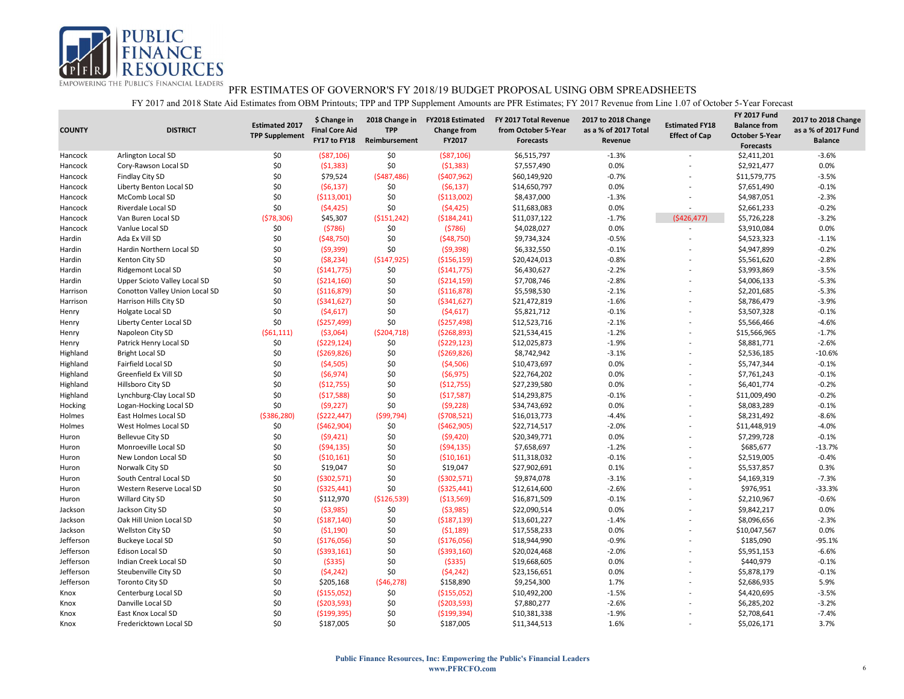

| <b>COUNTY</b> | <b>DISTRICT</b>                | <b>Estimated 2017</b><br><b>TPP Supplement</b> | \$ Change in<br><b>Final Core Aid</b><br>FY17 to FY18 | 2018 Change in<br><b>TPP</b><br>Reimbursement | <b>FY2018 Estimated</b><br><b>Change from</b><br>FY2017 | FY 2017 Total Revenue<br>from October 5-Year<br>Forecasts | 2017 to 2018 Change<br>as a % of 2017 Total<br>Revenue | <b>Estimated FY18</b><br><b>Effect of Cap</b> | <b>FY 2017 Fund</b><br><b>Balance from</b><br><b>October 5-Year</b><br><b>Forecasts</b> | 2017 to 2018 Change<br>as a % of 2017 Fund<br><b>Balance</b> |
|---------------|--------------------------------|------------------------------------------------|-------------------------------------------------------|-----------------------------------------------|---------------------------------------------------------|-----------------------------------------------------------|--------------------------------------------------------|-----------------------------------------------|-----------------------------------------------------------------------------------------|--------------------------------------------------------------|
| Hancock       | Arlington Local SD             | \$0                                            | ( \$87, 106)                                          | \$0                                           | ( \$87,106)                                             | \$6,515,797                                               | $-1.3%$                                                |                                               | \$2,411,201                                                                             | $-3.6%$                                                      |
| Hancock       | Cory-Rawson Local SD           | \$0                                            | (51, 383)                                             | \$0                                           | (51, 383)                                               | \$7,557,490                                               | 0.0%                                                   |                                               | \$2,921,477                                                                             | 0.0%                                                         |
| Hancock       | Findlay City SD                | \$0                                            | \$79,524                                              | (5487, 486)                                   | (\$407,962)                                             | \$60,149,920                                              | $-0.7%$                                                |                                               | \$11,579,775                                                                            | $-3.5%$                                                      |
| Hancock       | Liberty Benton Local SD        | \$0                                            | (56, 137)                                             | \$0                                           | (56, 137)                                               | \$14,650,797                                              | 0.0%                                                   |                                               | \$7,651,490                                                                             | $-0.1%$                                                      |
| Hancock       | McComb Local SD                | \$0                                            | ( \$113,001)                                          | \$0                                           | ( \$113,002)                                            | \$8,437,000                                               | $-1.3%$                                                | ÷,                                            | \$4,987,051                                                                             | $-2.3%$                                                      |
| Hancock       | Riverdale Local SD             | \$0                                            | (54, 425)                                             | \$0                                           | (54, 425)                                               | \$11,683,083                                              | 0.0%                                                   | $\overline{a}$                                | \$2,661,233                                                                             | $-0.2%$                                                      |
| Hancock       | Van Buren Local SD             | (578, 306)                                     | \$45,307                                              | ( \$151, 242)                                 | ( \$184, 241)                                           | \$11,037,122                                              | $-1.7%$                                                | (5426, 477)                                   | \$5,726,228                                                                             | $-3.2%$                                                      |
| Hancock       | Vanlue Local SD                | \$0                                            | (5786)                                                | \$0                                           | (5786)                                                  | \$4,028,027                                               | 0.0%                                                   | $\overline{a}$                                | \$3,910,084                                                                             | 0.0%                                                         |
| Hardin        | Ada Ex Vill SD                 | \$0                                            | ( \$48,750)                                           | \$0                                           | (548, 750)                                              | \$9,734,324                                               | $-0.5%$                                                |                                               | \$4,523,323                                                                             | $-1.1%$                                                      |
| Hardin        | Hardin Northern Local SD       | \$0                                            | (59,399)                                              | \$0                                           | (59, 398)                                               | \$6,332,550                                               | $-0.1%$                                                |                                               | \$4,947,899                                                                             | $-0.2%$                                                      |
| Hardin        | Kenton City SD                 | \$0                                            | (58, 234)                                             | ( \$147, 925)                                 | ( \$156, 159)                                           | \$20,424,013                                              | $-0.8%$                                                | $\overline{a}$                                | \$5,561,620                                                                             | $-2.8%$                                                      |
| Hardin        | Ridgemont Local SD             | \$0                                            | ( \$141, 775)                                         | \$0                                           | ( \$141, 775)                                           | \$6,430,627                                               | $-2.2%$                                                |                                               | \$3,993,869                                                                             | $-3.5%$                                                      |
| Hardin        | Upper Scioto Valley Local SD   | \$0                                            | ( \$214,160)                                          | \$0                                           | ( \$214, 159)                                           | \$7,708,746                                               | $-2.8%$                                                | L,                                            | \$4,006,133                                                                             | $-5.3%$                                                      |
| Harrison      | Conotton Valley Union Local SD | \$0                                            | ( \$116, 879)                                         | \$0                                           | ( \$116, 878)                                           | \$5,598,530                                               | $-2.1%$                                                |                                               | \$2,201,685                                                                             | $-5.3%$                                                      |
| Harrison      | Harrison Hills City SD         | \$0                                            | ( \$341, 627)                                         | \$0                                           | ( \$341, 627)                                           | \$21,472,819                                              | $-1.6%$                                                | L,                                            | \$8,786,479                                                                             | $-3.9%$                                                      |
| Henry         | <b>Holgate Local SD</b>        | \$0                                            | (54, 617)                                             | \$0                                           | (54, 617)                                               | \$5,821,712                                               | $-0.1%$                                                |                                               | \$3,507,328                                                                             | $-0.1%$                                                      |
| Henry         | Liberty Center Local SD        | \$0                                            | (\$257,499)                                           | \$0                                           | (\$257,498)                                             | \$12,523,716                                              | $-2.1%$                                                |                                               | \$5,566,466                                                                             | $-4.6%$                                                      |
| Henry         | Napoleon City SD               | (561, 111)                                     | ( \$3,064)                                            | ( \$204, 718)                                 | (5268, 893)                                             | \$21,534,415                                              | $-1.2%$                                                |                                               | \$15,566,965                                                                            | $-1.7%$                                                      |
| Henry         | Patrick Henry Local SD         | \$0                                            | ( \$229, 124)                                         | \$0                                           | (5229, 123)                                             | \$12,025,873                                              | $-1.9%$                                                |                                               | \$8,881,771                                                                             | $-2.6%$                                                      |
| Highland      | <b>Bright Local SD</b>         | \$0                                            | ( \$269, 826)                                         | \$0                                           | ( \$269, 826)                                           | \$8,742,942                                               | $-3.1%$                                                |                                               | \$2,536,185                                                                             | $-10.6%$                                                     |
| Highland      | Fairfield Local SD             | \$0                                            | (54,505)                                              | \$0                                           | (54,506)                                                | \$10,473,697                                              | 0.0%                                                   | L,                                            | \$5,747,344                                                                             | $-0.1%$                                                      |
| Highland      | Greenfield Ex Vill SD          | \$0                                            | (56, 974)                                             | \$0                                           | (56, 975)                                               | \$22,764,202                                              | 0.0%                                                   |                                               | \$7,761,243                                                                             | $-0.1%$                                                      |
| Highland      | Hillsboro City SD              | \$0                                            | ( \$12,755)                                           | \$0                                           | (\$12,755)                                              | \$27,239,580                                              | 0.0%                                                   | ÷                                             | \$6,401,774                                                                             | $-0.2%$                                                      |
| Highland      | Lynchburg-Clay Local SD        | \$0                                            | (\$17,588)                                            | \$0                                           | (\$17,587)                                              | \$14,293,875                                              | $-0.1%$                                                |                                               | \$11,009,490                                                                            | $-0.2%$                                                      |
| Hocking       | Logan-Hocking Local SD         | \$0                                            | (59, 227)                                             | \$0                                           | (59, 228)                                               | \$34,743,692                                              | 0.0%                                                   |                                               | \$8,083,289                                                                             | $-0.1%$                                                      |
| Holmes        | East Holmes Local SD           | ( \$386, 280)                                  | (\$222,447)                                           | (\$99,794)                                    | (5708, 521)                                             | \$16,013,773                                              | $-4.4%$                                                |                                               | \$8,231,492                                                                             | $-8.6%$                                                      |
| Holmes        | West Holmes Local SD           | \$0                                            | ( \$462, 904)                                         | \$0                                           | ( \$462, 905)                                           | \$22,714,517                                              | $-2.0%$                                                | ÷                                             | \$11,448,919                                                                            | $-4.0%$                                                      |
| Huron         | <b>Bellevue City SD</b>        | \$0                                            | (59, 421)                                             | \$0                                           | (59, 420)                                               | \$20,349,771                                              | 0.0%                                                   |                                               | \$7,299,728                                                                             | $-0.1%$                                                      |
| Huron         | Monroeville Local SD           | \$0                                            | (594, 135)                                            | \$0                                           | (594, 135)                                              | \$7,658,697                                               | $-1.2%$                                                | $\overline{\phantom{a}}$                      | \$685,677                                                                               | $-13.7%$                                                     |
| Huron         | New London Local SD            | \$0                                            | ( \$10, 161)                                          | \$0                                           | ( \$10, 161)                                            | \$11,318,032                                              | $-0.1%$                                                |                                               | \$2,519,005                                                                             | $-0.4%$                                                      |
| Huron         | Norwalk City SD                | \$0                                            | \$19,047                                              | \$0                                           | \$19,047                                                | \$27,902,691                                              | 0.1%                                                   | ÷                                             | \$5,537,857                                                                             | 0.3%                                                         |
| Huron         | South Central Local SD         | \$0                                            | ( \$302,571)                                          | \$0                                           | ( \$302, 571)                                           | \$9,874,078                                               | $-3.1%$                                                |                                               | \$4,169,319                                                                             | $-7.3%$                                                      |
| Huron         | Western Reserve Local SD       | \$0                                            | ( \$325,441)                                          | \$0                                           | ( \$325, 441)                                           | \$12,614,600                                              | $-2.6%$                                                |                                               | \$976,951                                                                               | $-33.3%$                                                     |
| Huron         | Willard City SD                | \$0                                            | \$112,970                                             | ( \$126, 539)                                 | ( \$13,569)                                             | \$16,871,509                                              | $-0.1%$                                                |                                               | \$2,210,967                                                                             | $-0.6%$                                                      |
| Jackson       | Jackson City SD                | \$0                                            | ( \$3,985)                                            | \$0                                           | (53,985)                                                | \$22,090,514                                              | 0.0%                                                   | ÷                                             | \$9,842,217                                                                             | 0.0%                                                         |
| Jackson       | Oak Hill Union Local SD        | \$0                                            | ( \$187, 140)                                         | \$0                                           | ( \$187, 139)                                           | \$13,601,227                                              | $-1.4%$                                                |                                               | \$8,096,656                                                                             | $-2.3%$                                                      |
| Jackson       | Wellston City SD               | \$0                                            | ( \$1,190)                                            | \$0                                           | (51, 189)                                               | \$17,558,233                                              | 0.0%                                                   | $\overline{\phantom{a}}$                      | \$10,047,567                                                                            | 0.0%                                                         |
| Jefferson     | <b>Buckeye Local SD</b>        | \$0                                            | (\$176,056)                                           | \$0                                           | (\$176,056)                                             | \$18,944,990                                              | $-0.9%$                                                | ÷.                                            | \$185,090                                                                               | $-95.1%$                                                     |
| Jefferson     | Edison Local SD                | \$0                                            | ( \$393,161)                                          | \$0                                           | ( \$393, 160)                                           | \$20,024,468                                              | $-2.0%$                                                | ÷                                             | \$5,951,153                                                                             | $-6.6%$                                                      |
| Jefferson     | Indian Creek Local SD          | \$0                                            | ( \$335)                                              | \$0                                           | (5335)                                                  | \$19,668,605                                              | 0.0%                                                   |                                               | \$440,979                                                                               | $-0.1%$                                                      |
| Jefferson     | Steubenville City SD           | \$0                                            | (54, 242)                                             | \$0                                           | (54, 242)                                               | \$23,156,651                                              | 0.0%                                                   | L,                                            | \$5,878,179                                                                             | $-0.1%$                                                      |
| Jefferson     | <b>Toronto City SD</b>         | \$0                                            | \$205,168                                             | (546, 278)                                    | \$158,890                                               | \$9,254,300                                               | 1.7%                                                   |                                               | \$2,686,935                                                                             | 5.9%                                                         |
| Knox          | Centerburg Local SD            | \$0                                            | ( \$155,052)                                          | \$0                                           | ( \$155,052]                                            | \$10,492,200                                              | $-1.5%$                                                | ÷                                             | \$4,420,695                                                                             | $-3.5%$                                                      |
| Knox          | Danville Local SD              | \$0                                            | ( \$203, 593)                                         | \$0                                           | ( \$203, 593)                                           | \$7,880,277                                               | $-2.6%$                                                |                                               | \$6,285,202                                                                             | $-3.2%$                                                      |
| Knox          | East Knox Local SD             | \$0                                            | ( \$199, 395)                                         | \$0                                           | ( \$199, 394)                                           | \$10,381,338                                              | $-1.9%$                                                |                                               | \$2,708,641                                                                             | $-7.4%$                                                      |
| Knox          | Fredericktown Local SD         | \$0                                            | \$187,005                                             | \$0                                           | \$187,005                                               | \$11,344,513                                              | 1.6%                                                   | $\overline{a}$                                | \$5,026,171                                                                             | 3.7%                                                         |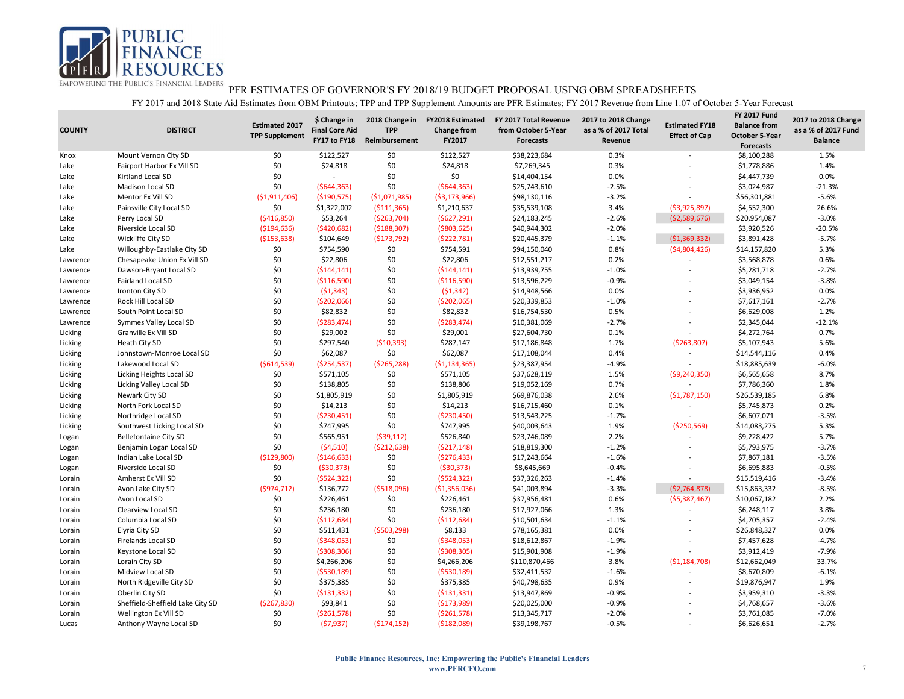

| <b>COUNTY</b> | <b>DISTRICT</b>                  | <b>Estimated 2017</b><br><b>TPP Supplement</b> | \$ Change in<br><b>Final Core Aid</b><br>FY17 to FY18 | 2018 Change in<br><b>TPP</b><br>Reimbursement | <b>FY2018 Estimated</b><br><b>Change from</b><br>FY2017 | FY 2017 Total Revenue<br>from October 5-Year<br>Forecasts | 2017 to 2018 Change<br>as a % of 2017 Total<br>Revenue | <b>Estimated FY18</b><br><b>Effect of Cap</b> | <b>FY 2017 Fund</b><br><b>Balance from</b><br><b>October 5-Year</b><br><b>Forecasts</b> | 2017 to 2018 Change<br>as a % of 2017 Fund<br><b>Balance</b> |
|---------------|----------------------------------|------------------------------------------------|-------------------------------------------------------|-----------------------------------------------|---------------------------------------------------------|-----------------------------------------------------------|--------------------------------------------------------|-----------------------------------------------|-----------------------------------------------------------------------------------------|--------------------------------------------------------------|
| Knox          | Mount Vernon City SD             | \$0                                            | \$122,527                                             | \$0                                           | \$122,527                                               | \$38,223,684                                              | 0.3%                                                   |                                               | \$8,100,288                                                                             | 1.5%                                                         |
| Lake          | Fairport Harbor Ex Vill SD       | \$0                                            | \$24,818                                              | \$0                                           | \$24,818                                                | \$7,269,345                                               | 0.3%                                                   |                                               | \$1,778,886                                                                             | 1.4%                                                         |
| Lake          | Kirtland Local SD                | \$0                                            |                                                       | \$0                                           | \$0                                                     | \$14,404,154                                              | 0.0%                                                   |                                               | \$4,447,739                                                                             | 0.0%                                                         |
| Lake          | Madison Local SD                 | \$0                                            | (5644, 363)                                           | \$0                                           | (5644, 363)                                             | \$25,743,610                                              | $-2.5%$                                                |                                               | \$3,024,987                                                                             | $-21.3%$                                                     |
| Lake          | Mentor Ex Vill SD                | ( \$1,911,406)                                 | ( \$190, 575)                                         | ( \$1,071,985)                                | ( \$3,173,966)                                          | \$98,130,116                                              | $-3.2%$                                                |                                               | \$56,301,881                                                                            | $-5.6%$                                                      |
| Lake          | Painsville City Local SD         | \$0                                            | \$1,322,002                                           | ( \$111, 365)                                 | \$1,210,637                                             | \$35,539,108                                              | 3.4%                                                   | (53,925,897)                                  | \$4,552,300                                                                             | 26.6%                                                        |
| Lake          | Perry Local SD                   | ( \$416, 850)                                  | \$53,264                                              | ( \$263, 704)                                 | (5627, 291)                                             | \$24,183,245                                              | $-2.6%$                                                | (52,589,676)                                  | \$20,954,087                                                                            | $-3.0%$                                                      |
| Lake          | Riverside Local SD               | ( \$194, 636)                                  | ( \$420, 682)                                         | ( \$188, 307)                                 | ( \$803, 625)                                           | \$40,944,302                                              | $-2.0%$                                                | $\sim$                                        | \$3,920,526                                                                             | $-20.5%$                                                     |
| Lake          | Wickliffe City SD                | ( \$153, 638)                                  | \$104,649                                             | ( \$173, 792)                                 | ( \$222, 781)                                           | \$20,445,379                                              | $-1.1%$                                                | (51, 369, 332)                                | \$3,891,428                                                                             | $-5.7%$                                                      |
| Lake          | Willoughby-Eastlake City SD      | \$0                                            | \$754,590                                             | \$0                                           | \$754,591                                               | \$94,150,040                                              | 0.8%                                                   | (54,804,426)                                  | \$14,157,820                                                                            | 5.3%                                                         |
| Lawrence      | Chesapeake Union Ex Vill SD      | \$0                                            | \$22,806                                              | \$0                                           | \$22,806                                                | \$12,551,217                                              | 0.2%                                                   |                                               | \$3,568,878                                                                             | 0.6%                                                         |
| Lawrence      | Dawson-Bryant Local SD           | \$0                                            | (5144, 141)                                           | \$0                                           | (5144, 141)                                             | \$13,939,755                                              | $-1.0%$                                                |                                               | \$5,281,718                                                                             | $-2.7%$                                                      |
| Lawrence      | <b>Fairland Local SD</b>         | \$0                                            | ( \$116,590)                                          | \$0                                           | ( \$116, 590)                                           | \$13,596,229                                              | $-0.9%$                                                |                                               | \$3,049,154                                                                             | $-3.8%$                                                      |
| Lawrence      | Ironton City SD                  | \$0                                            | (51, 343)                                             | \$0                                           | (51, 342)                                               | \$14,948,566                                              | 0.0%                                                   |                                               | \$3,936,952                                                                             | 0.0%                                                         |
| Lawrence      | Rock Hill Local SD               | \$0                                            | ( \$202,066)                                          | \$0                                           | ( \$202,065)                                            | \$20,339,853                                              | $-1.0%$                                                | ÷                                             | \$7,617,161                                                                             | $-2.7%$                                                      |
| Lawrence      | South Point Local SD             | \$0                                            | \$82,832                                              | \$0                                           | \$82,832                                                | \$16,754,530                                              | 0.5%                                                   |                                               | \$6,629,008                                                                             | 1.2%                                                         |
| Lawrence      | Symmes Valley Local SD           | \$0                                            | ( \$283,474)                                          | \$0                                           | (5283, 474)                                             | \$10,381,069                                              | $-2.7%$                                                | ٠                                             | \$2,345,044                                                                             | $-12.1%$                                                     |
| Licking       | Granville Ex Vill SD             | \$0                                            | \$29,002                                              | \$0                                           | \$29,001                                                | \$27,604,730                                              | 0.1%                                                   |                                               | \$4,272,764                                                                             | 0.7%                                                         |
| Licking       | Heath City SD                    | \$0                                            | \$297,540                                             | ( \$10, 393)                                  | \$287,147                                               | \$17,186,848                                              | 1.7%                                                   | ( \$263, 807)                                 | \$5,107,943                                                                             | 5.6%                                                         |
| Licking       | Johnstown-Monroe Local SD        | \$0                                            | \$62,087                                              | \$0                                           | \$62,087                                                | \$17,108,044                                              | 0.4%                                                   |                                               | \$14,544,116                                                                            | 0.4%                                                         |
| Licking       | Lakewood Local SD                | (5614, 539)                                    | ( \$254, 537)                                         | ( \$265, 288)                                 | ( \$1,134,365)                                          | \$23,387,954                                              | $-4.9%$                                                | $\overline{a}$                                | \$18,885,639                                                                            | $-6.0%$                                                      |
| Licking       | Licking Heights Local SD         | \$0                                            | \$571,105                                             | \$0                                           | \$571,105                                               | \$37,628,119                                              | 1.5%                                                   | ( \$9, 240, 350)                              | \$6,565,658                                                                             | 8.7%                                                         |
| Licking       | Licking Valley Local SD          | \$0                                            | \$138,805                                             | \$0                                           | \$138,806                                               | \$19,052,169                                              | 0.7%                                                   |                                               | \$7,786,360                                                                             | 1.8%                                                         |
| Licking       | Newark City SD                   | \$0                                            | \$1,805,919                                           | \$0                                           | \$1,805,919                                             | \$69,876,038                                              | 2.6%                                                   | (51,787,150)                                  | \$26,539,185                                                                            | 6.8%                                                         |
| Licking       | North Fork Local SD              | \$0                                            | \$14,213                                              | \$0                                           | \$14,213                                                | \$16,715,460                                              | 0.1%                                                   | $\overline{\phantom{a}}$                      | \$5,745,873                                                                             | 0.2%                                                         |
| Licking       | Northridge Local SD              | \$0                                            | (5230, 451)                                           | \$0                                           | ( \$230,450)                                            | \$13,543,225                                              | $-1.7%$                                                | $\overline{a}$                                | \$6,607,071                                                                             | $-3.5%$                                                      |
| Licking       | Southwest Licking Local SD       | \$0                                            | \$747,995                                             | \$0                                           | \$747,995                                               | \$40,003,643                                              | 1.9%                                                   | ( \$250, 569)                                 | \$14,083,275                                                                            | 5.3%                                                         |
| Logan         | <b>Bellefontaine City SD</b>     | \$0                                            | \$565,951                                             | (539, 112)                                    | \$526,840                                               | \$23,746,089                                              | 2.2%                                                   |                                               | \$9,228,422                                                                             | 5.7%                                                         |
| Logan         | Benjamin Logan Local SD          | \$0                                            | (54,510)                                              | ( \$212, 638)                                 | (5217, 148)                                             | \$18,819,300                                              | $-1.2%$                                                | ÷                                             | \$5,793,975                                                                             | $-3.7%$                                                      |
| Logan         | Indian Lake Local SD             | (\$129,800)                                    | ( \$146, 633)                                         | \$0                                           | ( \$276, 433)                                           | \$17,243,664                                              | $-1.6%$                                                |                                               | \$7,867,181                                                                             | $-3.5%$                                                      |
| Logan         | <b>Riverside Local SD</b>        | \$0                                            | (530, 373)                                            | \$0                                           | ( \$30, 373)                                            | \$8,645,669                                               | $-0.4%$                                                |                                               | \$6,695,883                                                                             | $-0.5%$                                                      |
| Lorain        | Amherst Ex Vill SD               | \$0                                            | (5524, 322)                                           | \$0                                           | (5524, 322)                                             | \$37,326,263                                              | $-1.4%$                                                |                                               | \$15,519,416                                                                            | $-3.4%$                                                      |
| Lorain        | Avon Lake City SD                | (5974, 712)                                    | \$136,772                                             | ( \$518,096)                                  | ( \$1,356,036)                                          | \$41,003,894                                              | $-3.3%$                                                | (52, 764, 878)                                | \$15,863,332                                                                            | $-8.5%$                                                      |
| Lorain        | Avon Local SD                    | \$0                                            | \$226,461                                             | \$0                                           | \$226,461                                               | \$37,956,481                                              | 0.6%                                                   | ( \$5,387,467)                                | \$10,067,182                                                                            | 2.2%                                                         |
| Lorain        | Clearview Local SD               | \$0                                            | \$236,180                                             | \$0                                           | \$236,180                                               | \$17,927,066                                              | 1.3%                                                   |                                               | \$6,248,117                                                                             | 3.8%                                                         |
| Lorain        | Columbia Local SD                | \$0                                            | ( \$112,684)                                          | \$0                                           | (\$112,684)                                             | \$10,501,634                                              | $-1.1%$                                                |                                               | \$4,705,357                                                                             | $-2.4%$                                                      |
| Lorain        | Elyria City SD                   | \$0                                            | \$511,431                                             | (5503, 298)                                   | \$8,133                                                 | \$78,165,381                                              | 0.0%                                                   |                                               | \$26,848,327                                                                            | 0.0%                                                         |
| Lorain        | Firelands Local SD               | \$0                                            | ( \$348,053)                                          | \$0                                           | ( \$348,053)                                            | \$18,612,867                                              | $-1.9%$                                                |                                               | \$7,457,628                                                                             | $-4.7%$                                                      |
| Lorain        | Keystone Local SD                | \$0                                            | ( \$308, 306)                                         | \$0                                           | ( \$308, 305)                                           | \$15,901,908                                              | $-1.9%$                                                |                                               | \$3,912,419                                                                             | $-7.9%$                                                      |
| Lorain        | Lorain City SD                   | \$0                                            | \$4,266,206                                           | \$0                                           | \$4,266,206                                             | \$110,870,466                                             | 3.8%                                                   | ( \$1,184,708)                                | \$12,662,049                                                                            | 33.7%                                                        |
| Lorain        | Midview Local SD                 | \$0                                            | (5530, 189)                                           | \$0                                           | ( \$530, 189)                                           | \$32,411,532                                              | $-1.6%$                                                |                                               | \$8,670,809                                                                             | $-6.1%$                                                      |
| Lorain        | North Ridgeville City SD         | \$0                                            | \$375,385                                             | \$0                                           | \$375,385                                               | \$40,798,635                                              | 0.9%                                                   |                                               | \$19,876,947                                                                            | 1.9%                                                         |
| Lorain        | Oberlin City SD                  | \$0                                            | ( \$131, 332)                                         | \$0                                           | (5131, 331)                                             | \$13,947,869                                              | $-0.9%$                                                |                                               | \$3,959,310                                                                             | $-3.3%$                                                      |
| Lorain        | Sheffield-Sheffield Lake City SD | (\$267,830)                                    | \$93,841                                              | \$0                                           | (\$173,989)                                             | \$20,025,000                                              | $-0.9%$                                                |                                               | \$4,768,657                                                                             | $-3.6%$                                                      |
| Lorain        | Wellington Ex Vill SD            | \$0                                            | ( \$261, 578)                                         | \$0                                           | ( \$261, 578)                                           | \$13,345,717                                              | $-2.0%$                                                |                                               | \$3,761,085                                                                             | $-7.0%$                                                      |
| Lucas         | Anthony Wayne Local SD           | \$0                                            | (57, 937)                                             | (5174, 152)                                   | ( \$182,089]                                            | \$39,198,767                                              | $-0.5%$                                                |                                               | \$6,626,651                                                                             | $-2.7%$                                                      |
|               |                                  |                                                |                                                       |                                               |                                                         |                                                           |                                                        |                                               |                                                                                         |                                                              |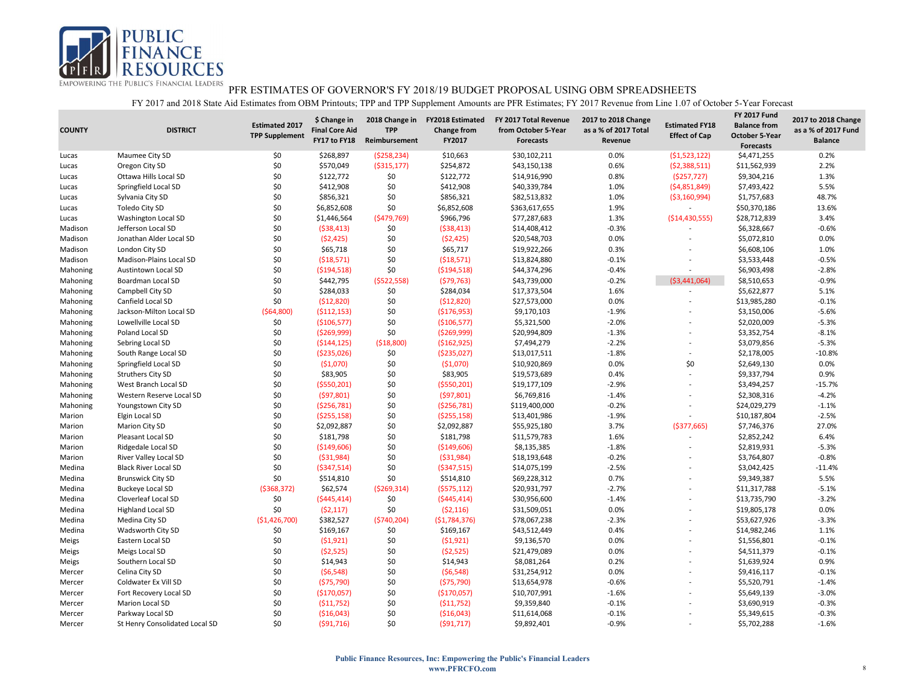

| <b>COUNTY</b> | <b>DISTRICT</b>                | <b>Estimated 2017</b><br><b>TPP Supplement</b> | \$ Change in<br><b>Final Core Aid</b><br>FY17 to FY18 | 2018 Change in<br><b>TPP</b><br>Reimbursement | <b>FY2018 Estimated</b><br><b>Change from</b><br>FY2017 | FY 2017 Total Revenue<br>from October 5-Year<br>Forecasts | 2017 to 2018 Change<br>as a % of 2017 Total<br>Revenue | <b>Estimated FY18</b><br><b>Effect of Cap</b> | <b>FY 2017 Fund</b><br><b>Balance from</b><br><b>October 5-Year</b><br><b>Forecasts</b> | 2017 to 2018 Change<br>as a % of 2017 Fund<br><b>Balance</b> |
|---------------|--------------------------------|------------------------------------------------|-------------------------------------------------------|-----------------------------------------------|---------------------------------------------------------|-----------------------------------------------------------|--------------------------------------------------------|-----------------------------------------------|-----------------------------------------------------------------------------------------|--------------------------------------------------------------|
| Lucas         | Maumee City SD                 | \$0                                            | \$268,897                                             | ( \$258, 234)                                 | \$10,663                                                | \$30,102,211                                              | 0.0%                                                   | (51,523,122)                                  | \$4,471,255                                                                             | 0.2%                                                         |
| Lucas         | Oregon City SD                 | \$0                                            | \$570,049                                             | ( \$315, 177)                                 | \$254,872                                               | \$43,150,138                                              | 0.6%                                                   | (52, 388, 511)                                | \$11,562,939                                                                            | 2.2%                                                         |
| Lucas         | Ottawa Hills Local SD          | \$0                                            | \$122,772                                             | \$0                                           | \$122,772                                               | \$14,916,990                                              | 0.8%                                                   | (\$257,727)                                   | \$9,304,216                                                                             | 1.3%                                                         |
| Lucas         | Springfield Local SD           | \$0                                            | \$412,908                                             | \$0                                           | \$412,908                                               | \$40,339,784                                              | 1.0%                                                   | (54,851,849)                                  | \$7,493,422                                                                             | 5.5%                                                         |
| Lucas         | Sylvania City SD               | \$0                                            | \$856,321                                             | \$0                                           | \$856,321                                               | \$82,513,832                                              | 1.0%                                                   | ( \$3,160,994)                                | \$1,757,683                                                                             | 48.7%                                                        |
| Lucas         | Toledo City SD                 | \$0                                            | \$6,852,608                                           | \$0                                           | \$6,852,608                                             | \$363,617,655                                             | 1.9%                                                   | $\overline{\phantom{a}}$                      | \$50,370,186                                                                            | 13.6%                                                        |
| Lucas         | Washington Local SD            | \$0                                            | \$1,446,564                                           | (5479,769)                                    | \$966,796                                               | \$77,287,683                                              | 1.3%                                                   | ( \$14,430,555)                               | \$28,712,839                                                                            | 3.4%                                                         |
| Madison       | Jefferson Local SD             | \$0                                            | ( \$38,413)                                           | \$0                                           | ( \$38,413)                                             | \$14,408,412                                              | $-0.3%$                                                |                                               | \$6,328,667                                                                             | $-0.6%$                                                      |
| Madison       | Jonathan Alder Local SD        | \$0                                            | (52, 425)                                             | \$0                                           | (52, 425)                                               | \$20,548,703                                              | 0.0%                                                   |                                               | \$5,072,810                                                                             | 0.0%                                                         |
| Madison       | London City SD                 | \$0                                            | \$65,718                                              | \$0                                           | \$65,717                                                | \$19,922,266                                              | 0.3%                                                   |                                               | \$6,608,106                                                                             | 1.0%                                                         |
| Madison       | Madison-Plains Local SD        | \$0                                            | ( \$18,571)                                           | \$0                                           | ( \$18,571)                                             | \$13,824,880                                              | $-0.1%$                                                |                                               | \$3,533,448                                                                             | $-0.5%$                                                      |
| Mahoning      | <b>Austintown Local SD</b>     | \$0                                            | ( \$194, 518)                                         | \$0                                           | ( \$194, 518)                                           | \$44,374,296                                              | $-0.4%$                                                | $\overline{\phantom{a}}$                      | \$6,903,498                                                                             | $-2.8%$                                                      |
| Mahoning      | Boardman Local SD              | \$0                                            | \$442,795                                             | ( \$522, 558)                                 | (579, 763)                                              | \$43,739,000                                              | $-0.2%$                                                | (53,441,064)                                  | \$8,510,653                                                                             | $-0.9%$                                                      |
| Mahoning      | Campbell City SD               | \$0                                            | \$284,033                                             | \$0                                           | \$284,034                                               | \$17,373,504                                              | 1.6%                                                   | $\overline{a}$                                | \$5,622,877                                                                             | 5.1%                                                         |
| Mahoning      | Canfield Local SD              | \$0                                            | ( \$12, 820)                                          | \$0                                           | (512, 820)                                              | \$27,573,000                                              | 0.0%                                                   | ÷                                             | \$13,985,280                                                                            | $-0.1%$                                                      |
| Mahoning      | Jackson-Milton Local SD        | ( \$64, 800)                                   | ( \$112, 153)                                         | \$0                                           | ( \$176, 953)                                           | \$9,170,103                                               | $-1.9%$                                                |                                               | \$3,150,006                                                                             | $-5.6%$                                                      |
| Mahoning      | Lowellville Local SD           | \$0                                            | ( \$106, 577)                                         | \$0                                           | (\$106,577)                                             | \$5,321,500                                               | $-2.0%$                                                |                                               | \$2,020,009                                                                             | $-5.3%$                                                      |
| Mahoning      | Poland Local SD                | \$0                                            | ( \$269,999)                                          | \$0                                           | ( \$269, 999)                                           | \$20,994,809                                              | $-1.3%$                                                |                                               | \$3,352,754                                                                             | $-8.1%$                                                      |
| Mahoning      | Sebring Local SD               | \$0                                            | ( \$144, 125)                                         | ( \$18, 800)                                  | ( \$162, 925)                                           | \$7,494,279                                               | $-2.2%$                                                | ÷                                             | \$3,079,856                                                                             | $-5.3%$                                                      |
| Mahoning      | South Range Local SD           | \$0                                            | ( \$235,026)                                          | \$0                                           | ( \$235,027)                                            | \$13,017,511                                              | $-1.8%$                                                | ÷                                             | \$2,178,005                                                                             | $-10.8%$                                                     |
| Mahoning      | Springfield Local SD           | \$0                                            | (51,070)                                              | \$0                                           | ( \$1,070)                                              | \$10,920,869                                              | 0.0%                                                   | \$0                                           | \$2,649,130                                                                             | 0.0%                                                         |
| Mahoning      | <b>Struthers City SD</b>       | \$0                                            | \$83,905                                              | \$0                                           | \$83,905                                                | \$19,573,689                                              | 0.4%                                                   | ÷.                                            | \$9,337,794                                                                             | 0.9%                                                         |
| Mahoning      | West Branch Local SD           | \$0                                            | ( \$550, 201)                                         | \$0                                           | ( \$550, 201)                                           | \$19,177,109                                              | $-2.9%$                                                | $\overline{\phantom{a}}$                      | \$3,494,257                                                                             | $-15.7%$                                                     |
| Mahoning      | Western Reserve Local SD       | \$0                                            | (597, 801)                                            | \$0                                           | (597,801)                                               | \$6,769,816                                               | $-1.4%$                                                |                                               | \$2,308,316                                                                             | $-4.2%$                                                      |
| Mahoning      | Youngstown City SD             | \$0                                            | ( \$256, 781)                                         | \$0                                           | ( \$256, 781)                                           | \$119,400,000                                             | $-0.2%$                                                | ÷                                             | \$24,029,279                                                                            | $-1.1%$                                                      |
| Marion        | Elgin Local SD                 | \$0                                            | ( \$255, 158)                                         | \$0                                           | ( \$255, 158)                                           | \$13,401,986                                              | $-1.9%$                                                |                                               | \$10,187,804                                                                            | $-2.5%$                                                      |
| Marion        | Marion City SD                 | \$0                                            | \$2,092,887                                           | \$0                                           | \$2,092,887                                             | \$55,925,180                                              | 3.7%                                                   | ( \$377, 665)                                 | \$7,746,376                                                                             | 27.0%                                                        |
| Marion        | Pleasant Local SD              | \$0                                            | \$181,798                                             | \$0                                           | \$181,798                                               | \$11,579,783                                              | 1.6%                                                   |                                               | \$2,852,242                                                                             | 6.4%                                                         |
| Marion        | Ridgedale Local SD             | \$0                                            | ( \$149,606)                                          | \$0                                           | ( \$149,606)                                            | \$8,135,385                                               | $-1.8%$                                                | ÷                                             | \$2,819,931                                                                             | $-5.3%$                                                      |
| Marion        | River Valley Local SD          | \$0                                            | ( \$31, 984)                                          | \$0                                           | ( \$31,984)                                             | \$18,193,648                                              | $-0.2%$                                                |                                               | \$3,764,807                                                                             | $-0.8%$                                                      |
| Medina        | <b>Black River Local SD</b>    | \$0                                            | ( \$347, 514)                                         | \$0                                           | ( \$347, 515)                                           | \$14,075,199                                              | $-2.5%$                                                |                                               | \$3,042,425                                                                             | $-11.4%$                                                     |
| Medina        | <b>Brunswick City SD</b>       | \$0                                            | \$514,810                                             | \$0                                           | \$514,810                                               | \$69,228,312                                              | 0.7%                                                   | ÷.                                            | \$9,349,387                                                                             | 5.5%                                                         |
| Medina        | <b>Buckeye Local SD</b>        | ( \$368, 372)                                  | \$62,574                                              | ( \$269, 314)                                 | ( \$575, 112)                                           | \$20,931,797                                              | $-2.7%$                                                | ÷                                             | \$11,317,788                                                                            | $-5.1%$                                                      |
| Medina        | Cloverleaf Local SD            | \$0                                            | ( \$445, 414)                                         | \$0                                           | ( \$445, 414)                                           | \$30,956,600                                              | $-1.4%$                                                |                                               | \$13,735,790                                                                            | $-3.2%$                                                      |
| Medina        | <b>Highland Local SD</b>       | \$0                                            | (52, 117)                                             | \$0                                           | (52, 116)                                               | \$31,509,051                                              | 0.0%                                                   | L,                                            | \$19,805,178                                                                            | 0.0%                                                         |
| Medina        | Medina City SD                 | (\$1,426,700)                                  | \$382,527                                             | (5740, 204)                                   | ( \$1,784,376)                                          | \$78,067,238                                              | $-2.3%$                                                |                                               | \$53,627,926                                                                            | $-3.3%$                                                      |
| Medina        | Wadsworth City SD              | \$0                                            | \$169,167                                             | \$0                                           | \$169,167                                               | \$43,512,449                                              | 0.4%                                                   | L,                                            | \$14,982,246                                                                            | 1.1%                                                         |
| Meigs         | Eastern Local SD               | \$0                                            | (51, 921)                                             | \$0                                           | (51, 921)                                               | \$9,136,570                                               | 0.0%                                                   |                                               | \$1,556,801                                                                             | $-0.1%$                                                      |
| Meigs         | Meigs Local SD                 | \$0                                            | (52, 525)                                             | \$0                                           | (52, 525)                                               | \$21,479,089                                              | 0.0%                                                   |                                               | \$4,511,379                                                                             | $-0.1%$                                                      |
| Meigs         | Southern Local SD              | \$0                                            | \$14,943                                              | \$0                                           | \$14,943                                                | \$8,081,264                                               | 0.2%                                                   | ÷.                                            | \$1,639,924                                                                             | 0.9%                                                         |
| Mercer        | Celina City SD                 | \$0                                            | (56, 548)                                             | \$0                                           | (56, 548)                                               | \$31,254,912                                              | 0.0%                                                   |                                               | \$9,416,117                                                                             | $-0.1%$                                                      |
| Mercer        | Coldwater Ex Vill SD           | \$0                                            | ( \$75, 790)                                          | \$0                                           | (575, 790)                                              | \$13,654,978                                              | $-0.6%$                                                |                                               | \$5,520,791                                                                             | $-1.4%$                                                      |
| Mercer        | Fort Recovery Local SD         | \$0                                            | (\$170,057)                                           | \$0                                           | (\$170,057)                                             | \$10,707,991                                              | $-1.6%$                                                |                                               | \$5,649,139                                                                             | $-3.0%$                                                      |
| Mercer        | Marion Local SD                | \$0                                            | ( \$11,752)                                           | \$0                                           | ( \$11,752)                                             | \$9,359,840                                               | $-0.1%$                                                |                                               | \$3,690,919                                                                             | $-0.3%$                                                      |
| Mercer        | Parkway Local SD               | \$0                                            | ( \$16,043)                                           | \$0                                           | ( \$16,043)                                             | \$11,614,068                                              | $-0.1%$                                                |                                               | \$5,349,615                                                                             | $-0.3%$                                                      |
| Mercer        | St Henry Consolidated Local SD | \$0                                            | (591, 716)                                            | \$0                                           | (591, 717)                                              | \$9.892.401                                               | $-0.9%$                                                |                                               | \$5,702,288                                                                             | $-1.6%$                                                      |
|               |                                |                                                |                                                       |                                               |                                                         |                                                           |                                                        |                                               |                                                                                         |                                                              |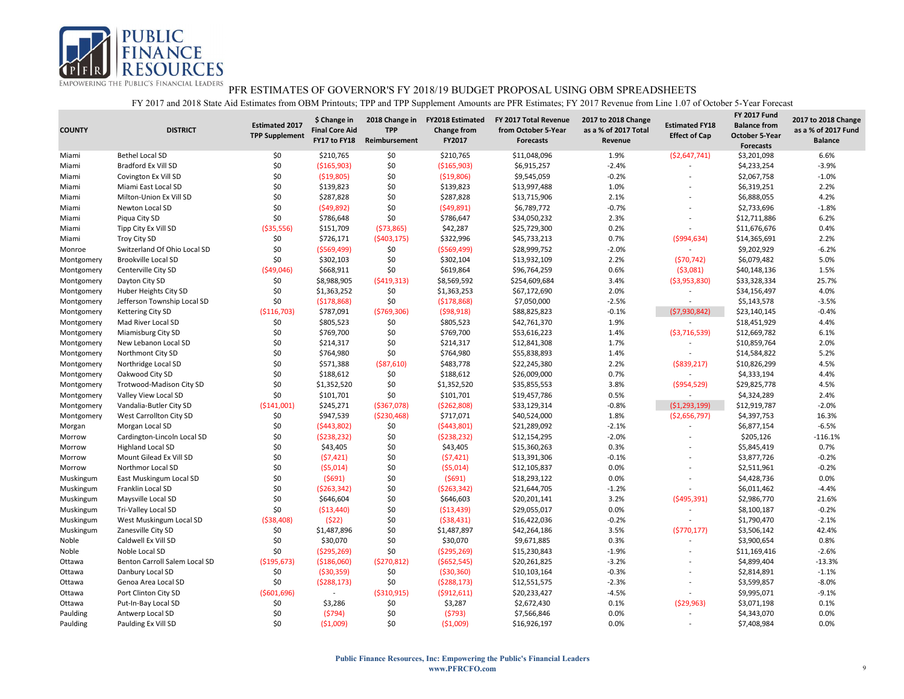

| <b>COUNTY</b> | <b>DISTRICT</b>               | <b>Estimated 2017</b><br><b>TPP Supplement</b> | \$ Change in<br><b>Final Core Aid</b><br>FY17 to FY18 | 2018 Change in<br><b>TPP</b><br>Reimbursement | <b>FY2018 Estimated</b><br><b>Change from</b><br>FY2017 | FY 2017 Total Revenue<br>from October 5-Year<br><b>Forecasts</b> | 2017 to 2018 Change<br>as a % of 2017 Total<br>Revenue | <b>Estimated FY18</b><br><b>Effect of Cap</b> | <b>FY 2017 Fund</b><br><b>Balance from</b><br><b>October 5-Year</b><br><b>Forecasts</b> | 2017 to 2018 Change<br>as a % of 2017 Fund<br><b>Balance</b> |
|---------------|-------------------------------|------------------------------------------------|-------------------------------------------------------|-----------------------------------------------|---------------------------------------------------------|------------------------------------------------------------------|--------------------------------------------------------|-----------------------------------------------|-----------------------------------------------------------------------------------------|--------------------------------------------------------------|
| Miami         | <b>Bethel Local SD</b>        | \$0                                            | \$210,765                                             | \$0                                           | \$210,765                                               | \$11,048,096                                                     | 1.9%                                                   | ( \$2,647,741)                                | \$3,201,098                                                                             | 6.6%                                                         |
| Miami         | Bradford Ex Vill SD           | \$0                                            | ( \$165, 903)                                         | \$0                                           | ( \$165, 903)                                           | \$6,915,257                                                      | $-2.4%$                                                |                                               | \$4,233,254                                                                             | $-3.9%$                                                      |
| Miami         | Covington Ex Vill SD          | \$0                                            | ( \$19, 805)                                          | \$0                                           | ( \$19,806)                                             | \$9,545,059                                                      | $-0.2%$                                                | ÷                                             | \$2,067,758                                                                             | $-1.0%$                                                      |
| Miami         | Miami East Local SD           | \$0                                            | \$139,823                                             | \$0                                           | \$139,823                                               | \$13,997,488                                                     | 1.0%                                                   |                                               | \$6,319,251                                                                             | 2.2%                                                         |
| Miami         | Milton-Union Ex Vill SD       | \$0                                            | \$287,828                                             | \$0                                           | \$287,828                                               | \$13,715,906                                                     | 2.1%                                                   | L,                                            | \$6,888,055                                                                             | 4.2%                                                         |
| Miami         | Newton Local SD               | \$0                                            | (549, 892)                                            | \$0                                           | (549,891)                                               | \$6,789,772                                                      | $-0.7%$                                                |                                               | \$2,733,696                                                                             | $-1.8%$                                                      |
| Miami         | Piqua City SD                 | \$0                                            | \$786,648                                             | \$0                                           | \$786,647                                               | \$34,050,232                                                     | 2.3%                                                   | $\overline{a}$                                | \$12,711,886                                                                            | 6.2%                                                         |
| Miami         | Tipp City Ex Vill SD          | ( \$35,556)                                    | \$151,709                                             | (573,865)                                     | \$42,287                                                | \$25,729,300                                                     | 0.2%                                                   |                                               | \$11,676,676                                                                            | 0.4%                                                         |
| Miami         | Troy City SD                  | \$0                                            | \$726,171                                             | ( \$403, 175)                                 | \$322,996                                               | \$45,733,213                                                     | 0.7%                                                   | ( \$994, 634)                                 | \$14,365,691                                                                            | 2.2%                                                         |
| Monroe        | Switzerland Of Ohio Local SD  | \$0                                            | ( \$569,499)                                          | \$0                                           | ( \$569,499]                                            | \$28,999,752                                                     | $-2.0%$                                                | $\overline{a}$                                | \$9,202,929                                                                             | $-6.2%$                                                      |
| Montgomery    | <b>Brookville Local SD</b>    | \$0                                            | \$302,103                                             | \$0                                           | \$302,104                                               | \$13,932,109                                                     | 2.2%                                                   | (570, 742)                                    | \$6,079,482                                                                             | 5.0%                                                         |
| Montgomery    | Centerville City SD           | (549,046)                                      | \$668,911                                             | \$0                                           | \$619,864                                               | \$96,764,259                                                     | 0.6%                                                   | ( \$3,081)                                    | \$40,148,136                                                                            | 1.5%                                                         |
| Montgomery    | Dayton City SD                | \$0                                            | \$8,988,905                                           | (5419,313)                                    | \$8,569,592                                             | \$254,609,684                                                    | 3.4%                                                   | ( \$3,953,830)                                | \$33,328,334                                                                            | 25.7%                                                        |
| Montgomery    | Huber Heights City SD         | \$0                                            | \$1,363,252                                           | \$0                                           | \$1,363,253                                             | \$67,172,690                                                     | 2.0%                                                   | $\overline{a}$                                | \$34,156,497                                                                            | 4.0%                                                         |
| Montgomery    | Jefferson Township Local SD   | \$0                                            | ( \$178, 868)                                         | \$0                                           | ( \$178, 868)                                           | \$7,050,000                                                      | $-2.5%$                                                | $\sim$                                        | \$5,143,578                                                                             | $-3.5%$                                                      |
| Montgomery    | Kettering City SD             | ( \$116,703)                                   | \$787,091                                             | (5769,306)                                    | (598, 918)                                              | \$88,825,823                                                     | $-0.1%$                                                | ( \$7,930,842)                                | \$23,140,145                                                                            | $-0.4%$                                                      |
| Montgomery    | Mad River Local SD            | \$0                                            | \$805,523                                             | \$0                                           | \$805,523                                               | \$42,761,370                                                     | 1.9%                                                   |                                               | \$18,451,929                                                                            | 4.4%                                                         |
| Montgomery    | Miamisburg City SD            | \$0                                            | \$769,700                                             | \$0                                           | \$769,700                                               | \$53,616,223                                                     | 1.4%                                                   | ( \$3,716,539)                                | \$12,669,782                                                                            | 6.1%                                                         |
| Montgomery    | New Lebanon Local SD          | \$0                                            | \$214,317                                             | \$0                                           | \$214,317                                               | \$12,841,308                                                     | 1.7%                                                   |                                               | \$10,859,764                                                                            | 2.0%                                                         |
| Montgomery    | Northmont City SD             | \$0                                            | \$764,980                                             | \$0                                           | \$764,980                                               | \$55,838,893                                                     | 1.4%                                                   | $\overline{\phantom{a}}$                      | \$14,584,822                                                                            | 5.2%                                                         |
| Montgomery    | Northridge Local SD           | \$0                                            | \$571,388                                             | ( \$87, 610)                                  | \$483,778                                               | \$22,245,380                                                     | 2.2%                                                   | ( \$839, 217)                                 | \$10,826,299                                                                            | 4.5%                                                         |
| Montgomery    | Oakwood City SD               | \$0                                            | \$188,612                                             | \$0                                           | \$188,612                                               | \$26,009,000                                                     | 0.7%                                                   | $\overline{a}$                                | \$4,333,194                                                                             | 4.4%                                                         |
| Montgomery    | Trotwood-Madison City SD      | \$0                                            | \$1,352,520                                           | \$0                                           | \$1,352,520                                             | \$35,855,553                                                     | 3.8%                                                   | ( \$954, 529)                                 | \$29,825,778                                                                            | 4.5%                                                         |
| Montgomery    | Valley View Local SD          | \$0                                            | \$101,701                                             | \$0                                           | \$101,701                                               | \$19,457,786                                                     | 0.5%                                                   | $\sim$                                        | \$4,324,289                                                                             | 2.4%                                                         |
| Montgomery    | Vandalia-Butler City SD       | ( \$141,001)                                   | \$245,271                                             | ( \$367,078)                                  | (5262,808)                                              | \$33,129,314                                                     | $-0.8%$                                                | ( \$1,293,199)                                | \$12,919,787                                                                            | $-2.0%$                                                      |
| Montgomery    | West Carrollton City SD       | \$0                                            | \$947,539                                             | ( \$230,468)                                  | \$717,071                                               | \$40,524,000                                                     | 1.8%                                                   | ( \$2,656,797)                                | \$4,397,753                                                                             | 16.3%                                                        |
| Morgan        | Morgan Local SD               | \$0                                            | (5443,802)                                            | \$0                                           | (5443,801)                                              | \$21,289,092                                                     | $-2.1%$                                                |                                               | \$6,877,154                                                                             | $-6.5%$                                                      |
| Morrow        | Cardington-Lincoln Local SD   | \$0                                            | (5238, 232)                                           | \$0                                           | (5238, 232)                                             | \$12,154,295                                                     | $-2.0%$                                                |                                               | \$205,126                                                                               | $-116.1%$                                                    |
| Morrow        | <b>Highland Local SD</b>      | \$0                                            | \$43,405                                              | \$0                                           | \$43,405                                                | \$15,360,263                                                     | 0.3%                                                   |                                               | \$5,845,419                                                                             | 0.7%                                                         |
| Morrow        | Mount Gilead Ex Vill SD       | \$0                                            | (57, 421)                                             | \$0                                           | (57, 421)                                               | \$13,391,306                                                     | $-0.1%$                                                |                                               | \$3,877,726                                                                             | $-0.2%$                                                      |
| Morrow        | Northmor Local SD             | \$0                                            | (55,014)                                              | \$0                                           | (55,014)                                                | \$12,105,837                                                     | 0.0%                                                   |                                               | \$2,511,961                                                                             | $-0.2%$                                                      |
| Muskingum     | East Muskingum Local SD       | \$0                                            | (5691)                                                | \$0                                           | (5691)                                                  | \$18,293,122                                                     | 0.0%                                                   |                                               | \$4,428,736                                                                             | 0.0%                                                         |
| Muskingum     | Franklin Local SD             | \$0                                            | ( \$263, 342)                                         | \$0                                           | ( \$263, 342)                                           | \$21,644,705                                                     | $-1.2%$                                                |                                               | \$6,011,462                                                                             | $-4.4%$                                                      |
| Muskingum     | Maysville Local SD            | \$0                                            | \$646,604                                             | \$0                                           | \$646,603                                               | \$20,201,141                                                     | 3.2%                                                   | (5495,391)                                    | \$2,986,770                                                                             | 21.6%                                                        |
| Muskingum     | Tri-Valley Local SD           | \$0                                            | ( \$13,440)                                           | \$0                                           | ( \$13,439)                                             | \$29,055,017                                                     | 0.0%                                                   | $\sim$                                        | \$8,100,187                                                                             | $-0.2%$                                                      |
| Muskingum     | West Muskingum Local SD       | ( \$38,408)                                    | (522)                                                 | \$0                                           | ( \$38,431)                                             | \$16,422,036                                                     | $-0.2%$                                                |                                               | \$1,790,470                                                                             | $-2.1%$                                                      |
| Muskingum     | Zanesville City SD            | \$0                                            | \$1,487,896                                           | \$0                                           | \$1,487,897                                             | \$42,264,186                                                     | 3.5%                                                   | (5770, 177)                                   | \$3,506,142                                                                             | 42.4%                                                        |
| Noble         | Caldwell Ex Vill SD           | \$0                                            | \$30,070                                              | \$0                                           | \$30,070                                                | \$9,671,885                                                      | 0.3%                                                   |                                               | \$3,900,654                                                                             | 0.8%                                                         |
| Noble         | Noble Local SD                | \$0                                            | ( \$295, 269)                                         | \$0                                           | ( \$295, 269)                                           | \$15,230,843                                                     | $-1.9%$                                                | $\overline{a}$                                | \$11,169,416                                                                            | $-2.6%$                                                      |
| Ottawa        | Benton Carroll Salem Local SD | (\$195,673)                                    | ( \$186,060)                                          | ( \$270, 812)                                 | ( \$652, 545)                                           | \$20,261,825                                                     | $-3.2%$                                                |                                               | \$4,899,404                                                                             | $-13.3%$                                                     |
| Ottawa        | Danbury Local SD              | \$0                                            | ( \$30, 359)                                          | \$0                                           | ( \$30, 360)                                            | \$10,103,164                                                     | $-0.3%$                                                |                                               | \$2,814,891                                                                             | $-1.1%$                                                      |
| Ottawa        | Genoa Area Local SD           | \$0                                            | (5288, 173)                                           | \$0                                           | (5288, 173)                                             | \$12,551,575                                                     | $-2.3%$                                                |                                               | \$3,599,857                                                                             | $-8.0%$                                                      |
| Ottawa        | Port Clinton City SD          | (5601,696)                                     | $\sim$                                                | ( \$310, 915)                                 | (5912, 611)                                             | \$20,233,427                                                     | $-4.5%$                                                |                                               | \$9,995,071                                                                             | $-9.1%$                                                      |
| Ottawa        | Put-In-Bay Local SD           | \$0                                            | \$3,286                                               | \$0                                           | \$3,287                                                 | \$2,672,430                                                      | 0.1%                                                   | (529,963)                                     | \$3,071,198                                                                             | 0.1%                                                         |
| Paulding      | Antwerp Local SD              | \$0                                            | (5794)                                                | \$0                                           | (5793)                                                  | \$7,566,846                                                      | 0.0%                                                   | $\overline{a}$                                | \$4,343,070                                                                             | 0.0%                                                         |
| Paulding      | Paulding Ex Vill SD           | \$0                                            | (51,009)                                              | \$0                                           | (51,009)                                                | \$16,926,197                                                     | 0.0%                                                   |                                               | \$7,408,984                                                                             | 0.0%                                                         |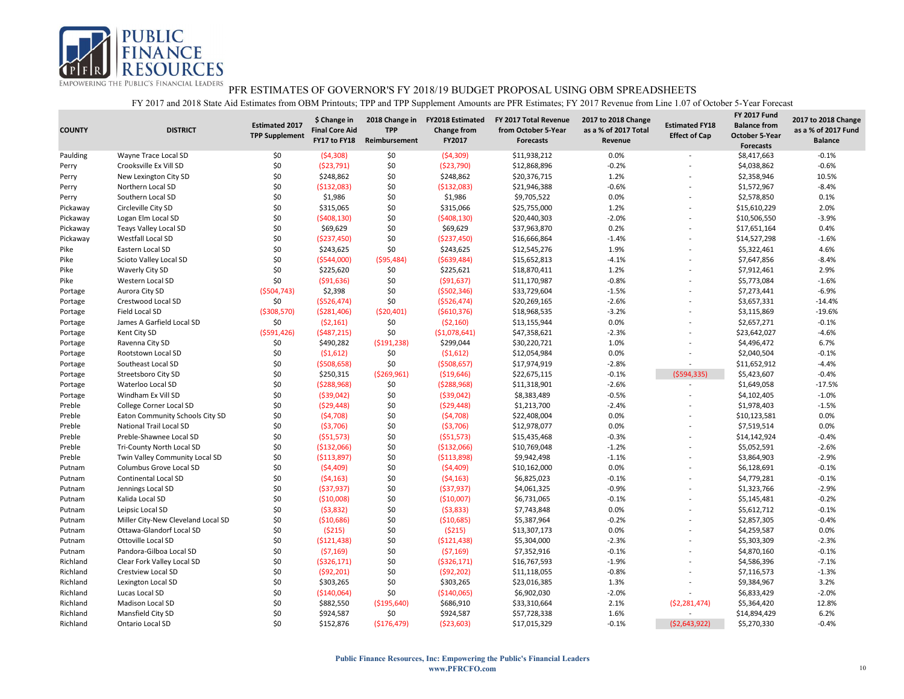

| <b>COUNTY</b> | <b>DISTRICT</b>                    | <b>Estimated 2017</b><br><b>TPP Supplement</b> | \$ Change in<br><b>Final Core Aid</b><br>FY17 to FY18 | 2018 Change in<br><b>TPP</b><br>Reimbursement | <b>FY2018 Estimated</b><br><b>Change from</b><br>FY2017 | FY 2017 Total Revenue<br>from October 5-Year<br><b>Forecasts</b> | 2017 to 2018 Change<br>as a % of 2017 Total<br>Revenue | <b>Estimated FY18</b><br><b>Effect of Cap</b> | <b>FY 2017 Fund</b><br><b>Balance from</b><br><b>October 5-Year</b><br><b>Forecasts</b> | 2017 to 2018 Change<br>as a % of 2017 Fund<br><b>Balance</b> |
|---------------|------------------------------------|------------------------------------------------|-------------------------------------------------------|-----------------------------------------------|---------------------------------------------------------|------------------------------------------------------------------|--------------------------------------------------------|-----------------------------------------------|-----------------------------------------------------------------------------------------|--------------------------------------------------------------|
| Paulding      | Wayne Trace Local SD               | \$0                                            | (54,308)                                              | \$0                                           | ( \$4,309)                                              | \$11,938,212                                                     | 0.0%                                                   | $\overline{a}$                                | \$8,417,663                                                                             | $-0.1%$                                                      |
| Perry         | Crooksville Ex Vill SD             | \$0                                            | ( \$23,791)                                           | \$0                                           | ( \$23,790)                                             | \$12,868,896                                                     | $-0.2%$                                                |                                               | \$4,038,862                                                                             | $-0.6%$                                                      |
| Perry         | New Lexington City SD              | \$0                                            | \$248,862                                             | \$0                                           | \$248,862                                               | \$20,376,715                                                     | 1.2%                                                   | ÷                                             | \$2,358,946                                                                             | 10.5%                                                        |
| Perry         | Northern Local SD                  | \$0                                            | ( \$132,083)                                          | \$0                                           | (\$132,083)                                             | \$21,946,388                                                     | $-0.6%$                                                |                                               | \$1,572,967                                                                             | $-8.4%$                                                      |
| Perry         | Southern Local SD                  | \$0                                            | \$1,986                                               | \$0                                           | \$1,986                                                 | \$9,705,522                                                      | 0.0%                                                   |                                               | \$2,578,850                                                                             | 0.1%                                                         |
| Pickaway      | Circleville City SD                | \$0                                            | \$315,065                                             | \$0                                           | \$315,066                                               | \$25,755,000                                                     | 1.2%                                                   |                                               | \$15,610,229                                                                            | 2.0%                                                         |
| Pickaway      | Logan Elm Local SD                 | \$0                                            | (5408, 130)                                           | \$0                                           | (5408, 130)                                             | \$20,440,303                                                     | $-2.0%$                                                | ÷                                             | \$10,506,550                                                                            | $-3.9%$                                                      |
| Pickaway      | <b>Teays Valley Local SD</b>       | \$0                                            | \$69,629                                              | \$0                                           | \$69,629                                                | \$37,963,870                                                     | 0.2%                                                   |                                               | \$17,651,164                                                                            | 0.4%                                                         |
| Pickaway      | Westfall Local SD                  | \$0                                            | ( \$237,450)                                          | \$0                                           | (\$237,450)                                             | \$16,666,864                                                     | $-1.4%$                                                | ÷                                             | \$14,527,298                                                                            | $-1.6%$                                                      |
| Pike          | Eastern Local SD                   | \$0                                            | \$243,625                                             | \$0                                           | \$243,625                                               | \$12,545,276                                                     | 1.9%                                                   |                                               | \$5,322,461                                                                             | 4.6%                                                         |
| Pike          | Scioto Valley Local SD             | \$0                                            | ( \$544,000]                                          | ( \$95,484)                                   | ( \$639,484)                                            | \$15,652,813                                                     | $-4.1%$                                                | ÷                                             | \$7,647,856                                                                             | $-8.4%$                                                      |
| Pike          | Waverly City SD                    | \$0                                            | \$225,620                                             | \$0                                           | \$225,621                                               | \$18,870,411                                                     | 1.2%                                                   |                                               | \$7,912,461                                                                             | 2.9%                                                         |
| Pike          | Western Local SD                   | \$0                                            | (591, 636)                                            | \$0                                           | ( \$91, 637)                                            | \$11,170,987                                                     | $-0.8%$                                                | $\overline{a}$                                | \$5,773,084                                                                             | $-1.6%$                                                      |
| Portage       | Aurora City SD                     | (5504, 743)                                    | \$2,398                                               | \$0                                           | ( \$502, 346)                                           | \$33,729,604                                                     | $-1.5%$                                                |                                               | \$7,273,441                                                                             | $-6.9%$                                                      |
| Portage       | Crestwood Local SD                 | \$0                                            | ( \$526,474)                                          | \$0                                           | ( \$526, 474)                                           | \$20,269,165                                                     | $-2.6%$                                                | $\overline{a}$                                | \$3,657,331                                                                             | $-14.4%$                                                     |
| Portage       | Field Local SD                     | ( \$308, 570)                                  | ( \$281,406)                                          | (520, 401)                                    | ( \$610, 376)                                           | \$18,968,535                                                     | $-3.2%$                                                |                                               | \$3,115,869                                                                             | $-19.6%$                                                     |
| Portage       | James A Garfield Local SD          | \$0                                            | (52, 161)                                             | \$0                                           | ( \$2,160)                                              | \$13,155,944                                                     | 0.0%                                                   | ÷                                             | \$2,657,271                                                                             | $-0.1%$                                                      |
| Portage       | Kent City SD                       | (5591, 426)                                    | (5487, 215)                                           | \$0                                           | ( \$1,078,641)                                          | \$47,358,621                                                     | $-2.3%$                                                |                                               | \$23,642,027                                                                            | $-4.6%$                                                      |
| Portage       | Ravenna City SD                    | \$0                                            | \$490,282                                             | ( \$191, 238)                                 | \$299,044                                               | \$30,220,721                                                     | 1.0%                                                   |                                               | \$4,496,472                                                                             | 6.7%                                                         |
| Portage       | Rootstown Local SD                 | \$0                                            | (51,612)                                              | \$0                                           | (51,612)                                                | \$12,054,984                                                     | 0.0%                                                   |                                               | \$2,040,504                                                                             | $-0.1%$                                                      |
| Portage       | Southeast Local SD                 | \$0                                            | ( \$508, 658)                                         | \$0                                           | ( \$508, 657]                                           | \$17,974,919                                                     | $-2.8%$                                                | $\overline{\phantom{a}}$                      | \$11,652,912                                                                            | $-4.4%$                                                      |
| Portage       | Streetsboro City SD                | \$0                                            | \$250,315                                             | ( \$269, 961)                                 | ( \$19,646)                                             | \$22,675,115                                                     | $-0.1%$                                                | (5594, 335)                                   | \$5,423,607                                                                             | $-0.4%$                                                      |
| Portage       | Waterloo Local SD                  | \$0                                            | (5288,968)                                            | \$0                                           | (5288,968)                                              | \$11,318,901                                                     | $-2.6%$                                                | $\overline{a}$                                | \$1,649,058                                                                             | $-17.5%$                                                     |
| Portage       | Windham Ex Vill SD                 | \$0                                            | ( \$39,042)                                           | \$0                                           | ( \$39,042)                                             | \$8,383,489                                                      | $-0.5%$                                                | ÷                                             | \$4,102,405                                                                             | $-1.0%$                                                      |
| Preble        | College Corner Local SD            | \$0                                            | (529, 448)                                            | \$0                                           | (529, 448)                                              | \$1,213,700                                                      | $-2.4%$                                                |                                               | \$1,978,403                                                                             | $-1.5%$                                                      |
| Preble        | Eaton Community Schools City SD    | \$0                                            | (54,708)                                              | \$0                                           | (54,708)                                                | \$22,408,004                                                     | 0.0%                                                   |                                               | \$10,123,581                                                                            | 0.0%                                                         |
| Preble        | National Trail Local SD            | \$0                                            | ( \$3,706)                                            | \$0                                           | ( \$3,706)                                              | \$12,978,077                                                     | 0.0%                                                   | L,                                            | \$7,519,514                                                                             | 0.0%                                                         |
| Preble        | Preble-Shawnee Local SD            | \$0                                            | ( \$51,573)                                           | \$0                                           | ( \$51,573)                                             | \$15,435,468                                                     | $-0.3%$                                                |                                               | \$14,142,924                                                                            | $-0.4%$                                                      |
| Preble        | Tri-County North Local SD          | \$0                                            | ( \$132,066)                                          | \$0                                           | ( \$132,066]                                            | \$10,769,048                                                     | $-1.2%$                                                |                                               | \$5,052,591                                                                             | $-2.6%$                                                      |
| Preble        | Twin Valley Community Local SD     | \$0                                            | ( \$113,897)                                          | \$0                                           | ( \$113,898)                                            | \$9,942,498                                                      | $-1.1%$                                                |                                               | \$3,864,903                                                                             | $-2.9%$                                                      |
| Putnam        | Columbus Grove Local SD            | \$0                                            | (54, 409)                                             | \$0                                           | (54, 409)                                               | \$10,162,000                                                     | 0.0%                                                   |                                               | \$6,128,691                                                                             | $-0.1%$                                                      |
| Putnam        | Continental Local SD               | \$0                                            | (54, 163)                                             | \$0                                           | (54, 163)                                               | \$6,825,023                                                      | $-0.1%$                                                |                                               | \$4,779,281                                                                             | $-0.1%$                                                      |
| Putnam        | Jennings Local SD                  | \$0                                            | ( \$37, 937)                                          | \$0                                           | ( \$37, 937)                                            | \$4,061,325                                                      | $-0.9%$                                                |                                               | \$1,323,766                                                                             | $-2.9%$                                                      |
| Putnam        | Kalida Local SD                    | \$0                                            | ( \$10,008)                                           | \$0                                           | (\$10,007)                                              | \$6,731,065                                                      | $-0.1%$                                                |                                               | \$5,145,481                                                                             | $-0.2%$                                                      |
| Putnam        | Leipsic Local SD                   | \$0                                            | (53,832)                                              | \$0                                           | (53,833)                                                | \$7,743,848                                                      | 0.0%                                                   |                                               | \$5,612,712                                                                             | $-0.1%$                                                      |
| Putnam        | Miller City-New Cleveland Local SD | \$0                                            | ( \$10,686)                                           | \$0                                           | ( \$10,685)                                             | \$5,387,964                                                      | $-0.2%$                                                |                                               | \$2,857,305                                                                             | $-0.4%$                                                      |
| Putnam        | Ottawa-Glandorf Local SD           | \$0                                            | (5215)                                                | \$0                                           | (5215)                                                  | \$13,307,173                                                     | 0.0%                                                   |                                               | \$4,259,587                                                                             | 0.0%                                                         |
| Putnam        | Ottoville Local SD                 | \$0                                            | ( \$121, 438)                                         | \$0                                           | (5121, 438)                                             | \$5,304,000                                                      | $-2.3%$                                                |                                               | \$5,303,309                                                                             | $-2.3%$                                                      |
| Putnam        | Pandora-Gilboa Local SD            | \$0                                            | (57, 169)                                             | \$0                                           | (57, 169)                                               | \$7,352,916                                                      | $-0.1%$                                                |                                               | \$4,870,160                                                                             | $-0.1%$                                                      |
| Richland      | Clear Fork Valley Local SD         | \$0                                            | ( \$326,171)                                          | \$0                                           | ( \$326,171)                                            | \$16,767,593                                                     | $-1.9%$                                                |                                               | \$4,586,396                                                                             | $-7.1%$                                                      |
| Richland      | Crestview Local SD                 | \$0                                            | (592, 201)                                            | \$0                                           | (592, 202)                                              | \$11,118,055                                                     | $-0.8%$                                                |                                               | \$7,116,573                                                                             | $-1.3%$                                                      |
| Richland      | Lexington Local SD                 | \$0                                            | \$303,265                                             | \$0                                           | \$303,265                                               | \$23,016,385                                                     | 1.3%                                                   |                                               | \$9,384,967                                                                             | 3.2%                                                         |
| Richland      | Lucas Local SD                     | \$0                                            | ( \$140,064)                                          | \$0                                           | ( \$140,065)                                            | \$6,902,030                                                      | $-2.0%$                                                |                                               | \$6,833,429                                                                             | $-2.0%$                                                      |
| Richland      | Madison Local SD                   | \$0                                            | \$882,550                                             | ( \$195,640)                                  | \$686,910                                               | \$33,310,664                                                     | 2.1%                                                   | ( \$2, 281, 474)                              | \$5,364,420                                                                             | 12.8%                                                        |
| Richland      | Mansfield City SD                  | \$0                                            | \$924,587                                             | \$0                                           | \$924,587                                               | \$57,728,338                                                     | 1.6%                                                   |                                               | \$14,894,429                                                                            | 6.2%                                                         |
| Richland      | Ontario Local SD                   | \$0                                            | \$152,876                                             | ( \$176,479)                                  | (523,603)                                               | \$17,015,329                                                     | $-0.1%$                                                | (52,643,922)                                  | \$5,270,330                                                                             | $-0.4%$                                                      |
|               |                                    |                                                |                                                       |                                               |                                                         |                                                                  |                                                        |                                               |                                                                                         |                                                              |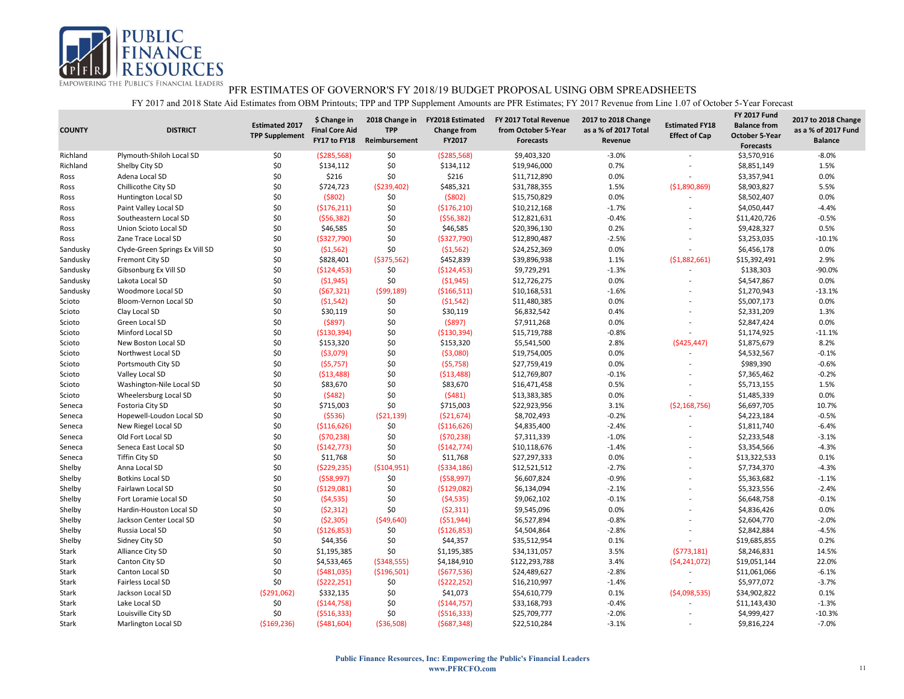

| <b>COUNTY</b> | <b>DISTRICT</b>                | <b>Estimated 2017</b><br><b>TPP Supplement</b> | \$ Change in<br><b>Final Core Aid</b><br>FY17 to FY18 | <b>TPP</b><br>Reimbursement | 2018 Change in FY2018 Estimated<br><b>Change from</b><br>FY2017 | FY 2017 Total Revenue<br>from October 5-Year<br><b>Forecasts</b> | 2017 to 2018 Change<br>as a % of 2017 Total<br>Revenue | <b>Estimated FY18</b><br><b>Effect of Cap</b> | <b>FY 2017 Fund</b><br><b>Balance from</b><br><b>October 5-Year</b><br><b>Forecasts</b> | 2017 to 2018 Change<br>as a % of 2017 Fund<br><b>Balance</b> |
|---------------|--------------------------------|------------------------------------------------|-------------------------------------------------------|-----------------------------|-----------------------------------------------------------------|------------------------------------------------------------------|--------------------------------------------------------|-----------------------------------------------|-----------------------------------------------------------------------------------------|--------------------------------------------------------------|
| Richland      | Plymouth-Shiloh Local SD       | \$0                                            | ( \$285, 568)                                         | \$0                         | ( \$285, 568)                                                   | \$9,403,320                                                      | $-3.0%$                                                |                                               | \$3,570,916                                                                             | $-8.0%$                                                      |
| Richland      | Shelby City SD                 | \$0                                            | \$134,112                                             | \$0                         | \$134,112                                                       | \$19,946,000                                                     | 0.7%                                                   |                                               | \$8,851,149                                                                             | 1.5%                                                         |
| Ross          | Adena Local SD                 | \$0                                            | \$216                                                 | \$0                         | \$216                                                           | \$11,712,890                                                     | 0.0%                                                   |                                               | \$3,357,941                                                                             | 0.0%                                                         |
| Ross          | Chillicothe City SD            | \$0                                            | \$724,723                                             | ( \$239,402)                | \$485,321                                                       | \$31,788,355                                                     | 1.5%                                                   | ( \$1,890,869)                                | \$8,903,827                                                                             | 5.5%                                                         |
| Ross          | <b>Huntington Local SD</b>     | \$0                                            | (5802)                                                | \$0                         | (5802)                                                          | \$15,750,829                                                     | 0.0%                                                   |                                               | \$8,502,407                                                                             | 0.0%                                                         |
| Ross          | Paint Valley Local SD          | \$0                                            | ( \$176, 211)                                         | \$0                         | ( \$176, 210)                                                   | \$10,212,168                                                     | $-1.7%$                                                |                                               | \$4,050,447                                                                             | $-4.4%$                                                      |
| Ross          | Southeastern Local SD          | \$0                                            | (556, 382)                                            | \$0                         | (556, 382)                                                      | \$12,821,631                                                     | $-0.4%$                                                |                                               | \$11,420,726                                                                            | $-0.5%$                                                      |
| Ross          | Union Scioto Local SD          | \$0                                            | \$46,585                                              | \$0                         | \$46,585                                                        | \$20,396,130                                                     | 0.2%                                                   |                                               | \$9,428,327                                                                             | 0.5%                                                         |
| Ross          | Zane Trace Local SD            | \$0                                            | ( \$327,790)                                          | \$0                         | (\$327,790)                                                     | \$12,890,487                                                     | $-2.5%$                                                |                                               | \$3,253,035                                                                             | $-10.1%$                                                     |
| Sandusky      | Clyde-Green Springs Ex Vill SD | \$0                                            | (51, 562)                                             | \$0                         | (51, 562)                                                       | \$24,252,369                                                     | 0.0%                                                   |                                               | \$6,456,178                                                                             | 0.0%                                                         |
| Sandusky      | Fremont City SD                | \$0                                            | \$828,401                                             | ( \$375,562)                | \$452,839                                                       | \$39,896,938                                                     | 1.1%                                                   | ( \$1,882,661)                                | \$15,392,491                                                                            | 2.9%                                                         |
| Sandusky      | Gibsonburg Ex Vill SD          | \$0                                            | ( \$124,453)                                          | \$0                         | ( \$124, 453)                                                   | \$9,729,291                                                      | $-1.3%$                                                |                                               | \$138,303                                                                               | $-90.0%$                                                     |
| Sandusky      | Lakota Local SD                | \$0                                            | (51,945)                                              | \$0                         | (51, 945)                                                       | \$12,726,275                                                     | 0.0%                                                   |                                               | \$4,547,867                                                                             | 0.0%                                                         |
| Sandusky      | Woodmore Local SD              | \$0                                            | (567, 321)                                            | (599, 189)                  | ( \$166, 511]                                                   | \$10,168,531                                                     | $-1.6%$                                                |                                               | \$1,270,943                                                                             | $-13.1%$                                                     |
| Scioto        | Bloom-Vernon Local SD          | \$0                                            | (51, 542)                                             | \$0                         | (51, 542)                                                       | \$11,480,385                                                     | 0.0%                                                   |                                               | \$5,007,173                                                                             | 0.0%                                                         |
| Scioto        | Clay Local SD                  | \$0                                            | \$30,119                                              | \$0                         | \$30,119                                                        | \$6,832,542                                                      | 0.4%                                                   |                                               | \$2,331,209                                                                             | 1.3%                                                         |
| Scioto        | Green Local SD                 | \$0                                            | (5897)                                                | \$0                         | (5897)                                                          | \$7,911,268                                                      | 0.0%                                                   |                                               | \$2,847,424                                                                             | 0.0%                                                         |
| Scioto        | Minford Local SD               | \$0                                            | ( \$130, 394)                                         | \$0                         | ( \$130, 394)                                                   | \$15,719,788                                                     | $-0.8%$                                                |                                               | \$1,174,925                                                                             | $-11.1%$                                                     |
| Scioto        | New Boston Local SD            | \$0                                            | \$153,320                                             | \$0                         | \$153,320                                                       | \$5,541,500                                                      | 2.8%                                                   | ( \$425, 447)                                 | \$1,875,679                                                                             | 8.2%                                                         |
| Scioto        | Northwest Local SD             | \$0                                            | ( \$3,079)                                            | \$0                         | ( \$3,080)                                                      | \$19,754,005                                                     | 0.0%                                                   |                                               | \$4,532,567                                                                             | $-0.1%$                                                      |
| Scioto        | Portsmouth City SD             | \$0                                            | (55,757)                                              | \$0                         | (55, 758)                                                       | \$27,759,419                                                     | 0.0%                                                   |                                               | \$989,390                                                                               | $-0.6%$                                                      |
| Scioto        | Valley Local SD                | \$0                                            | ( \$13,488)                                           | \$0                         | ( \$13,488)                                                     | \$12,769,807                                                     | $-0.1%$                                                |                                               | \$7,365,462                                                                             | $-0.2%$                                                      |
| Scioto        | Washington-Nile Local SD       | \$0                                            | \$83,670                                              | \$0                         | \$83,670                                                        | \$16,471,458                                                     | 0.5%                                                   |                                               | \$5,713,155                                                                             | 1.5%                                                         |
| Scioto        | Wheelersburg Local SD          | \$0                                            | (5482)                                                | \$0                         | (5481)                                                          | \$13,383,385                                                     | 0.0%                                                   |                                               | \$1,485,339                                                                             | 0.0%                                                         |
| Seneca        | Fostoria City SD               | \$0                                            | \$715,003                                             | \$0                         | \$715,003                                                       | \$22,923,956                                                     | 3.1%                                                   | (52, 168, 756)                                | \$6,697,705                                                                             | 10.7%                                                        |
| Seneca        | Hopewell-Loudon Local SD       | \$0                                            | (5536)                                                | (521, 139)                  | ( \$21,674)                                                     | \$8,702,493                                                      | $-0.2%$                                                |                                               | \$4,223,184                                                                             | $-0.5%$                                                      |
| Seneca        | New Riegel Local SD            | \$0                                            | ( \$116, 626)                                         | \$0                         | ( \$116, 626)                                                   | \$4,835,400                                                      | $-2.4%$                                                | $\overline{\phantom{a}}$                      | \$1,811,740                                                                             | $-6.4%$                                                      |
| Seneca        | Old Fort Local SD              | \$0                                            | (570, 238)                                            | \$0                         | (570, 238)                                                      | \$7,311,339                                                      | $-1.0%$                                                |                                               | \$2,233,548                                                                             | $-3.1%$                                                      |
| Seneca        | Seneca East Local SD           | \$0                                            | (5142, 773)                                           | \$0                         | (\$142,774)                                                     | \$10,118,676                                                     | $-1.4%$                                                |                                               | \$3,354,566                                                                             | $-4.3%$                                                      |
| Seneca        | <b>Tiffin City SD</b>          | \$0                                            | \$11,768                                              | \$0                         | \$11,768                                                        | \$27,297,333                                                     | 0.0%                                                   |                                               | \$13,322,533                                                                            | 0.1%                                                         |
| Shelby        | Anna Local SD                  | \$0                                            | (5229, 235)                                           | ( \$104, 951)               | ( \$334, 186)                                                   | \$12,521,512                                                     | $-2.7%$                                                |                                               | \$7,734,370                                                                             | $-4.3%$                                                      |
| Shelby        | <b>Botkins Local SD</b>        | \$0                                            | (558, 997)                                            | \$0                         | (558,997)                                                       | \$6,607,824                                                      | $-0.9%$                                                |                                               | \$5,363,682                                                                             | $-1.1%$                                                      |
| Shelby        | Fairlawn Local SD              | \$0                                            | (5129,081)                                            | \$0                         | ( \$129,082]                                                    | \$6,134,094                                                      | $-2.1%$                                                |                                               | \$5,323,556                                                                             | $-2.4%$                                                      |
| Shelby        | Fort Loramie Local SD          | \$0                                            | (54, 535)                                             | \$0                         | (54, 535)                                                       | \$9,062,102                                                      | $-0.1%$                                                |                                               | \$6,648,758                                                                             | $-0.1%$                                                      |
| Shelby        | Hardin-Houston Local SD        | \$0                                            | (52, 312)                                             | \$0                         | (52, 311)                                                       | \$9,545,096                                                      | 0.0%                                                   |                                               | \$4,836,426                                                                             | 0.0%                                                         |
| Shelby        | Jackson Center Local SD        | \$0                                            | ( \$2,305)                                            | (549, 640)                  | ( \$51, 944)                                                    | \$6,527,894                                                      | $-0.8%$                                                |                                               | \$2,604,770                                                                             | $-2.0%$                                                      |
| Shelby        | Russia Local SD                | \$0                                            | ( \$126, 853)                                         | \$0                         | ( \$126, 853)                                                   | \$4,504,864                                                      | $-2.8%$                                                |                                               | \$2,842,884                                                                             | $-4.5%$                                                      |
| Shelby        | Sidney City SD                 | \$0                                            | \$44,356                                              | \$0                         | \$44,357                                                        | \$35,512,954                                                     | 0.1%                                                   |                                               | \$19,685,855                                                                            | 0.2%                                                         |
| Stark         | Alliance City SD               | \$0                                            | \$1,195,385                                           | \$0                         | \$1,195,385                                                     | \$34,131,057                                                     | 3.5%                                                   | (5773, 181)                                   | \$8,246,831                                                                             | 14.5%                                                        |
| Stark         | Canton City SD                 | \$0                                            | \$4,533,465                                           | ( \$348, 555)               | \$4,184,910                                                     | \$122,293,788                                                    | 3.4%                                                   | (54, 241, 072)                                | \$19,051,144                                                                            | 22.0%                                                        |
| Stark         | Canton Local SD                | \$0                                            | (5481,035)                                            | ( \$196, 501)               | (5677,536)                                                      | \$24,489,627                                                     | $-2.8%$                                                | $\overline{a}$                                | \$11,061,066                                                                            | $-6.1%$                                                      |
| Stark         | Fairless Local SD              | \$0                                            | (5222, 251)                                           | \$0                         | (5222, 252)                                                     | \$16,210,997                                                     | $-1.4%$                                                |                                               | \$5,977,072                                                                             | $-3.7%$                                                      |
| Stark         | Jackson Local SD               | ( \$291,062)                                   | \$332,135                                             | \$0                         | \$41,073                                                        | \$54,610,779                                                     | 0.1%                                                   | (54,098,535)                                  | \$34,902,822                                                                            | 0.1%                                                         |
| Stark         | Lake Local SD                  | \$0                                            | ( \$144, 758)                                         | \$0                         | ( \$144, 757)                                                   | \$33,168,793                                                     | $-0.4%$                                                |                                               | \$11,143,430                                                                            | $-1.3%$                                                      |
| Stark         | Louisville City SD             | \$0                                            | ( \$516, 333)                                         | \$0                         | ( \$516, 333)                                                   | \$25,709,777                                                     | $-2.0%$                                                |                                               | \$4,999,427                                                                             | $-10.3%$                                                     |
| Stark         | <b>Marlington Local SD</b>     | ( \$169, 236)                                  | (5481,604)                                            | ( \$36, 508)                | (5687, 348)                                                     | \$22,510,284                                                     | $-3.1%$                                                |                                               | \$9,816,224                                                                             | $-7.0%$                                                      |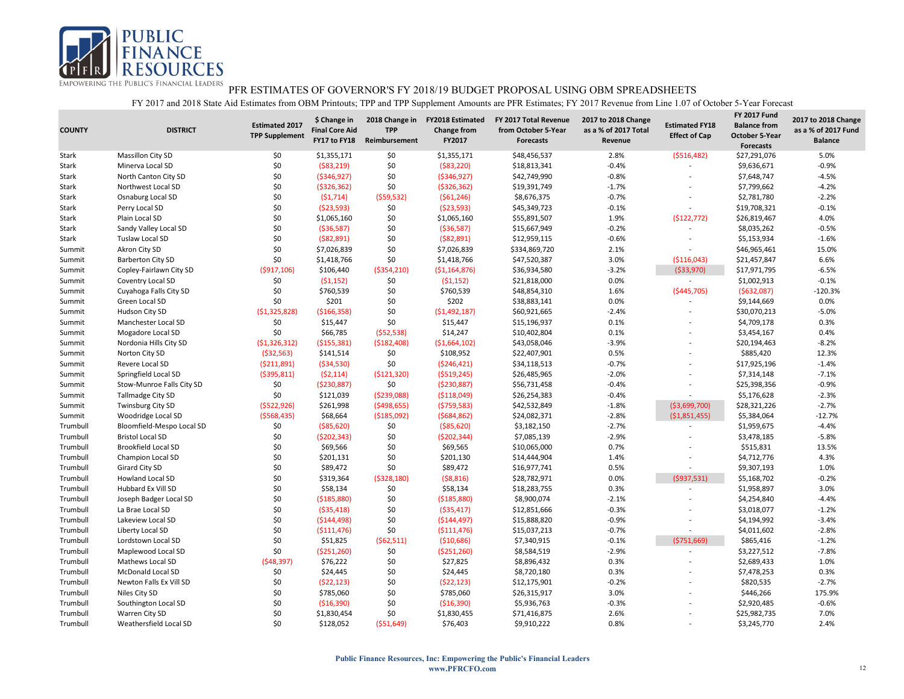

| <b>COUNTY</b> | <b>DISTRICT</b>            | <b>Estimated 2017</b><br><b>TPP Supplement</b> | \$ Change in<br><b>Final Core Aid</b><br>FY17 to FY18 | 2018 Change in<br><b>TPP</b><br>Reimbursement | <b>FY2018 Estimated</b><br><b>Change from</b><br>FY2017 | FY 2017 Total Revenue<br>from October 5-Year<br><b>Forecasts</b> | 2017 to 2018 Change<br>as a % of 2017 Total<br>Revenue | <b>Estimated FY18</b><br><b>Effect of Cap</b> | <b>FY 2017 Fund</b><br><b>Balance from</b><br><b>October 5-Year</b><br><b>Forecasts</b> | 2017 to 2018 Change<br>as a % of 2017 Fund<br><b>Balance</b> |
|---------------|----------------------------|------------------------------------------------|-------------------------------------------------------|-----------------------------------------------|---------------------------------------------------------|------------------------------------------------------------------|--------------------------------------------------------|-----------------------------------------------|-----------------------------------------------------------------------------------------|--------------------------------------------------------------|
| Stark         | Massillon City SD          | \$0                                            | \$1,355,171                                           | \$0                                           | \$1,355,171                                             | \$48,456,537                                                     | 2.8%                                                   | ( \$516,482)                                  | \$27,291,076                                                                            | 5.0%                                                         |
| Stark         | Minerva Local SD           | \$0                                            | ( \$83, 219)                                          | \$0                                           | ( \$83, 220)                                            | \$18,813,341                                                     | $-0.4%$                                                |                                               | \$9,636,671                                                                             | $-0.9%$                                                      |
| Stark         | North Canton City SD       | \$0                                            | ( \$346, 927)                                         | \$0                                           | ( \$346, 927)                                           | \$42,749,990                                                     | $-0.8%$                                                | $\overline{\phantom{a}}$                      | \$7,648,747                                                                             | $-4.5%$                                                      |
| Stark         | Northwest Local SD         | \$0                                            | ( \$326, 362)                                         | \$0                                           | ( \$326, 362)                                           | \$19,391,749                                                     | $-1.7%$                                                |                                               | \$7,799,662                                                                             | $-4.2%$                                                      |
| Stark         | Osnaburg Local SD          | \$0                                            | (51, 714)                                             | (559, 532)                                    | (561, 246)                                              | \$8,676,375                                                      | $-0.7%$                                                |                                               | \$2,781,780                                                                             | $-2.2%$                                                      |
| Stark         | Perry Local SD             | \$0                                            | (523,593)                                             | \$0                                           | (523,593)                                               | \$45,349,723                                                     | $-0.1%$                                                |                                               | \$19,708,321                                                                            | $-0.1%$                                                      |
| Stark         | Plain Local SD             | \$0                                            | \$1,065,160                                           | \$0                                           | \$1,065,160                                             | \$55,891,507                                                     | 1.9%                                                   | (\$122,772)                                   | \$26,819,467                                                                            | 4.0%                                                         |
| Stark         | Sandy Valley Local SD      | \$0                                            | ( \$36,587)                                           | \$0                                           | ( \$36,587)                                             | \$15,667,949                                                     | $-0.2%$                                                |                                               | \$8,035,262                                                                             | $-0.5%$                                                      |
| Stark         | Tuslaw Local SD            | \$0                                            | ( \$82, 891)                                          | \$0                                           | ( \$82, 891)                                            | \$12,959,115                                                     | $-0.6%$                                                | $\sim$                                        | \$5,153,934                                                                             | $-1.6%$                                                      |
| Summit        | Akron City SD              | \$0                                            | \$7,026,839                                           | \$0                                           | \$7,026,839                                             | \$334,869,720                                                    | 2.1%                                                   |                                               | \$46,965,461                                                                            | 15.0%                                                        |
| Summit        | <b>Barberton City SD</b>   | \$0                                            | \$1,418,766                                           | \$0                                           | \$1,418,766                                             | \$47,520,387                                                     | 3.0%                                                   | ( \$116,043)                                  | \$21,457,847                                                                            | 6.6%                                                         |
| Summit        | Copley-Fairlawn City SD    | ( \$917, 106)                                  | \$106,440                                             | ( \$354, 210)                                 | ( \$1,164,876)                                          | \$36,934,580                                                     | $-3.2%$                                                | ( \$33,970)                                   | \$17,971,795                                                                            | $-6.5%$                                                      |
| Summit        | Coventry Local SD          | \$0                                            | (51, 152)                                             | \$0                                           | (51, 152)                                               | \$21,818,000                                                     | 0.0%                                                   | $\overline{\phantom{a}}$                      | \$1,002,913                                                                             | $-0.1%$                                                      |
| Summit        | Cuyahoga Falls City SD     | \$0                                            | \$760,539                                             | \$0                                           | \$760,539                                               | \$48,854,310                                                     | 1.6%                                                   | ( \$445,705)                                  | (5632,087)                                                                              | $-120.3%$                                                    |
| Summit        | Green Local SD             | \$0                                            | \$201                                                 | \$0                                           | \$202                                                   | \$38,883,141                                                     | 0.0%                                                   |                                               | \$9,144,669                                                                             | 0.0%                                                         |
| Summit        | Hudson City SD             | ( \$1,325,828)                                 | ( \$166, 358)                                         | \$0                                           | (51, 492, 187)                                          | \$60,921,665                                                     | $-2.4%$                                                |                                               | \$30,070,213                                                                            | $-5.0%$                                                      |
| Summit        | Manchester Local SD        | \$0                                            | \$15,447                                              | \$0                                           | \$15,447                                                | \$15,196,937                                                     | 0.1%                                                   |                                               | \$4,709,178                                                                             | 0.3%                                                         |
| Summit        | Mogadore Local SD          | \$0                                            | \$66,785                                              | (552, 538)                                    | \$14,247                                                | \$10,402,804                                                     | 0.1%                                                   |                                               | \$3,454,167                                                                             | 0.4%                                                         |
| Summit        | Nordonia Hills City SD     | (51, 326, 312)                                 | ( \$155, 381)                                         | ( \$182,408)                                  | ( \$1,664,102)                                          | \$43,058,046                                                     | $-3.9%$                                                |                                               | \$20,194,463                                                                            | $-8.2%$                                                      |
| Summit        | Norton City SD             | ( \$32, 563)                                   | \$141,514                                             | \$0                                           | \$108,952                                               | \$22,407,901                                                     | 0.5%                                                   |                                               | \$885,420                                                                               | 12.3%                                                        |
| Summit        | Revere Local SD            | (5211,891)                                     | ( \$34, 530)                                          | \$0                                           | ( \$246, 421)                                           | \$34,118,513                                                     | $-0.7%$                                                |                                               | \$17,925,196                                                                            | $-1.4%$                                                      |
| Summit        | Springfield Local SD       | ( \$395, 811)                                  | (52, 114)                                             | ( \$121, 320)                                 | ( \$519, 245)                                           | \$26,485,965                                                     | $-2.0%$                                                |                                               | \$7,314,148                                                                             | $-7.1%$                                                      |
| Summit        | Stow-Munroe Falls City SD  | \$0                                            | (5230, 887)                                           | \$0                                           | ( \$230, 887)                                           | \$56,731,458                                                     | $-0.4%$                                                |                                               | \$25,398,356                                                                            | $-0.9%$                                                      |
| Summit        | <b>Tallmadge City SD</b>   | \$0                                            | \$121,039                                             | ( \$239,088)                                  | ( \$118,049)                                            | \$26,254,383                                                     | $-0.4%$                                                | $\overline{\phantom{a}}$                      | \$5,176,628                                                                             | $-2.3%$                                                      |
| Summit        | <b>Twinsburg City SD</b>   | (5522, 926)                                    | \$261,998                                             | ( \$498, 655)                                 | (5759,583)                                              | \$42,532,849                                                     | $-1.8%$                                                | ( \$3,699,700)                                | \$28,321,226                                                                            | $-2.7%$                                                      |
| Summit        | Woodridge Local SD         | ( \$568,435)                                   | \$68,664                                              | ( \$185,092)                                  | (5684, 862)                                             | \$24,082,371                                                     | $-2.8%$                                                | (51,851,455)                                  | \$5,384,064                                                                             | $-12.7%$                                                     |
| Trumbull      | Bloomfield-Mespo Local SD  | \$0                                            | ( \$85, 620)                                          | \$0                                           | ( \$85, 620)                                            | \$3,182,150                                                      | $-2.7%$                                                |                                               | \$1,959,675                                                                             | $-4.4%$                                                      |
| Trumbull      | <b>Bristol Local SD</b>    | \$0                                            | (5202, 343)                                           | \$0                                           | (5202, 344)                                             | \$7,085,139                                                      | $-2.9%$                                                |                                               | \$3,478,185                                                                             | $-5.8%$                                                      |
| Trumbull      | <b>Brookfield Local SD</b> | \$0                                            | \$69,566                                              | \$0                                           | \$69,565                                                | \$10,065,000                                                     | 0.7%                                                   |                                               | \$515,831                                                                               | 13.5%                                                        |
| Trumbull      | Champion Local SD          | \$0                                            | \$201,131                                             | \$0                                           | \$201,130                                               | \$14,444,904                                                     | 1.4%                                                   |                                               | \$4,712,776                                                                             | 4.3%                                                         |
| Trumbull      | Girard City SD             | \$0                                            | \$89,472                                              | \$0                                           | \$89,472                                                | \$16,977,741                                                     | 0.5%                                                   |                                               | \$9,307,193                                                                             | 1.0%                                                         |
| Trumbull      | <b>Howland Local SD</b>    | \$0                                            | \$319,364                                             | ( \$328, 180)                                 | ( \$8,816)                                              | \$28,782,971                                                     | 0.0%                                                   | (5937,531)                                    | \$5,168,702                                                                             | $-0.2%$                                                      |
| Trumbull      | Hubbard Ex Vill SD         | \$0                                            | \$58,134                                              | \$0                                           | \$58,134                                                | \$18,283,755                                                     | 0.3%                                                   | $\overline{\phantom{a}}$                      | \$1,958,897                                                                             | 3.0%                                                         |
| Trumbull      | Joseph Badger Local SD     | \$0                                            | ( \$185, 880)                                         | \$0                                           | ( \$185, 880)                                           | \$8,900,074                                                      | $-2.1%$                                                |                                               | \$4,254,840                                                                             | $-4.4%$                                                      |
| Trumbull      | La Brae Local SD           | \$0                                            | ( \$35,418)                                           | \$0                                           | ( \$35,417)                                             | \$12,851,666                                                     | $-0.3%$                                                |                                               | \$3,018,077                                                                             | $-1.2%$                                                      |
| Trumbull      | Lakeview Local SD          | \$0                                            | ( \$144, 498)                                         | \$0                                           | ( \$144, 497)                                           | \$15,888,820                                                     | $-0.9%$                                                |                                               | \$4,194,992                                                                             | $-3.4%$                                                      |
| Trumbull      | Liberty Local SD           | \$0                                            | ( \$111,476)                                          | \$0                                           | ( \$111,476)                                            | \$15,037,213                                                     | $-0.7%$                                                |                                               | \$4,011,602                                                                             | $-2.8%$                                                      |
| Trumbull      | Lordstown Local SD         | \$0                                            | \$51,825                                              | (562,511)                                     | ( \$10,686)                                             | \$7,340,915                                                      | $-0.1%$                                                | (5751,669)                                    | \$865,416                                                                               | $-1.2%$                                                      |
| Trumbull      | Maplewood Local SD         | \$0                                            | ( \$251, 260)                                         | \$0                                           | ( \$251, 260)                                           | \$8,584,519                                                      | $-2.9%$                                                |                                               | \$3,227,512                                                                             | $-7.8%$                                                      |
| Trumbull      | Mathews Local SD           | (548, 397)                                     | \$76,222                                              | \$0                                           | \$27,825                                                | \$8,896,432                                                      | 0.3%                                                   |                                               | \$2,689,433                                                                             | 1.0%                                                         |
| Trumbull      | McDonald Local SD          | \$0                                            | \$24,445                                              | \$0                                           | \$24,445                                                | \$8,720,180                                                      | 0.3%                                                   |                                               | \$7,478,253                                                                             | 0.3%                                                         |
| Trumbull      | Newton Falls Ex Vill SD    | \$0                                            | (522, 123)                                            | \$0                                           | (522, 123)                                              | \$12,175,901                                                     | $-0.2%$                                                |                                               | \$820,535                                                                               | $-2.7%$                                                      |
| Trumbull      | Niles City SD              | \$0                                            | \$785,060                                             | \$0                                           | \$785,060                                               | \$26,315,917                                                     | 3.0%                                                   |                                               | \$446,266                                                                               | 175.9%                                                       |
| Trumbull      | Southington Local SD       | \$0                                            | ( \$16, 390)                                          | \$0                                           | ( \$16, 390)                                            | \$5,936,763                                                      | $-0.3%$                                                |                                               | \$2,920,485                                                                             | $-0.6%$                                                      |
| Trumbull      | Warren City SD             | \$0                                            | \$1,830,454                                           | \$0                                           | \$1,830,455                                             | \$71,416,875                                                     | 2.6%                                                   |                                               | \$25,982,735                                                                            | 7.0%                                                         |
| Trumbull      | Weathersfield Local SD     | \$0\$                                          | \$128,052                                             | (551, 649)                                    | \$76,403                                                | \$9,910,222                                                      | 0.8%                                                   |                                               | \$3,245,770                                                                             | 2.4%                                                         |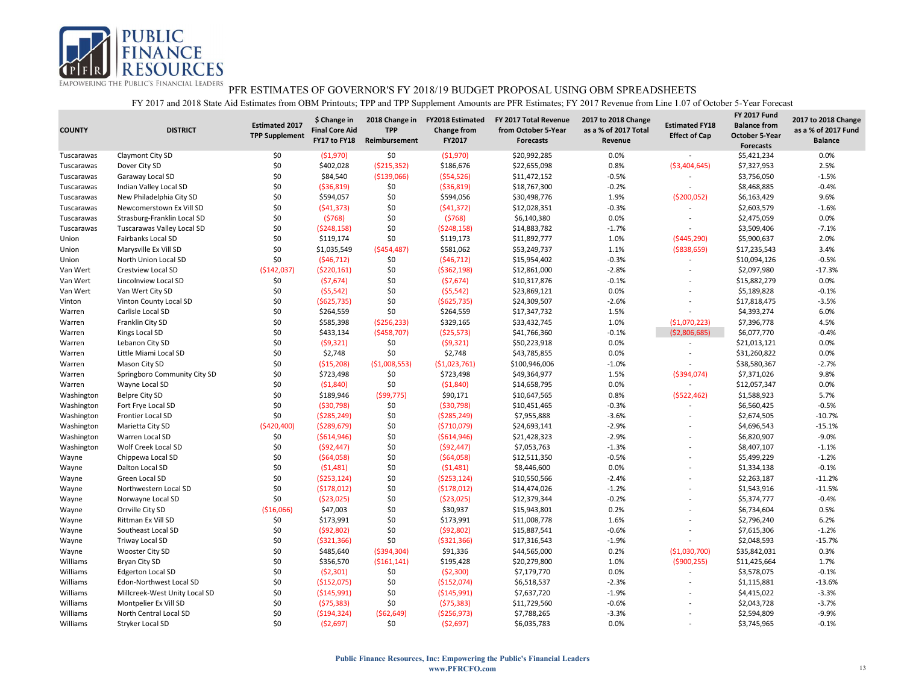

| <b>COUNTY</b> | <b>DISTRICT</b>               | <b>Estimated 2017</b><br><b>TPP Supplement</b> | \$ Change in<br><b>Final Core Aid</b><br>FY17 to FY18 | 2018 Change in<br><b>TPP</b><br>Reimbursement | <b>FY2018 Estimated</b><br><b>Change from</b><br>FY2017 | FY 2017 Total Revenue<br>from October 5-Year<br><b>Forecasts</b> | 2017 to 2018 Change<br>as a % of 2017 Total<br>Revenue | <b>Estimated FY18</b><br><b>Effect of Cap</b> | <b>FY 2017 Fund</b><br><b>Balance from</b><br><b>October 5-Year</b><br><b>Forecasts</b> | 2017 to 2018 Change<br>as a % of 2017 Fund<br><b>Balance</b> |
|---------------|-------------------------------|------------------------------------------------|-------------------------------------------------------|-----------------------------------------------|---------------------------------------------------------|------------------------------------------------------------------|--------------------------------------------------------|-----------------------------------------------|-----------------------------------------------------------------------------------------|--------------------------------------------------------------|
| Tuscarawas    | Claymont City SD              | \$0                                            | (51,970)                                              | \$0                                           | ( \$1,970)                                              | \$20,992,285                                                     | 0.0%                                                   | $\sim$                                        | \$5,421,234                                                                             | 0.0%                                                         |
| Tuscarawas    | Dover City SD                 | \$0                                            | \$402,028                                             | ( \$215, 352)                                 | \$186,676                                               | \$22,655,098                                                     | 0.8%                                                   | ( \$3,404,645)                                | \$7,327,953                                                                             | 2.5%                                                         |
| Tuscarawas    | Garaway Local SD              | \$0                                            | \$84,540                                              | ( \$139,066)                                  | (554, 526)                                              | \$11,472,152                                                     | $-0.5%$                                                |                                               | \$3,756,050                                                                             | $-1.5%$                                                      |
| Tuscarawas    | Indian Valley Local SD        | \$0                                            | ( \$36, 819)                                          | \$0                                           | ( \$36, 819)                                            | \$18,767,300                                                     | $-0.2%$                                                |                                               | \$8,468,885                                                                             | $-0.4%$                                                      |
| Tuscarawas    | New Philadelphia City SD      | \$0                                            | \$594,057                                             | \$0                                           | \$594,056                                               | \$30,498,776                                                     | 1.9%                                                   | ( \$200,052)                                  | \$6,163,429                                                                             | 9.6%                                                         |
| Tuscarawas    | Newcomerstown Ex Vill SD      | \$0                                            | (541, 373)                                            | \$0                                           | (541, 372)                                              | \$12,028,351                                                     | $-0.3%$                                                |                                               | \$2,603,579                                                                             | $-1.6%$                                                      |
| Tuscarawas    | Strasburg-Franklin Local SD   | \$0                                            | (5768)                                                | \$0                                           | (5768)                                                  | \$6,140,380                                                      | 0.0%                                                   | $\overline{a}$                                | \$2,475,059                                                                             | 0.0%                                                         |
| Tuscarawas    | Tuscarawas Valley Local SD    | \$0                                            | (5248, 158)                                           | \$0                                           | ( \$248, 158)                                           | \$14,883,782                                                     | $-1.7%$                                                |                                               | \$3,509,406                                                                             | $-7.1%$                                                      |
| Union         | Fairbanks Local SD            | \$0                                            | \$119,174                                             | \$0                                           | \$119,173                                               | \$11,892,777                                                     | 1.0%                                                   | ( \$445, 290)                                 | \$5,900,637                                                                             | 2.0%                                                         |
| Union         | Marysville Ex Vill SD         | \$0                                            | \$1,035,549                                           | ( \$454,487)                                  | \$581,062                                               | \$53,249,737                                                     | 1.1%                                                   | ( \$838, 659)                                 | \$17,235,543                                                                            | 3.4%                                                         |
| Union         | North Union Local SD          | \$0                                            | (546, 712)                                            | \$0                                           | (546, 712)                                              | \$15,954,402                                                     | $-0.3%$                                                | $\overline{a}$                                | \$10,094,126                                                                            | $-0.5%$                                                      |
| Van Wert      | Crestview Local SD            | (\$142,037)                                    | ( \$220,161)                                          | \$0                                           | ( \$362, 198)                                           | \$12,861,000                                                     | $-2.8%$                                                |                                               | \$2,097,980                                                                             | $-17.3%$                                                     |
| Van Wert      | Lincolnview Local SD          | \$0                                            | (57,674)                                              | \$0                                           | (57, 674)                                               | \$10,317,876                                                     | $-0.1%$                                                | $\overline{a}$                                | \$15,882,279                                                                            | 0.0%                                                         |
| Van Wert      | Van Wert City SD              | \$0                                            | (55, 542)                                             | \$0                                           | (55, 542)                                               | \$23,869,121                                                     | 0.0%                                                   |                                               | \$5,189,828                                                                             | $-0.1%$                                                      |
| Vinton        | Vinton County Local SD        | \$0                                            | ( \$625, 735)                                         | \$0                                           | (\$625,735)                                             | \$24,309,507                                                     | $-2.6%$                                                | L,                                            | \$17,818,475                                                                            | $-3.5%$                                                      |
| Warren        | Carlisle Local SD             | \$0                                            | \$264,559                                             | \$0                                           | \$264,559                                               | \$17,347,732                                                     | 1.5%                                                   |                                               | \$4,393,274                                                                             | 6.0%                                                         |
| Warren        | Franklin City SD              | \$0                                            | \$585,398                                             | ( \$256, 233)                                 | \$329,165                                               | \$33,432,745                                                     | 1.0%                                                   | (\$1,070,223)                                 | \$7,396,778                                                                             | 4.5%                                                         |
| Warren        | Kings Local SD                | \$0                                            | \$433,134                                             | ( \$458, 707)                                 | (525,573)                                               | \$41,766,360                                                     | $-0.1%$                                                | ( \$2,806,685)                                | \$6,077,770                                                                             | $-0.4%$                                                      |
| Warren        | Lebanon City SD               | \$0                                            | (59, 321)                                             | \$0                                           | (59, 321)                                               | \$50,223,918                                                     | 0.0%                                                   | $\overline{a}$                                | \$21,013,121                                                                            | 0.0%                                                         |
| Warren        | Little Miami Local SD         | \$0                                            | \$2,748                                               | \$0                                           | \$2,748                                                 | \$43,785,855                                                     | 0.0%                                                   |                                               | \$31,260,822                                                                            | 0.0%                                                         |
| Warren        | Mason City SD                 | \$0                                            | ( \$15,208)                                           | ( \$1,008,553)                                | ( \$1,023,761)                                          | \$100,946,006                                                    | $-1.0%$                                                | $\overline{\phantom{0}}$                      | \$38,580,367                                                                            | $-2.7%$                                                      |
| Warren        | Springboro Community City SD  | \$0                                            | \$723,498                                             | \$0                                           | \$723,498                                               | \$49,364,977                                                     | 1.5%                                                   | ( \$394,074)                                  | \$7,371,026                                                                             | 9.8%                                                         |
| Warren        | Wayne Local SD                | \$0                                            | (51,840)                                              | \$0                                           | (51,840)                                                | \$14,658,795                                                     | 0.0%                                                   |                                               | \$12,057,347                                                                            | 0.0%                                                         |
| Washington    | <b>Belpre City SD</b>         | \$0                                            | \$189,946                                             | ( \$99, 775)                                  | \$90,171                                                | \$10,647,565                                                     | 0.8%                                                   | (5522, 462)                                   | \$1,588,923                                                                             | 5.7%                                                         |
| Washington    | Fort Frye Local SD            | \$0                                            | ( \$30,798)                                           | \$0                                           | ( \$30,798)                                             | \$10,451,465                                                     | $-0.3%$                                                | $\overline{\phantom{a}}$                      | \$6,560,425                                                                             | $-0.5%$                                                      |
| Washington    | Frontier Local SD             | \$0                                            | ( \$285, 249)                                         | \$0                                           | ( \$285, 249)                                           | \$7,955,888                                                      | $-3.6%$                                                |                                               | \$2,674,505                                                                             | $-10.7%$                                                     |
| Washington    | Marietta City SD              | (\$420,400)                                    | (5289, 679)                                           | \$0                                           | ( \$710,079)                                            | \$24,693,141                                                     | $-2.9%$                                                | $\overline{a}$                                | \$4,696,543                                                                             | $-15.1%$                                                     |
| Washington    | Warren Local SD               | \$0                                            | ( \$614, 946)                                         | \$0                                           | ( \$614, 946)                                           | \$21,428,323                                                     | $-2.9%$                                                |                                               | \$6,820,907                                                                             | $-9.0%$                                                      |
| Washington    | Wolf Creek Local SD           | \$0                                            | (592, 447)                                            | \$0                                           | (592, 447)                                              | \$7,053,763                                                      | $-1.3%$                                                | $\overline{a}$                                | \$8,407,107                                                                             | $-1.1%$                                                      |
| Wayne         | Chippewa Local SD             | \$0                                            | ( \$64,058)                                           | \$0                                           | ( \$64,058)                                             | \$12,511,350                                                     | $-0.5%$                                                | $\overline{a}$                                | \$5,499,229                                                                             | $-1.2%$                                                      |
| Wayne         | Dalton Local SD               | \$0                                            | (51, 481)                                             | \$0                                           | (51, 481)                                               | \$8,446,600                                                      | 0.0%                                                   | ÷                                             | \$1,334,138                                                                             | $-0.1%$                                                      |
| Wayne         | Green Local SD                | \$0                                            | ( \$253, 124)                                         | \$0                                           | ( \$253, 124)                                           | \$10,550,566                                                     | $-2.4%$                                                |                                               | \$2,263,187                                                                             | $-11.2%$                                                     |
| Wayne         | Northwestern Local SD         | \$0                                            | ( \$178,012)                                          | \$0                                           | ( \$178,012]                                            | \$14,474,026                                                     | $-1.2%$                                                | ÷                                             | \$1,543,916                                                                             | $-11.5%$                                                     |
| Wayne         | Norwayne Local SD             | \$0                                            | ( \$23,025)                                           | \$0                                           | (523,025)                                               | \$12,379,344                                                     | $-0.2%$                                                | $\overline{a}$                                | \$5,374,777                                                                             | $-0.4%$                                                      |
| Wayne         | Orrville City SD              | (\$16,066)                                     | \$47,003                                              | \$0                                           | \$30,937                                                | \$15,943,801                                                     | 0.2%                                                   | ÷                                             | \$6,734,604                                                                             | 0.5%                                                         |
| Wayne         | Rittman Ex Vill SD            | \$0                                            | \$173,991                                             | \$0                                           | \$173,991                                               | \$11,008,778                                                     | 1.6%                                                   |                                               | \$2,796,240                                                                             | 6.2%                                                         |
| Wayne         | Southeast Local SD            | \$0                                            | (592,802)                                             | \$0                                           | (592,802)                                               | \$15,887,541                                                     | $-0.6%$                                                | $\overline{a}$                                | \$7,615,306                                                                             | $-1.2%$                                                      |
| Wayne         | Triway Local SD               | \$0                                            | ( \$321, 366)                                         | \$0                                           | ( \$321, 366)                                           | \$17,316,543                                                     | $-1.9%$                                                | $\overline{a}$                                | \$2,048,593                                                                             | $-15.7%$                                                     |
| Wayne         | Wooster City SD               | \$0                                            | \$485,640                                             | ( \$394, 304)                                 | \$91,336                                                | \$44,565,000                                                     | 0.2%                                                   | (\$1,030,700)                                 | \$35,842,031                                                                            | 0.3%                                                         |
| Williams      | <b>Bryan City SD</b>          | \$0                                            | \$356,570                                             | ( \$161, 141)                                 | \$195,428                                               | \$20,279,800                                                     | 1.0%                                                   | ( \$900, 255)                                 | \$11,425,664                                                                            | 1.7%                                                         |
| Williams      | <b>Edgerton Local SD</b>      | \$0                                            | (52, 301)                                             | \$0                                           | (52,300)                                                | \$7,179,770                                                      | 0.0%                                                   | $\overline{\phantom{a}}$                      | \$3,578,075                                                                             | $-0.1%$                                                      |
| Williams      | Edon-Northwest Local SD       | \$0                                            | (\$152,075)                                           | \$0                                           | (\$152,074)                                             | \$6,518,537                                                      | $-2.3%$                                                |                                               | \$1,115,881                                                                             | $-13.6%$                                                     |
| Williams      | Millcreek-West Unity Local SD | \$0                                            | ( \$145,991)                                          | \$0                                           | ( \$145, 991)                                           | \$7,637,720                                                      | $-1.9%$                                                | $\overline{a}$                                | \$4,415,022                                                                             | $-3.3%$                                                      |
| Williams      | Montpelier Ex Vill SD         | \$0                                            | (575, 383)                                            | \$0                                           | (575, 383)                                              | \$11,729,560                                                     | $-0.6%$                                                |                                               | \$2,043,728                                                                             | $-3.7%$                                                      |
| Williams      | North Central Local SD        | \$0                                            | ( \$194, 324)                                         | ( \$62, 649)                                  | ( \$256, 973)                                           | \$7,788,265                                                      | $-3.3%$                                                |                                               | \$2,594,809                                                                             | $-9.9%$                                                      |
| Williams      | Stryker Local SD              | \$0                                            | (52,697)                                              | \$0                                           | (52, 697)                                               | \$6,035,783                                                      | 0.0%                                                   | $\overline{a}$                                | \$3,745,965                                                                             | $-0.1%$                                                      |